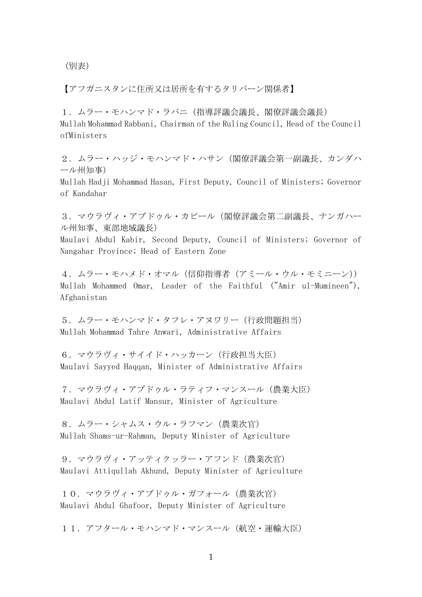(別表)

【アフガニスタンに住所又は居所を有するタリバーン関係者】

1.ムラー・モハンマド・ラバニ(指導評議会議長、閣僚評議会議長) Mullah Mohammad Rabbani, Chairman of the Ruling Council, Head of the Council ofMinisters

2. ムラー・ハッジ・モハンマド・ハサン(閣僚評議会第一副議長、カンダハ ール州知事)

Mullah Hadji Mohammad Hasan, First Deputy, Council of Ministers; Governor of Kandahar

3.マウラヴィ・アブドゥル・カビール(閣僚評議会第二副議長、ナンガハー ル州知事、東部地域議長)

Maulavi Abdul Kabir, Second Deputy, Council of Ministers; Governor of Nangahar Province; Head of Eastern Zone

4.ムラー・モハメド・オマル(信仰指導者(アミール・ウル・モミニーン)) Mullah Mohammed Omar, Leader of the Faithful ("Amir ul-Mumineen"), Afghanistan

5. ムラー・モハンマド・タフレ・アヌワリー(行政問題担当) Mullah Mohammad Tahre Anwari, Administrative Affairs

6. マウラヴィ・サイイド・ハッカーン (行政担当大臣) Maulavi Sayyed Haqqan, Minister of Administrative Affairs

7.マウラヴィ・アブドゥル・ラティフ・マンスール(農業大臣) Maulavi Abdul Latif Mansur, Minister of Agriculture

8.ムラー・シャムス・ウル・ラフマン(農業次官) Mullah Shams-ur-Rahman, Deputy Minister of Agriculture

9. マウラヴィ・アッティクッラー・アフンド (農業次官) Maulavi Attiqullah Akhund, Deputy Minister of Agriculture

10.マウラヴィ・アブドゥル・ガフォール(農業次官) Maulavi Abdul Ghafoor, Deputy Minister of Agriculture

11. アフタール・モハンマド・マンスール (航空・運輸大臣)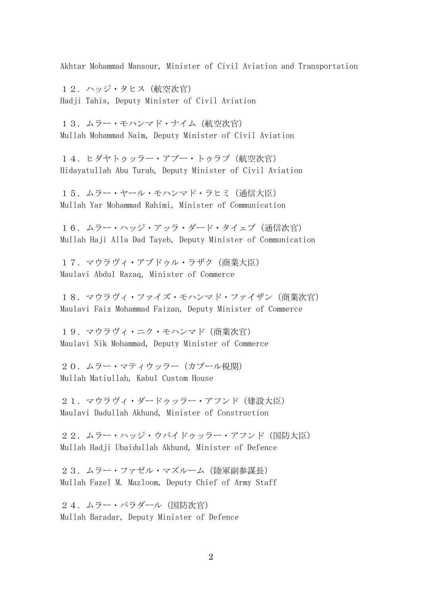Akhtar Mohammad Mansour, Minister of Civil Aviation and Transportation

12. ハッジ・タヒス (航空次官) Hadji Tahis, Deputy Minister of Civil Aviation

13. ムラー・モハンマド・ナイム (航空次官) Mullah Mohammad Naim, Deputy Minister of Civil Aviation

14. ヒダヤトゥッラー・アブー・トゥラブ (航空次官) Hidayatullah Abu Turab, Deputy Minister of Civil Aviation

15. ムラー・ヤール・モハンマド・ラヒミ (通信大臣) Mullah Yar Mohammad Rahimi, Minister of Communication

16. ムラー・ハッジ・アッラ・ダード・タイェブ (通信次官) Mullah Haji Alla Dad Tayeb, Deputy Minister of Communication

17. マウラヴィ・アブドゥル・ラザク (商業大臣) Maulavi Abdul Razaq, Minister of Commerce

18.マウラヴィ・ファイズ・モハンマド・ファイザン(商業次官) Maulavi Faiz Mohammad Faizan, Deputy Minister of Commerce

19.マウラヴィ・ニク・モハンマド(商業次官) Maulavi Nik Mohammad, Deputy Minister of Commerce

20. ムラー・マティウッラー (カブール税関) Mullah Matiullah, Kabul Custom House

21.マウラヴィ・ダードゥッラー・アフンド(建設大臣) Maulavi Dadullah Akhund, Minister of Construction

22. ムラー・ハッジ・ウバイドゥッラー・アフンド (国防大臣) Mullah Hadji Ubaidullah Akhund, Minister of Defence

23. ムラー・ファゼル・マズルーム (陸軍副参謀長) Mullah Fazel M. Mazloom, Deputy Chief of Army Staff

24. ムラー・バラダール (国防次官) Mullah Baradar, Deputy Minister of Defence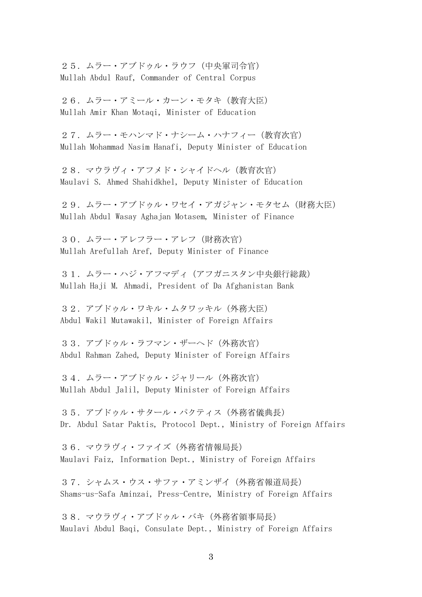25. ムラー・アブドゥル・ラウフ (中央軍司令官) Mullah Abdul Rauf, Commander of Central Corpus

26.ムラー・アミール・カーン・モタキ(教育大臣) Mullah Amir Khan Motaqi, Minister of Education

27.ムラー・モハンマド・ナシーム・ハナフィー(教育次官) Mullah Mohammad Nasim Hanafi, Deputy Minister of Education

28.マウラヴィ・アフメド・シャイドヘル(教育次官) Maulavi S. Ahmed Shahidkhel, Deputy Minister of Education

29.ムラー・アブドゥル・ワセイ・アガジャン・モタセム(財務大臣) Mullah Abdul Wasay Aghajan Motasem, Minister of Finance

30. ムラー・アレフ・アレフ (財務次官) Mullah Arefullah Aref, Deputy Minister of Finance

31. ムラー・ハジ・アフマディ(アフガニスタン中央銀行総裁) Mullah Haji M. Ahmadi, President of Da Afghanistan Bank

32.アブドゥル・ワキル・ムタワッキル(外務大臣) Abdul Wakil Mutawakil, Minister of Foreign Affairs

33.アブドゥル・ラフマン・ザーヘド(外務次官) Abdul Rahman Zahed, Deputy Minister of Foreign Affairs

34.ムラー・アブドゥル・ジャリール(外務次官) Mullah Abdul Jalil, Deputy Minister of Foreign Affairs

35.アブドゥル・サタール・パクティス(外務省儀典長) Dr. Abdul Satar Paktis, Protocol Dept., Ministry of Foreign Affairs

36.マウラヴィ・ファイズ(外務省情報局長) Maulavi Faiz, Information Dept., Ministry of Foreign Affairs

37. シャムス・ウス・サファ・アミンザイ (外務省報道局長) Shams-us-Safa Aminzai, Press-Centre, Ministry of Foreign Affairs

38.マウラヴィ・アブドゥル・バキ(外務省領事局長) Maulavi Abdul Baqi, Consulate Dept., Ministry of Foreign Affairs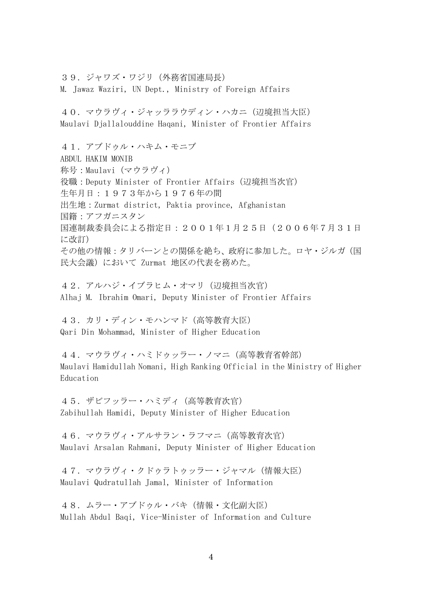39.ジャワズ・ワジリ(外務省国連局長) M. Jawaz Waziri, UN Dept., Ministry of Foreign Affairs

40.マウラヴィ・ジャッララウディン・ハカニ(辺境担当大臣) Maulavi Djallalouddine Haqani, Minister of Frontier Affairs

41.アブドゥル・ハキム・モニブ ABDUL HAKIM MONIB 称号:Maulavi(マウラヴィ) 役職:Deputy Minister of Frontier Affairs(辺境担当次官) 生年月日:1973年から1976年の間 出生地:Zurmat district, Paktia province, Afghanistan 国籍:アフガニスタン 国連制裁委員会による指定日:2001年1月25日(2006年7月31日 に改訂) その他の情報:タリバーンとの関係を絶ち、政府に参加した。ロヤ・ジルガ(国 民大会議)において Zurmat 地区の代表を務めた。

42. アルハジ・イブラヒム・オマリ (辺境担当次官) Alhaj M. Ibrahim Omari, Deputy Minister of Frontier Affairs

43. カリ・ディン・モハンマド (高等教育大臣) Qari Din Mohammad, Minister of Higher Education

44.マウラヴィ・ハミドゥッラー・ノマニ(高等教育省幹部) Maulavi Hamidullah Nomani, High Ranking Official in the Ministry of Higher Education

45.ザビフッラー・ハミディ(高等教育次官) Zabihullah Hamidi, Deputy Minister of Higher Education

46.マウラヴィ・アルサラン・ラフマニ(高等教育次官) Maulavi Arsalan Rahmani, Deputy Minister of Higher Education

47.マウラヴィ・クドゥラトゥッラー・ジャマル(情報大臣) Maulavi Qudratullah Jamal, Minister of Information

48. ムラー・アブドゥル・バキ(情報・文化副大臣) Mullah Abdul Baqi, Vice-Minister of Information and Culture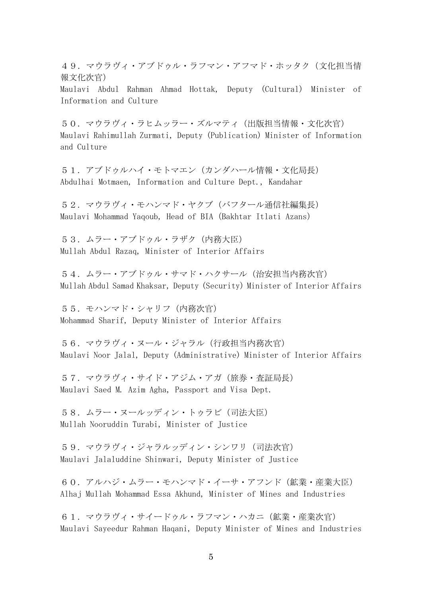49.マウラヴィ・アブドゥル・ラフマン・アフマド・ホッタク(文化担当情 報文化次官)

Maulavi Abdul Rahman Ahmad Hottak, Deputy (Cultural) Minister of Information and Culture

50.マウラヴィ・ラヒムッラー・ズルマティ(出版担当情報・文化次官) Maulavi Rahimullah Zurmati, Deputy (Publication) Minister of Information and Culture

51.アブドゥルハイ・モトマエン(カンダハール情報・文化局長) Abdulhai Motmaen, Information and Culture Dept., Kandahar

52. マウラヴィ・モハンマド・ヤクブ (バフタール通信社編集長) Maulavi Mohammad Yaqoub, Head of BIA(Bakhtar Itlati Azans)

53. ムラー・アブドゥル・ラザク (内務大臣) Mullah Abdul Razaq, Minister of Interior Affairs

54. ムラー・アブドゥル・サマド・ハクサール(治安担当内務次官) Mullah Abdul Samad Khaksar, Deputy (Security) Minister of Interior Affairs

55.モハンマド・シャリフ(内務次官) Mohammad Sharif, Deputy Minister of Interior Affairs

56.マウラヴィ・ヌール・ジャラル(行政担当内務次官) Maulavi Noor Jalal, Deputy (Administrative) Minister of Interior Affairs

57. マウラヴィ・サイド・アジム・アガ (旅券・査証局長) Maulavi Saed M. Azim Agha, Passport and Visa Dept.

58. ムラー・ヌールッディン・トゥラビ (司法大臣) Mullah Nooruddin Turabi, Minister of Justice

59.マウラヴィ・ジャラルッディン・シンワリ(司法次官) Maulavi Jalaluddine Shinwari, Deputy Minister of Justice

60.アルハジ・ムラー・モハンマド・イーサ・アフンド(鉱業・産業大臣) Alhaj Mullah Mohammad Essa Akhund, Minister of Mines and Industries

61.マウラヴィ・サイードゥル・ラフマン・ハカニ(鉱業・産業次官) Maulavi Sayeedur Rahman Haqani, Deputy Minister of Mines and Industries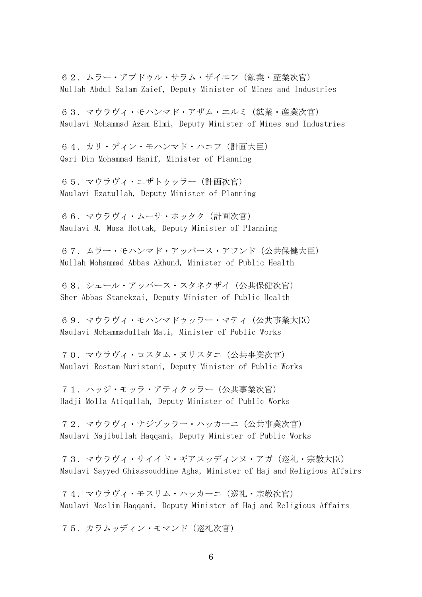62.ムラー・アブドゥル・サラム・ザイエフ(鉱業・産業次官) Mullah Abdul Salam Zaief, Deputy Minister of Mines and Industries

63.マウラヴィ・モハンマド・アザム・エルミ(鉱業・産業次官) Maulavi Mohammad Azam Elmi, Deputy Minister of Mines and Industries

64.カリ・ディン・モハンマド・ハニフ(計画大臣) Qari Din Mohammad Hanif, Minister of Planning

65.マウラヴィ・エザトゥッラー(計画次官) Maulavi Ezatullah, Deputy Minister of Planning

66.マウラヴィ・ムーサ・ホッタク(計画次官) Maulavi M. Musa Hottak, Deputy Minister of Planning

67. ムラー・モハンマド・アッバース・アフンド(公共保健大臣) Mullah Mohammad Abbas Akhund, Minister of Public Health

68.シェール・アッバース・スタネクザイ(公共保健次官) Sher Abbas Stanekzai, Deputy Minister of Public Health

69.マウラヴィ・モハンマドゥッラー・マティ(公共事業大臣) Maulavi Mohammadullah Mati, Minister of Public Works

70.マウラヴィ・ロスタム・ヌリスタニ(公共事業次官) Maulavi Rostam Nuristani, Deputy Minister of Public Works

71.ハッジ・モッラ・アティクッラー(公共事業次官) Hadji Molla Atiqullah, Deputy Minister of Public Works

72.マウラヴィ・ナジブッラー・ハッカーニ(公共事業次官) Maulavi Najibullah Haqqani, Deputy Minister of Public Works

73.マウラヴィ・サイイド・ギアスッディンヌ・アガ(巡礼・宗教大臣) Maulavi Sayyed Ghiassouddine Agha, Minister of Haj and Religious Affairs

74.マウラヴィ・モスリム・ハッカーニ(巡礼・宗教次官) Maulavi Moslim Haqqani, Deputy Minister of Haj and Religious Affairs

75.カラムッディン・モマンド(巡礼次官)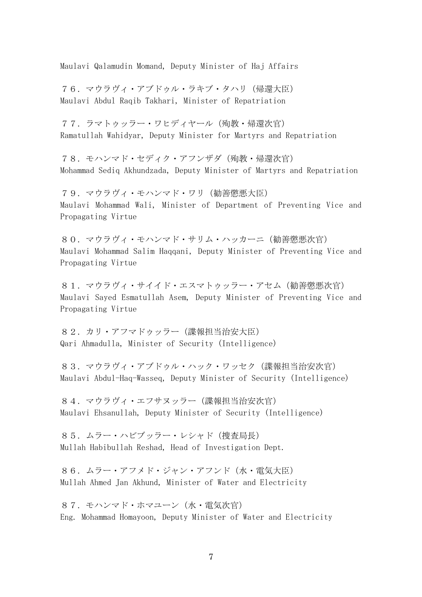Maulavi Qalamudin Momand, Deputy Minister of Haj Affairs

76.マウラヴィ・アブドゥル・ラキブ・タハリ(帰還大臣) Maulavi Abdul Raqib Takhari, Minister of Repatriation

77.ラマトゥッラー・ワヒディヤール(殉教・帰還次官) Ramatullah Wahidyar, Deputy Minister for Martyrs and Repatriation

78.モハンマド・セディク・アフンザダ(殉教・帰還次官) Mohammad Sediq Akhundzada, Deputy Minister of Martyrs and Repatriation

79.マウラヴィ・モハンマド・ワリ(勧善懲悪大臣) Maulavi Mohammad Wali, Minister of Department of Preventing Vice and Propagating Virtue

80.マウラヴィ・モハンマド・サリム・ハッカーニ(勧善懲悪次官) Maulavi Mohammad Salim Haqqani, Deputy Minister of Preventing Vice and Propagating Virtue

81.マウラヴィ・サイイド・エスマトゥッラー・アセム(勧善懲悪次官) Maulavi Sayed Esmatullah Asem, Deputy Minister of Preventing Vice and Propagating Virtue

82.カリ・アフマドゥッラー(諜報担当治安大臣) Qari Ahmadulla, Minister of Security (Intelligence)

83.マウラヴィ・アブドゥル・ハック・ワッセク(諜報担当治安次官) Maulavi Abdul-Haq-Wasseq, Deputy Minister of Security (Intelligence)

84.マウラヴィ・エフサヌッラー(諜報担当治安次官) Maulavi Ehsanullah, Deputy Minister of Security (Intelligence)

85.ムラー・ハビブッラー・レシャド(捜査局長) Mullah Habibullah Reshad, Head of Investigation Dept.

86.ムラー・アフメド・ジャン・アフンド(水・電気大臣) Mullah Ahmed Jan Akhund, Minister of Water and Electricity

87.モハンマド・ホマユーン(水・電気次官) Eng. Mohammad Homayoon, Deputy Minister of Water and Electricity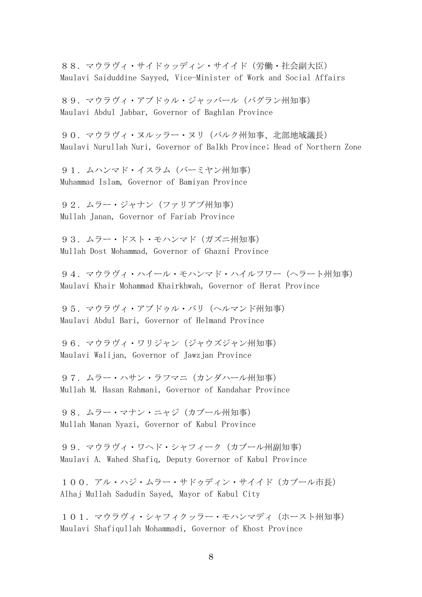88.マウラヴィ・サイドゥッディン・サイイド(労働・社会副大臣) Maulavi Saiduddine Sayyed, Vice-Minister of Work and Social Affairs

89.マウラヴィ・アブドゥル・ジャッバール(バグラン州知事) Maulavi Abdul Jabbar, Governor of Baghlan Province

90. マウラヴィ・ヌルッラー・ヌリ (バルク州知事、北部地域議長) Maulavi Nurullah Nuri, Governor of Balkh Province; Head of Northern Zone

91. ムハンマド・イスラム (バーミヤン州知事) Muhammad Islam, Governor of Bamiyan Province

92. ムラー・ジャナン (ファリアブ州知事) Mullah Janan, Governor of Fariab Province

93. ムラー・ドスト・モハンマド (ガズニ州知事) Mullah Dost Mohammad, Governor of Ghazni Province

94.マウラヴィ・ハイール・モハンマド・ハイルフワー(ヘラート州知事) Maulavi Khair Mohammad Khairkhwah, Governor of Herat Province

95. マウラヴィ・アブドゥル・バリ (ヘルマンド州知事) Maulavi Abdul Bari, Governor of Helmand Province

96. マウラヴィ・ワリジャン(ジャウズジャン州知事) Maulavi Walijan, Governor of Jawzjan Province

97. ムラー・ハサン・ラフマニ (カンダハール州知事) Mullah M. Hasan Rahmani, Governor of Kandahar Province

98. ムラー・マナン・ニャジ (カブール州知事) Mullah Manan Nyazi, Governor of Kabul Province

99. マウラヴィ・ワヘド・シャフィーク (カブール州副知事) Maulavi A. Wahed Shafiq, Deputy Governor of Kabul Province

100. アル・ハジ・ムラー・サドゥディン・サイイド (カブール市長) Alhaj Mullah Sadudin Sayed, Mayor of Kabul City

101.マウラヴィ・シャフィクッラー・モハンマディ(ホースト州知事) Maulavi Shafiqullah Mohammadi, Governor of Khost Province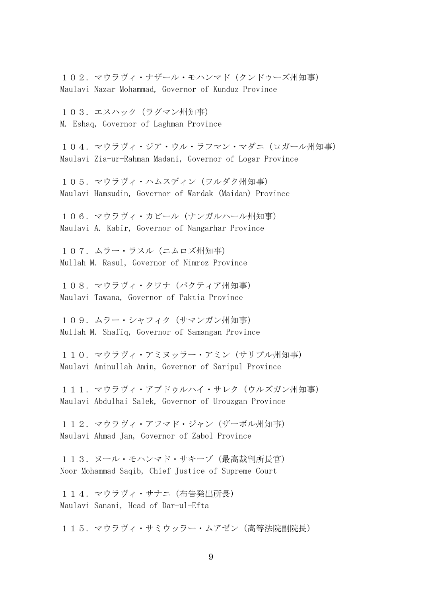102. マウラヴィ・ナザール・モハンマド(クンドゥーズ州知事) Maulavi Nazar Mohammad, Governor of Kunduz Province

103. エスハック (ラグマン州知事) M. Eshaq, Governor of Laghman Province

104.マウラヴィ・ジア・ウル・ラフマン・マダニ(ロガール州知事) Maulavi Zia-ur-Rahman Madani, Governor of Logar Province

105.マウラヴィ・ハムスディン(ワルダク州知事) Maulavi Hamsudin, Governor of Wardak (Maidan) Province

106.マウラヴィ・カビール(ナンガルハール州知事) Maulavi A. Kabir, Governor of Nangarhar Province

107.ムラー・ラスル(ニムロズ州知事) Mullah M. Rasul, Governor of Nimroz Province

108.マウラヴィ・タワナ(パクティア州知事) Maulavi Tawana, Governor of Paktia Province

109. ムラー・シャフィク (サマンガン州知事) Mullah M. Shafiq, Governor of Samangan Province

110. マウラヴィ・アミヌッラー・アミン (サリプル州知事) Maulavi Aminullah Amin, Governor of Saripul Province

111. マウラヴィ・アブドゥルハイ・サレク (ウルズガン州知事) Maulavi Abdulhai Salek, Governor of Urouzgan Province

112. マウラヴィ・アフマド・ジャン (ザーボル州知事) Maulavi Ahmad Jan, Governor of Zabol Province

113. ヌール・モハンマド・サキーブ(最高裁判所長官) Noor Mohammad Saqib, Chief Justice of Supreme Court

114.マウラヴィ・サナニ(布告発出所長) Maulavi Sanani, Head of Dar-ul-Efta

115. マウラヴィ・サミウッラー・ムアゼン (高等法院副院長)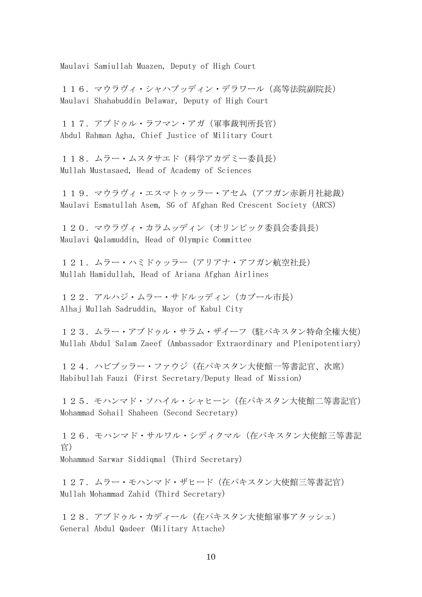Maulavi Samiullah Muazen, Deputy of High Court

116. マウラヴィ・シャハブッディン・デラワール (高等法院副院長) Maulavi Shahabuddin Delawar, Deputy of High Court

117. アブドゥル・ラフマン・アガ (軍事裁判所長官) Abdul Rahman Agha, Chief Justice of Military Court

118. ムラー・ムスタサエド(科学アカデミー委員長) Mullah Mustasaed, Head of Academy of Sciences

119. マウラヴィ・エスマトゥッラー・アセム (アフガン赤新月社総裁) Maulavi Esmatullah Asem, SG of Afghan Red Crescent Society (ARCS)

120. マウラヴィ・カラムッディン(オリンピック委員会委員長) Maulavi Qalamuddin, Head of Olympic Committee

121. ムラー・ハミドゥッラー (アリアナ・アフガン航空社長) Mullah Hamidullah, Head of Ariana Afghan Airlines

122. アルハジ・ムラー・サドルッディン (カブール市長) Alhaj Mullah Sadruddin, Mayor of Kabul City

123.ムラー・アブドゥル・サラム・ザイーフ(駐パキスタン特命全権大使) Mullah Abdul Salam Zaeef (Ambassador Extraordinary and Plenipotentiary)

124. ハビブッラー・ファウジ (在パキスタン大使館一等書記官、次席) Habibullah Fauzi (First Secretary/Deputy Head of Mission)

125. モハンマド・ソハイル・シャヒーン (在パキスタン大使館二等書記官) Mohammad Sohail Shaheen (Second Secretary)

126. モハンマド・サルワル・シディクマル (在パキスタン大使館三等書記 官) Mohammad Sarwar Siddiqmal (Third Secretary)

127. ムラー・モハンマド・ザヒード (在パキスタン大使館三等書記官) Mullah Mohammad Zahid (Third Secretary)

128. アブドゥル・カディール(在パキスタン大使館軍事アタッシェ) General Abdul Qadeer (Military Attache)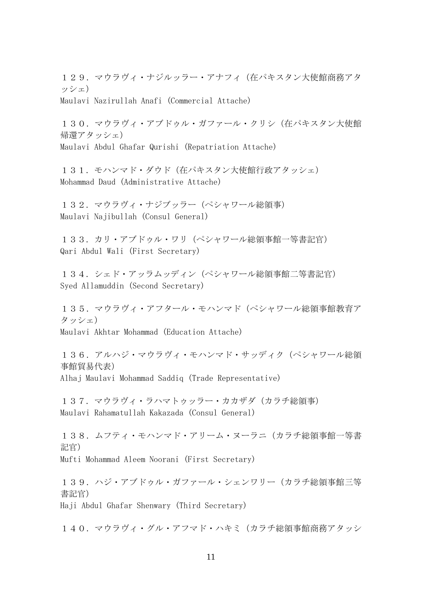129. マウラヴィ・ナジルッラー・アナフィ (在パキスタン大使館商務アタ ッシェ)

Maulavi Nazirullah Anafi (Commercial Attache)

130. マウラヴィ・アブドゥル・ガファール・クリシ (在パキスタン大使館 帰還アタッシェ) Maulavi Abdul Ghafar Qurishi (Repatriation Attache)

131. モハンマド・ダウド (在パキスタン大使館行政アタッシェ) Mohammad Daud (Administrative Attache)

132.マウラヴィ・ナジブッラー(ペシャワール総領事) Maulavi Najibullah (Consul General)

133. カリ・アブドゥル・ワリ (ペシャワール総領事館一等書記官) Qari Abdul Wali (First Secretary)

134. シェド・アッラムッディン (ペシャワール総領事館二等書記官) Syed Allamuddin (Second Secretary)

135.マウラヴィ・アフタール・モハンマド(ペシャワール総領事館教育ア タッシェ) Maulavi Akhtar Mohammad (Education Attache)

136. アルハジ・マウラヴィ・モハンマド・サッディク (ペシャワール総領 事館貿易代表) Alhaj Maulavi Mohammad Saddiq (Trade Representative)

137. マウラヴィ・ラハマトゥッラー・カカザダ (カラチ総領事) Maulavi Rahamatullah Kakazada (Consul General)

138. ムフティ・モハンマド・アリーム・ヌーラニ (カラチ総領事館一等書 記官) Mufti Mohammad Aleem Noorani (First Secretary)

139. ハジ・アブドゥル・ガファール・シェンワリー (カラチ総領事館三等 書記官) Haji Abdul Ghafar Shenwary (Third Secretary)

140. マウラヴィ・グル・アフマド・ハキミ(カラチ総領事館商務アタッシ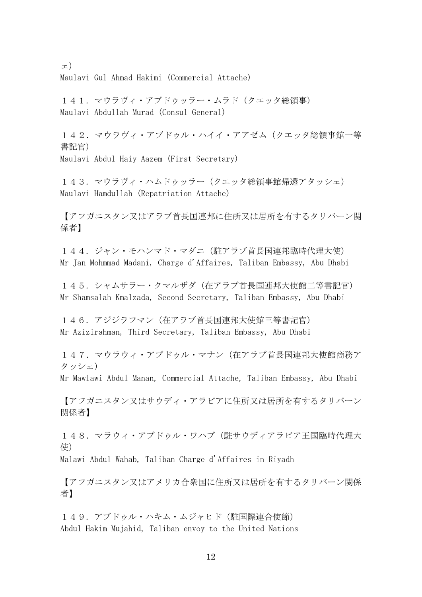ェ) Maulavi Gul Ahmad Hakimi (Commercial Attache)

141.マウラヴィ・アブドゥッラー・ムラド(クエッタ総領事) Maulavi Abdullah Murad (Consul General)

142. マウラヴィ・アブドゥル・ハイイ・アアゼム (クエッタ総領事館一等 書記官) Maulavi Abdul Haiy Aazem (First Secretary)

143. マウラヴィ・ハムドゥッラー(クエッタ総領事館帰還アタッシェ) Maulavi Hamdullah (Repatriation Attache)

【アフガニスタン又はアラブ首長国連邦に住所又は居所を有するタリバーン関 係者】

144. ジャン・モハンマド・マダニ(駐アラブ首長国連邦臨時代理大使) Mr Jan Mohmmad Madani, Charge d'Affaires, Taliban Embassy, Abu Dhabi

145.シャムサラー・クマルザダ(在アラブ首長国連邦大使館二等書記官) Mr Shamsalah Kmalzada, Second Secretary, Taliban Embassy, Abu Dhabi

146. アジジラフマン (在アラブ首長国連邦大使館三等書記官) Mr Azizirahman, Third Secretary, Taliban Embassy, Abu Dhabi

147. マウラウィ・アブドゥル・マナン (在アラブ首長国連邦大使館商務ア タッシェ)

Mr Mawlawi Abdul Manan, Commercial Attache, Taliban Embassy, Abu Dhabi

【アフガニスタン又はサウディ・アラビアに住所又は居所を有するタリバーン 関係者】

148. マラウィ・アブドゥル・ワハブ(駐サウディアラビア王国臨時代理大 使)

Malawi Abdul Wahab, Taliban Charge d'Affaires in Riyadh

【アフガニスタン又はアメリカ合衆国に住所又は居所を有するタリバーン関係 者】

149. アブドゥル・ハキム・ムジャヒド(駐国際連合使節) Abdul Hakim Mujahid, Taliban envoy to the United Nations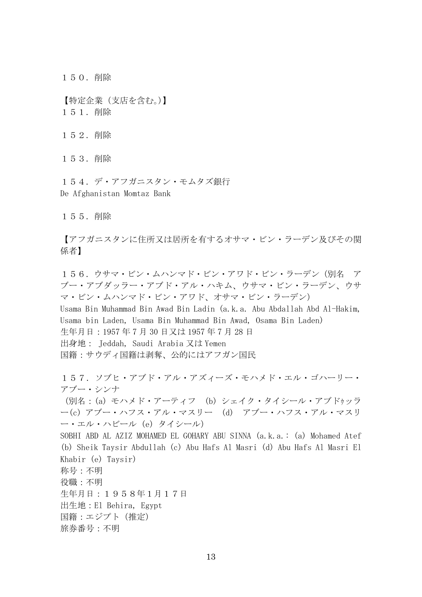150.削除

【特定企業(支店を含む。)】 151.削除

152.削除

153.削除

154. デ・アフガニスタン・モムタズ銀行 De Afghanistan Momtaz Bank

155.削除

【アフガニスタンに住所又は居所を有するオサマ・ビン・ラーデン及びその関 係者】

156.ウサマ・ビン・ムハンマド・ビン・アワド・ビン・ラーデン(別名 ア ブー・アブダッラー・アブド・アル・ハキム、ウサマ・ビン・ラーデン、ウサ マ・ビン・ムハンマド・ビン・アワド、オサマ・ビン・ラーデン)

Usama Bin Muhammad Bin Awad Bin Ladin (a.k.a. Abu Abdallah Abd Al-Hakim, Usama bin Laden, Usama Bin Muhammad Bin Awad, Osama Bin Laden) 生年月日:1957 年 7 月 30 日又は 1957 年 7 月 28 日 出身地: Jeddah, Saudi Arabia 又は Yemen 国籍:サウディ国籍は剥奪、公的にはアフガン国民

157.ソブヒ・アブド・アル・アズィーズ・モハメド・エル・ゴハーリー・ アブー・シンナ (別名:(a) モハメド・アーティフ (b) シェイク・タイシール・アブドゥッラ ー(c) アブー・ハフス・アル・マスリー (d) アブー・ハフス・アル・マスリ ー・エル・ハビール (e) タイシール) SOBHI ABD AL AZIZ MOHAMED EL GOHARY ABU SINNA (a.k.a.: (a) Mohamed Atef (b) Sheik Taysir Abdullah (c) Abu Hafs Al Masri (d) Abu Hafs Al Masri El Khabir (e) Taysir) 称号:不明 役職:不明 生年月日:1958年1月17日 出生地:El Behira, Egypt 国籍:エジプト(推定) 旅券番号:不明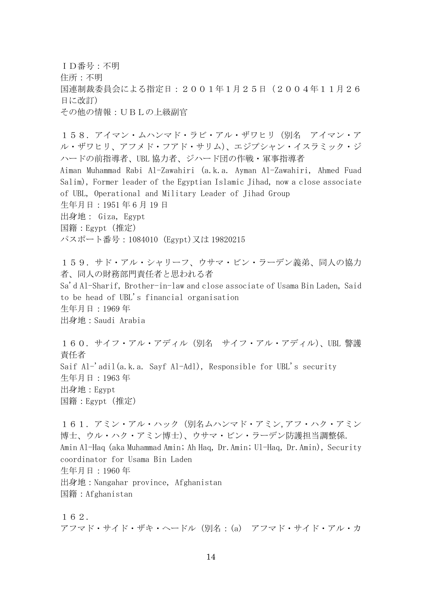ID番号:不明 住所:不明 国連制裁委員会による指定日:2001年1月25日(2004年11月26 日に改訂) その他の情報:UBLの上級副官

158.アイマン・ムハンマド・ラビ・アル・ザワヒリ(別名 アイマン・ア ル・ザワヒリ、アフメド・フアド・サリム)、エジプシャン・イスラミック・ジ ハードの前指導者、UBL 協力者、ジハード団の作戦・軍事指導者 Aiman Muhammad Rabi Al-Zawahiri (a.k.a. Ayman Al-Zawahiri, Ahmed Fuad Salim), Former leader of the Egyptian Islamic Jihad, now a close associate of UBL, Operational and Military Leader of Jihad Group 生年月日:1951 年 6 月 19 日 出身地: Giza, Egypt 国籍:Egypt(推定) パスポート番号:1084010 (Egypt)又は 19820215

159. サド・アル・シャリーフ、ウサマ・ビン・ラーデン義弟、同人の協力 者、同人の財務部門責任者と思われる者 Sa'd Al-Sharif, Brother-in-law and close associate of Usama Bin Laden, Said to be head of UBL's financial organisation 生年月日:1969 年 出身地:Saudi Arabia

160.サイフ・アル・アディル(別名 サイフ・アル・アディル)、UBL 警護 責任者 Saif Al-'adil(a.k.a. Sayf Al-Adl), Responsible for UBL's security 生年月日:1963 年 出身地:Egypt 国籍:Egypt(推定)

161. アミン・アル・ハック (別名ムハンマド・アミン,アフ・ハク・アミン 博士、ウル・ハク・アミン博士)、ウサマ・ビン・ラーデン防護担当調整係. Amin Al-Haq (aka Muhammad Amin; Ah Haq, Dr.Amin; Ul-Haq, Dr.Amin), Security coordinator for Usama Bin Laden 生年月日:1960 年 出身地:Nangahar province, Afghanistan 国籍:Afghanistan

162. アフマド・サイド・ザキ・ヘードル(別名:(a) アフマド・サイド・アル・カ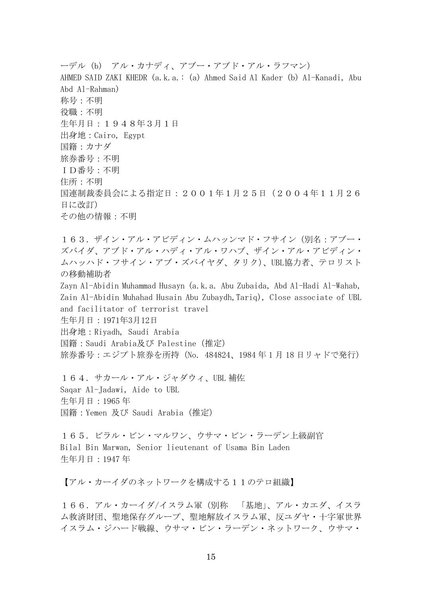ーデル (b) アル・カナディ、アブー・アブド・アル・ラフマン) AHMED SAID ZAKI KHEDR (a.k.a.: (a) Ahmed Said Al Kader (b) Al-Kanadi, Abu Abd Al-Rahman) 称号:不明 役職:不明 生年月日:1948年3月1日 出身地:Cairo, Egypt 国籍:カナダ 旅券番号:不明 ID番号:不明 住所:不明 国連制裁委員会による指定日:2001年1月25日(2004年11月26 日に改訂) その他の情報:不明

163. ザイン・アル・アビディン・ムハッンマド・フサイン(別名:アブー・ ズバイダ、アブド・アル・ハディ・アル・ワハブ、ザイン・アル・アビディン・ ムハッハド・フサイン・アブ・ズバイヤダ、タリク)、UBL協力者、テロリスト の移動補助者

Zayn Al-Abidin Muhammad Husayn (a.k.a. Abu Zubaida, Abd Al-Hadi Al-Wahab, Zain Al-Abidin Muhahad Husain Abu Zubaydh,Tariq), Close associate of UBL and facilitator of terrorist travel

生年月日:1971年3月12日

出身地:Riyadh, Saudi Arabia

国籍:Saudi Arabia及び Palestine(推定)

旅券番号:エジプト旅券を所持 (No. 484824、1984年1月18日リャドで発行)

164. サカール・アル・ジャダウィ、UBL 補佐 Saqar Al-Jadawi, Aide to UBL 生年月日:1965 年 国籍:Yemen 及び Saudi Arabia(推定)

165.ビラル・ビン・マルワン、ウサマ・ビン・ラーデン上級副官 Bilal Bin Marwan, Senior lieutenant of Usama Bin Laden 生年月日:1947 年

【アル・カーイダのネットワークを構成する11のテロ組織】

166.アル・カーイダ/イスラム軍(別称 「基地」、アル・カエダ、イスラ ム救済財団、聖地保存グループ、聖地解放イスラム軍、反ユダヤ・十字軍世界 イスラム・ジハード戦線、ウサマ・ビン・ラーデン・ネットワーク、ウサマ・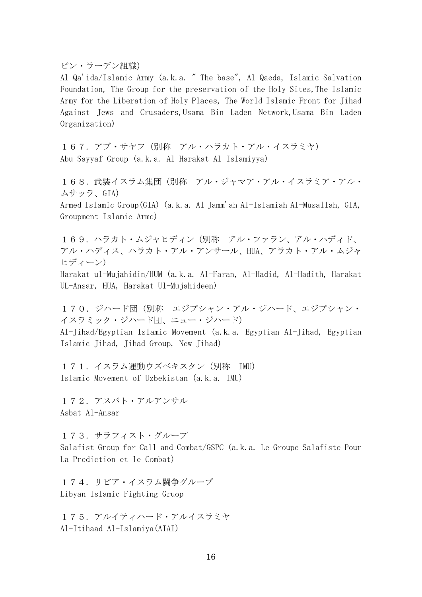ビン・ラーデン組織)

Al Qa'ida/Islamic Army (a.k.a. " The base", Al Qaeda, Islamic Salvation Foundation, The Group for the preservation of the Holy Sites, The Islamic Army for the Liberation of Holy Places, The World Islamic Front for Jihad Against Jews and Crusaders,Usama Bin Laden Network,Usama Bin Laden Organization)

167. アブ・サヤフ (別称 アル・ハラカト・アル・イスラミヤ) Abu Sayyaf Group (a.k.a. Al Harakat Al Islamiyya)

168. 武装イスラム集団(別称 アル・ジャマア・アル・イスラミア・アル・ ムサッラ、GIA)

Armed Islamic Group(GIA) (a.k.a. Al Jamm'ah Al-Islamiah Al-Musallah, GIA, Groupment Islamic Arme)

169. ハラカト・ムジャヒディン(別称 アル・ファラン、アル・ハディド、 アル・ハディス、ハラカト・アル・アンサール、HUA、アラカト・アル・ムジャ ヒディーン)

Harakat ul-Mujahidin/HUM (a.k.a. Al-Faran, Al-Hadid, Al-Hadith, Harakat UL-Ansar, HUA, Harakat Ul-Mujahideen)

170.ジハード団(別称 エジプシャン・アル・ジハード、エジプシャン・ イスラミック・ジハード団、ニュー・ジハード)

Al-Jihad/Egyptian Islamic Movement (a.k.a. Egyptian Al-Jihad, Egyptian Islamic Jihad, Jihad Group, New Jihad)

171. イスラム運動ウズベキスタン (別称 IMU) Islamic Movement of Uzbekistan (a.k.a. IMU)

172.アスバト・アルアンサル Asbat Al-Ansar

173.サラフィスト・グループ Salafist Group for Call and Combat/GSPC (a.k.a. Le Groupe Salafiste Pour La Prediction et le Combat)

174. リビア・イスラム闘争グループ Libyan Islamic Fighting Gruop

175. アルイティハード・アルイスラミヤ Al-Itihaad Al-Islamiya(AIAI)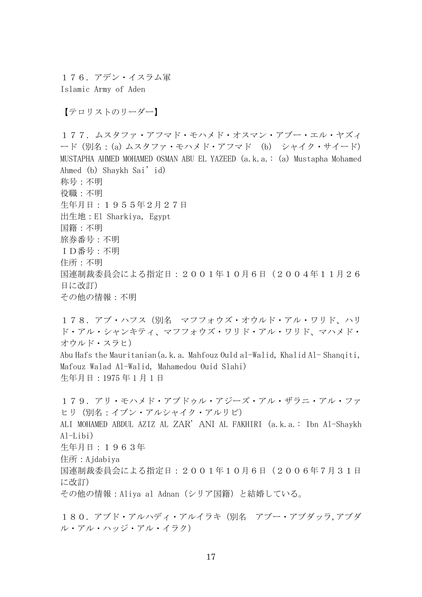176.アデン・イスラム軍 Islamic Army of Aden

【テロリストのリーダー】

177.ムスタファ・アフマド・モハメド・オスマン・アブー・エル・ヤズィ ード(別名:(a) ムスタファ・モハメド・アフマド (b) シャイク・サイード) MUSTAPHA AHMED MOHAMED OSMAN ABU EL YAZEED (a.k.a.: (a) Mustapha Mohamed Ahmed (b) Shaykh Sai'id) 称号:不明 役職:不明 生年月日:1955年2月27日 出生地:El Sharkiya, Egypt 国籍:不明 旅券番号:不明 ID番号:不明 住所:不明 国連制裁委員会による指定日:2001年10月6日(2004年11月26 日に改訂) その他の情報:不明

178. アブ・ハフス(別名 マフフォウズ・オウルド・アル・ワリド、ハリ ド・アル・シャンキティ、マフフォウズ・ワリド・アル・ワリド、マハメド・ オウルド・スラヒ) Abu Hafs the Mauritanian(a.k.a. Mahfouz Ould al-Walid, Khalid Al- Shanqiti, Mafouz Walad Al-Walid, Mahamedou Ouid Slahi) 生年月日:1975 年 1 月 1 日

179.アリ・モハメド・アブドゥル・アジーズ・アル・ザラニ・アル・ファ ヒリ(別名:イブン・アルシャイク・アルリビ) ALI MOHAMED ABDUL AZIZ AL ZAR' ANI AL FAKHIRI (a.k.a.: Ibn Al-Shaykh  $Al-I<sub>th</sub>$ i $)$ 生年月日:1963年 住所:Ajdabiya 国連制裁委員会による指定日:2001年10月6日(2006年7月31日 に改訂) その他の情報:Aliya al Adnan(シリア国籍)と結婚している。

180. アブド・アルハディ・アルイラキ(別名 アブー・アブダッラ,アブダ ル・アル・ハッジ・アル・イラク)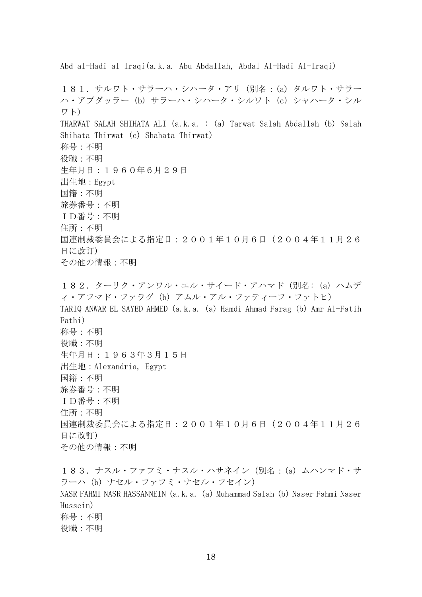Abd al-Hadi al Iraqi(a.k.a. Abu Abdallah, Abdal Al-Hadi Al-Iraqi) 181.サルワト・サラーハ・シハータ・アリ(別名:(a) タルワト・サラー ハ・アブダッラー (b) サラーハ・シハータ・シルワト (c) シャハータ・シル ワト) THARWAT SALAH SHIHATA ALI (a.k.a. : (a) Tarwat Salah Abdallah (b) Salah Shihata Thirwat (c) Shahata Thirwat) 称号:不明 役職:不明 生年月日:1960年6月29日 出生地:Egypt 国籍:不明 旅券番号:不明 ID番号:不明 住所:不明 国連制裁委員会による指定日:2001年10月6日(2004年11月26 日に改訂) その他の情報:不明 182.ターリク・アンワル・エル・サイード・アハマド(別名: (a) ハムデ ィ・アフマド・ファラグ (b) アムル・アル・ファティーフ・ファトヒ) TARIQ ANWAR EL SAYED AHMED (a.k.a. (a) Hamdi Ahmad Farag (b) Amr Al-Fatih Fathi) 称号:不明 役職:不明 生年月日:1963年3月15日 出生地:Alexandria, Egypt 国籍:不明 旅券番号:不明 ID番号:不明 住所:不明 国連制裁委員会による指定日:2001年10月6日(2004年11月26 日に改訂)

その他の情報:不明 183.ナスル・ファフミ・ナスル・ハサネイン(別名:(a) ムハンマド・サ ラーハ (b) ナセル・ファフミ・ナセル・フセイン) NASR FAHMI NASR HASSANNEIN (a.k.a. (a) Muhammad Salah (b) Naser Fahmi Naser Hussein) 称号:不明 役職:不明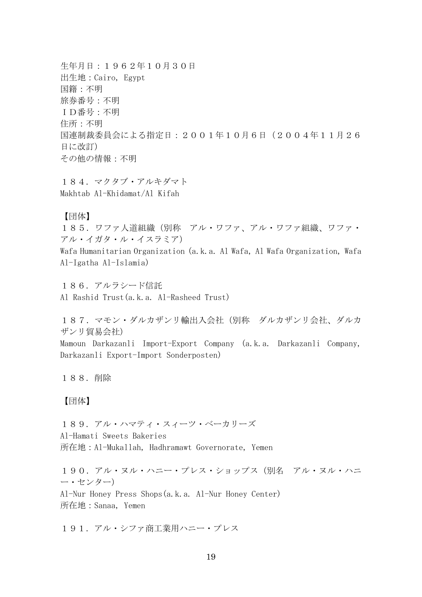生年月日:1962年10月30日 出生地:Cairo, Egypt 国籍:不明 旅券番号:不明 ID番号:不明 住所:不明 国連制裁委員会による指定日:2001年10月6日(2004年11月26 日に改訂) その他の情報:不明

184.マクタブ・アルキダマト Makhtab Al-Khidamat/Al Kifah

【団体】

185.ワファ人道組織(別称 アル・ワファ、アル・ワファ組織、ワファ・ アル・イガタ・ル・イスラミア) Wafa Humanitarian Organization (a.k.a. Al Wafa, Al Wafa Organization, Wafa Al-Igatha Al-Islamia)

186.アルラシード信託 Al Rashid Trust(a.k.a. Al-Rasheed Trust)

187. マモン・ダルカザンリ輸出入会社(別称 ダルカザンリ会社、ダルカ ザンリ貿易会社)

Mamoun Darkazanli Import-Export Company (a.k.a. Darkazanli Company, Darkazanli Export-Import Sonderposten)

188.削除

# 【団体】

189.アル・ハマティ・スィーツ・ベーカリーズ Al-Hamati Sweets Bakeries 所在地:Al-Mukallah, Hadhramawt Governorate, Yemen

190. アル・ヌル・ハニー・プレス・ショップス (別名 アル・ヌル・ハニ ー・センター)

Al-Nur Honey Press Shops(a.k.a. Al-Nur Honey Center) 所在地:Sanaa, Yemen

191. アル・シファ商工業用ハニー・プレス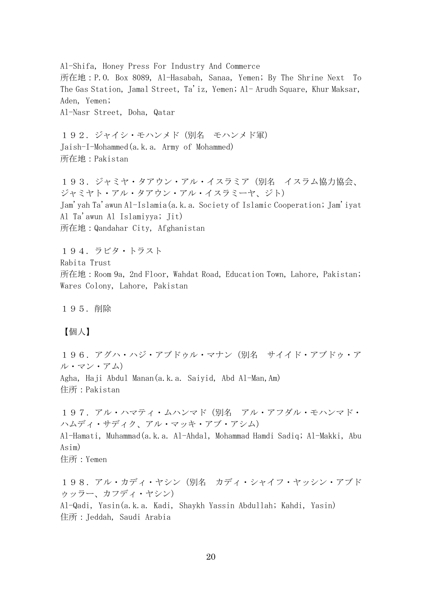Al-Shifa, Honey Press For Industry And Commerce 所在地:P.O. Box 8089, Al-Hasabah, Sanaa, Yemen; By The Shrine Next To The Gas Station, Jamal Street, Ta'iz, Yemen; Al- Arudh Square, Khur Maksar, Aden, Yemen; Al-Nasr Street, Doha, Qatar

192. ジャイシ・モハンメド(別名 モハンメド軍) Jaish-I-Mohammed(a.k.a. Army of Mohammed) 所在地:Pakistan

193. ジャミヤ・タアウン・アル・イスラミア(別名 イスラム協力協会、 ジャミヤト・アル・タアウン・アル・イスラミーヤ、ジト) Jam'yah Ta'awun Al-Islamia(a.k.a. Society of Islamic Cooperation; Jam'iyat Al Ta'awun Al Islamiyya; Jit) 所在地:Qandahar City, Afghanistan

194.ラビタ・トラスト Rabita Trust 所在地:Room 9a, 2nd Floor, Wahdat Road, Education Town, Lahore, Pakistan; Wares Colony, Lahore, Pakistan

195.削除

【個人】

196.アグハ・ハジ・アブドゥル・マナン(別名 サイイド・アブドゥ・ア ル・マン・アム) Agha, Haji Abdul Manan(a.k.a. Saiyid, Abd Al-Man,Am) 住所:Pakistan

197. アル・ハマティ・ムハンマド(別名 アル・アフダル・モハンマド・ ハムディ・サディク、アル・マッキ・アブ・アシム)

Al-Hamati, Muhammad(a.k.a. Al-Ahdal, Mohammad Hamdi Sadiq; Al-Makki, Abu Asim)

住所:Yemen

198. アル・カディ・ヤシン(別名 カディ・シャイフ・ヤッシン・アブド ゥッラー、カフディ・ヤシン) Al-Qadi, Yasin(a.k.a. Kadi, Shaykh Yassin Abdullah; Kahdi, Yasin) 住所:Jeddah, Saudi Arabia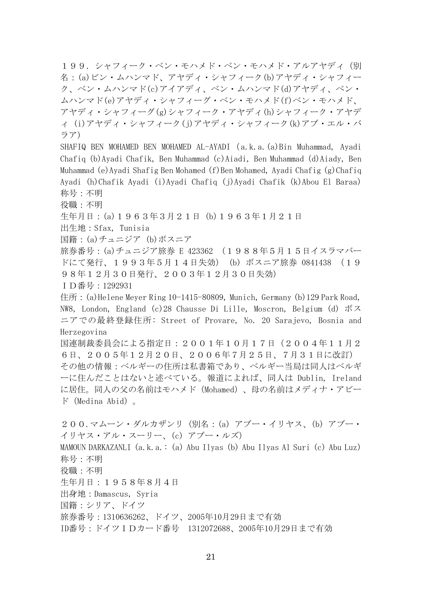199. シャフィーク・ベン・モハメド・ベン・モハメド・アルアヤディ(別 名:(a)ビン・ムハンマド、アヤディ・シャフィーク(b)アヤディ・シャフィー ク、ベン・ムハンマド(c)アイアディ、ベン・ムハンマド(d)アヤディ、ベン・ ムハンマド(e)アヤディ・シャフィーグ・ベン・モハメド(f)ベン・モハメド、 アヤディ・シャフィーグ(g)シャフィーク・アヤディ(h)シャフィーク・アヤデ ィ (i)アヤディ・シャフィーク(j)アヤディ・シャフィーク(k)アブ・エル・バ ラア)

SHAFIQ BEN MOHAMED BEN MOHAMED AL-AYADI( a.k.a.(a)Bin Muhammad, Ayadi Chafiq (b)Ayadi Chafik, Ben Muhammad (c)Aiadi, Ben Muhammad (d)Aiady, Ben Muhammad (e)Ayadi Shafig Ben Mohamed (f)Ben Mohamed, Ayadi Chafig (g)Chafiq Ayadi (h)Chafik Ayadi (i)Ayadi Chafiq (j)Ayadi Chafik (k)Abou El Baraa) 称号:不明

役職:不明

生年月日:(a)1963年3月21日 (b)1963年1月21日

出生地:Sfax, Tunisia

国籍:(a)チュニジア (b)ボスニア

旅券番号:(a)チュニジア旅券 E 423362 (1988年5月15日イスラマバー ドにて発行、1993年5月14日失効) (b) ボスニア旅券 0841438 (19 98年12月30日発行、2003年12月30日失効)

ID番号:1292931

住所: (a)Helene Meyer Ring 10-1415-80809, Munich, Germany (b)129 Park Road, NW8, London, England (c)28 Chausse Di Lille, Moscron, Belgium (d) ボス ニアでの最終登録住所: Street of Provare, No. 20 Sarajevo, Bosnia and Herzegovina

国連制裁委員会による指定日:2001年10月17日(2004年11月2 6日、2005年12月20日、2006年7月25日、7月31日に改訂) その他の情報:ベルギーの住所は私書箱であり、ベルギー当局は同人はベルギ ーに住んだことはないと述べている。報道によれば、同人は Dublin, Ireland に居住。同人の父の名前はモハメド(Mohamed)、母の名前はメディナ・アビー ド(Medina Abid)。

200.マムーン・ダルカザンリ(別名:(a) アブー・イリヤス、(b) アブー・ イリヤス・アル・スーリー、(c) アブー・ルズ) MAMOUN DARKAZANLI (a.k.a.: (a) Abu Ilyas (b) Abu Ilyas Al Suri (c) Abu Luz) 称号:不明 役職:不明 生年月日:1958年8月4日 出身地:Damascus, Syria 国籍:シリア、ドイツ 旅券番号:1310636262、ドイツ、2005年10月29日まで有効 ID番号:ドイツIDカード番号 1312072688、2005年10月29日まで有効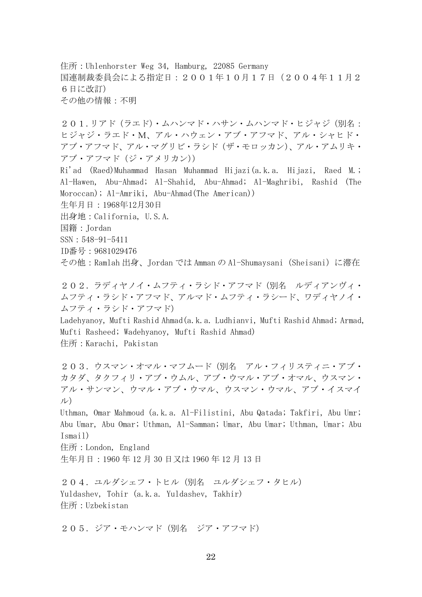住所:Uhlenhorster Weg 34, Hamburg, 22085 Germany 国連制裁委員会による指定日:2001年10月17日(2004年11月2 6日に改訂) その他の情報:不明

201.リアド(ラエド)・ムハンマド・ハサン・ムハンマド・ヒジャジ(別名: ヒジャジ・ラエド・M、アル・ハウェン・アブ・アフマド、アル・シャヒド・ アブ・アフマド、アル・マグリビ・ラシド(ザ・モロッカン)、アル・アムリキ・ アブ・アフマド(ジ・アメリカン))

Ri'ad (Raed)Muhammad Hasan Muhammad Hijazi(a.k.a. Hijazi, Raed M.; Al-Hawen, Abu-Ahmad; Al-Shahid, Abu-Ahmad; Al-Maghribi, Rashid (The Moroccan); Al-Amriki, Abu-Ahmad(The American)) 生年月日:1968年12月30日

出身地:California, U.S.A.

国籍:Jordan

SSN:548-91-5411

ID番号:9681029476

その他:Ramlah 出身、Jordan では Amman の Al-Shumaysani(Sheisani)に滞在

202.ラディヤノイ・ムフティ・ラシド・アフマド(別名 ルディアンヴィ・ ムフティ・ラシド・アフマド、アルマド・ムフティ・ラシード、ワディヤノイ・ ムフティ・ラシド・アフマド)

Ladehyanoy, Mufti Rashid Ahmad(a.k.a. Ludhianvi, Mufti Rashid Ahmad; Armad, Mufti Rasheed; Wadehyanoy, Mufti Rashid Ahmad) 住所:Karachi, Pakistan

203.ウスマン・オマル・マフムード(別名 アル・フィリスティニ・アブ・ カタダ、タクフィリ・アブ・ウムル、アブ・ウマル・アブ・オマル、ウスマン・ アル・サンマン、ウマル・アブ・ウマル、ウスマン・ウマル、アブ・イスマイ ル)

Uthman, Omar Mahmoud (a.k.a. Al-Filistini, Abu Qatada; Takfiri, Abu Umr; Abu Umar, Abu Omar; Uthman, Al-Samman; Umar, Abu Umar; Uthman, Umar; Abu Ismail)

住所:London, England

生年月日:1960 年 12 月 30 日又は 1960 年 12 月 13 日

204. ユルダシェフ・トヒル(別名 ユルダシェフ・タヒル) Yuldashev, Tohir (a.k.a. Yuldashev, Takhir) 住所:Uzbekistan

205.ジア・モハンマド(別名 ジア・アフマド)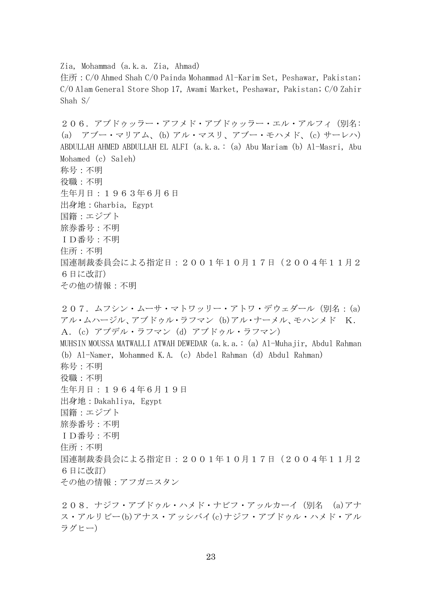Zia, Mohammad (a.k.a. Zia, Ahmad)

住所:C/O Ahmed Shah C/O Painda Mohammad Al-Karim Set, Peshawar, Pakistan; C/O Alam General Store Shop 17, Awami Market, Peshawar, Pakistan; C/O Zahir Shah S/

206.アブドゥッラー・アフメド・アブドゥッラー・エル・アルフィ(別名: (a) アブー・マリアム、(b) アル・マスリ、アブー・モハメド、(c) サーレハ) ABDULLAH AHMED ABDULLAH EL ALFI (a.k.a.: (a) Abu Mariam (b) Al-Masri, Abu Mohamed (c) Saleh) 称号:不明 役職:不明 生年月日:1963年6月6日 出身地:Gharbia, Egypt 国籍:エジプト 旅券番号:不明 ID番号:不明 住所:不明 国連制裁委員会による指定日:2001年10月17日(2004年11月2 6日に改訂) その他の情報:不明

207. ムフシン・ムーサ・マトワッリー・アトワ・デウェダール (別名: (a) アル・ムハージル、アブドゥル・ラフマン (b)アル・ナーメル、モハンメド K. A.(c) アブデル・ラフマン (d) アブドゥル・ラフマン) MUHSIN MOUSSA MATWALLI ATWAH DEWEDAR (a.k.a.: (a) Al-Muhajir, Abdul Rahman (b) Al-Namer, Mohammed K.A. (c) Abdel Rahman (d) Abdul Rahman) 称号:不明 役職:不明 生年月日:1964年6月19日 出身地:Dakahliya, Egypt 国籍:エジプト 旅券番号:不明 ID番号:不明 住所:不明 国連制裁委員会による指定日:2001年10月17日(2004年11月2 6日に改訂) その他の情報:アフガニスタン

208.ナジフ・アブドゥル・ハメド・ナビフ・アッルカーイ(別名 (a)アナ ス・アルリビー(b)アナス・アッシバイ(c)ナジフ・アブドゥル・ハメド・アル ラグヒー)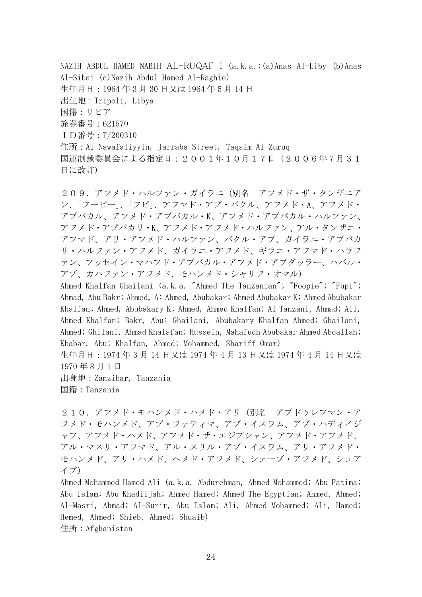NAZIH ABDUL HAMED NABIH AL-RUQAI' I (a.k.a.:(a)Anas Al-Liby (b)Anas Al-Sibai (c)Nazih Abdul Hamed Al-Raghie) 生年月日:1964 年 3 月 30 日又は 1964 年 5 月 14 日 出生地:Tripoli, Libya 国籍:リビア 旅券番号:621570 ID番号:T/200310 住所:Al Nawafaliyyin, Jarraba Street, Taqsim Al Zuruq 国連制裁委員会による指定日:2001年10月17日(2006年7月31 日に改訂)

209.アフメド・ハルファン・ガイラニ(別名 アフメド・ザ・タンザニア ン、「フーピー」、「フピ」、アフマド・アブ・バクル、アフメド・A、アフメド・ アブバカル、アフメド・アブバカル・K、アフメド・アブバカル・ハルファン、 アフメド・アブバカリ・K、アフメド・アフメド・ハルファン、アル・タンザニ・ アフマド、アリ・アフメド・ハルファン、バクル・アブ、ガイラニ・アブバカ リ・ハルファン・アフメド、ガイラニ・アフメド、ギラニ・アフマド・ハラフ ァン、フッセイン・マハフド・アブバカル・アフメド・アブダッラー、ハバル・ アブ、カハファン・アフメド、モハンメド・シャリフ・オマル)

Ahmed Khalfan Ghailani (a.k.a. "Ahmed The Tanzanian"; "Foopie"; "Fupi"; Ahmad, Abu Bakr; Ahmed, A; Ahmed, Abubakar; Ahmed Abubakar K; Ahmed Abubakar Khalfan; Ahmed, Abubakary K; Ahmed, Ahmed Khalfan; Al Tanzani, Ahmad; Ali, Ahmed Khalfan; Bakr, Abu; Ghailani, Abubakary Khalfan Ahmed; Ghailani, Ahmed; Ghilani, Ahmad Khalafan; Hussein, Mahafudh Abubakar Ahmed Abdallah; Khabar, Abu; Khalfan, Ahmed; Mohammed, Shariff Omar)

生年月日:1974 年 3 月 14 日又は 1974 年 4 月 13 日又は 1974 年 4 月 14 日又は 1970 年 8 月 1 日

出身地:Zanzibar, Tanzania 国籍:Tanzania

210.アフメド・モハンメド・ハメド・アリ(別名 アブドゥレフマン・ア フメド・モハンメド、アブ・ファティマ、アブ・イスラム、アブ・ハディイジ ャフ、アフメド・ハメド、アフメド・ザ・エジプシャン、アフメド・アフメド、 アル・マスリ・アフマド、アル・スリル・アブ・イスラム、アリ・アフメド・ モハンメド、アリ・ハメド、ヘメド・アフメド、シェーブ・アフメド、シュア イブ)

Ahmed Mohammed Hamed Ali (a.k.a. Abdurehman, Ahmed Mohammed; Abu Fatima; Abu Islam; Abu Khadiijah; Ahmed Hamed; Ahmed The Egyptian; Ahmed, Ahmed; Al-Masri, Ahmad; Al-Surir, Abu Islam; Ali, Ahmed Mohammed; Ali, Hamed; Hemed, Ahmed; Shieb, Ahmed; Shuaib) 住所:Afghanistan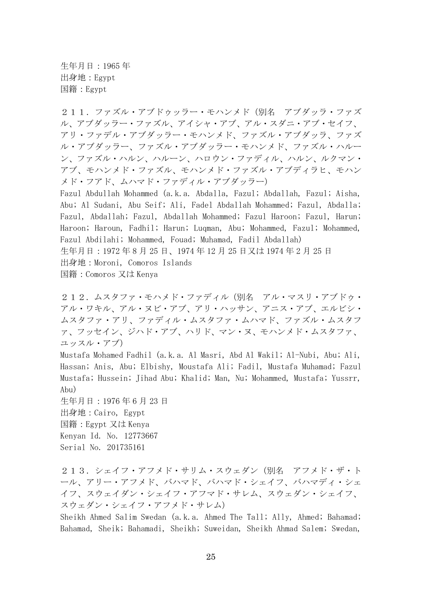生年月日:1965 年 出身地:Egypt 国籍:Egypt

211.ファズル・アブドゥッラー・モハンメド(別名 アブダッラ・ファズ ル、アブダッラー・ファズル、アイシャ・アブ、アル・スダニ・アブ・セイフ、 アリ・ファデル・アブダッラー・モハンメド、ファズル・アブダッラ、ファズ ル・アブダッラー、ファズル・アブダッラー・モハンメド、ファズル・ハルー ン、ファズル・ハルン、ハルーン、ハロウン・ファディル、ハルン、ルクマン・ アブ、モハンメド・ファズル、モハンメド・ファズル・アブディラヒ、モハン メド・フアド、ムハマド・ファディル・アブダッラー)

Fazul Abdullah Mohammed (a.k.a. Abdalla, Fazul; Abdallah, Fazul; Aisha, Abu; Al Sudani, Abu Seif; Ali, Fadel Abdallah Mohammed; Fazul, Abdalla; Fazul, Abdallah; Fazul, Abdallah Mohammed; Fazul Haroon; Fazul, Harun; Haroon; Haroun, Fadhil; Harun; Luqman, Abu; Mohammed, Fazul; Mohammed, Fazul Abdilahi; Mohammed, Fouad; Muhamad, Fadil Abdallah) 生年月日:1972 年 8 月 25 日、1974 年 12 月 25 日又は 1974 年 2 月 25 日 出身地:Moroni, Comoros Islands 国籍:Comoros 又は Kenya

212.ムスタファ・モハメド・ファディル(別名 アル・マスリ・アブドゥ・ アル・ワキル、アル・ヌビ・アブ、アリ・ハッサン、アニス・アブ、エルビシ・ ムスタファ・アリ、ファディル・ムスタファ・ムハマド、ファズル・ムスタフ ァ、フッセイン、ジハド・アブ、ハリド、マン・ヌ、モハンメド・ムスタファ、 ユッスル・アブ)

Mustafa Mohamed Fadhil (a.k.a. Al Masri, Abd Al Wakil; Al-Nubi, Abu; Ali, Hassan; Anis, Abu; Elbishy, Moustafa Ali; Fadil, Mustafa Muhamad; Fazul Mustafa; Hussein; Jihad Abu; Khalid; Man, Nu; Mohammed, Mustafa; Yussrr, Abu)

生年月日:1976 年 6 月 23 日 出身地:Cairo, Egypt 国籍:Egypt 又は Kenya Kenyan Id. No. 12773667 Serial No. 201735161

213.シェイフ・アフメド・サリム・スウェダン(別名 アフメド・ザ・ト ール、アリー・アフメド、バハマド、バハマド・シェイフ、バハマディ・シェ イフ、スウェイダン・シェイフ・アフマド・サレム、スウェダン・シェイフ、 スウェダン・シェイフ・アフメド・サレム)

Sheikh Ahmed Salim Swedan (a.k.a. Ahmed The Tall; Ally, Ahmed; Bahamad; Bahamad, Sheik; Bahamadi, Sheikh; Suweidan, Sheikh Ahmad Salem; Swedan,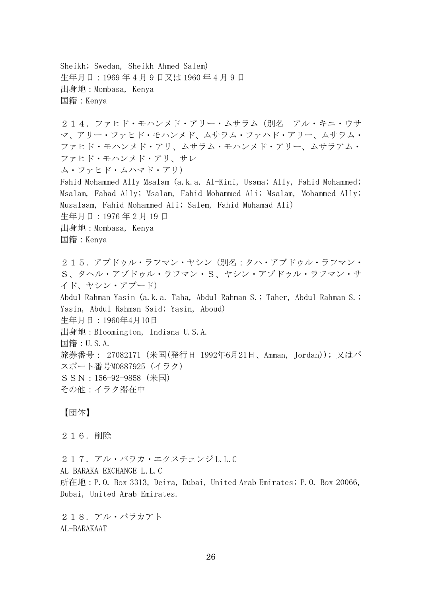Sheikh; Swedan, Sheikh Ahmed Salem) 生年月日:1969 年 4 月 9 日又は 1960 年 4 月 9 日 出身地:Mombasa, Kenya 国籍:Kenya

214.ファヒド・モハンメド・アリー・ムサラム(別名 アル・キニ・ウサ マ、アリー・ファヒド・モハンメド、ムサラム・ファハド・アリー、ムサラム・ ファヒド・モハンメド・アリ、ムサラム・モハンメド・アリー、ムサラアム・ ファヒド・モハンメド・アリ、サレ ム・ファヒド・ムハマド・アリ) Fahid Mohammed Ally Msalam (a.k.a. Al-Kini, Usama; Ally, Fahid Mohammed; Msalam, Fahad Ally; Msalam, Fahid Mohammed Ali; Msalam, Mohammed Ally; Musalaam, Fahid Mohammed Ali; Salem, Fahid Muhamad Ali) 生年月日:1976 年 2 月 19 日 出身地:Mombasa, Kenya 国籍:Kenya 215.アブドゥル・ラフマン・ヤシン(別名:タハ・アブドゥル・ラフマン・ S、タヘル・アブドゥル・ラフマン・S、ヤシン・アブドゥル・ラフマン・サ イド、ヤシン・アブード)

Abdul Rahman Yasin (a.k.a. Taha, Abdul Rahman S.; Taher, Abdul Rahman S.; Yasin, Abdul Rahman Said; Yasin, Aboud) 生年月日:1960年4月10日

出身地:Bloomington, Indiana U.S.A.

国籍:U.S.A.

旅券番号: 27082171 (米国(発行日 1992年6月21日、Amman, Jordan)); 又はパ スポート番号MO887925 (イラク)

- SSN:156-92-9858 (米国)
- その他:イラク滞在中

## 【団体】

### 216.削除

217. アル・バラカ・エクスチェンジ L.L.C AL BARAKA EXCHANGE L.L.C 所在地:P.O. Box 3313, Deira, Dubai, United Arab Emirates; P.O. Box 20066, Dubai, United Arab Emirates.

218.アル・バラカアト AL-BARAKAAT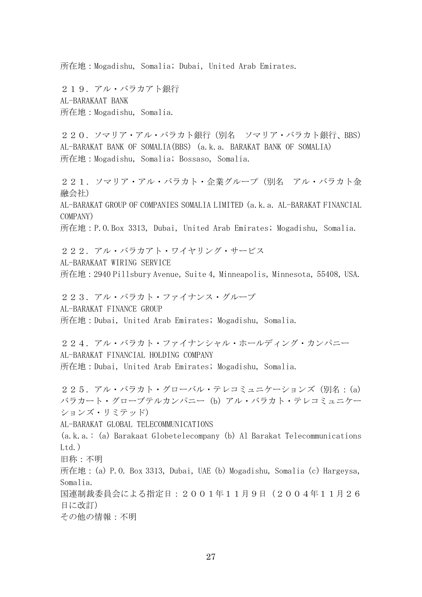所在地:Mogadishu, Somalia; Dubai, United Arab Emirates.

219.アル・バラカアト銀行 AL-BARAKAAT BANK 所在地:Mogadishu, Somalia.

220. ソマリア・アル・バラカト銀行(別名 ソマリア・バラカト銀行、BBS) AL-BARAKAT BANK OF SOMALIA(BBS) (a.k.a. BARAKAT BANK OF SOMALIA) 所在地:Mogadishu, Somalia; Bossaso, Somalia.

221.ソマリア・アル・バラカト・企業グループ(別名 アル・バラカト金 融会社) AL-BARAKAT GROUP OF COMPANIES SOMALIA LIMITED (a.k.a. AL-BARAKAT FINANCIAL COMPANY) 所在地:P.O.Box 3313, Dubai, United Arab Emirates; Mogadishu, Somalia. 222.アル・バラカアト・ワイヤリング・サービス AL-BARAKAAT WIRING SERVICE 所在地:2940 Pillsbury Avenue, Suite 4, Minneapolis, Minnesota, 55408, USA. 223. アル・バラカト・ファイナンス・グループ AL-BARAKAT FINANCE GROUP 所在地:Dubai, United Arab Emirates; Mogadishu, Somalia. 224.アル・バラカト・ファイナンシャル・ホールディング・カンパニー AL-BARAKAT FINANCIAL HOLDING COMPANY 所在地:Dubai, United Arab Emirates; Mogadishu, Somalia. 225. アル・バラカト・グローバル・テレコミュニケーションズ (別名: (a) バラカート・グローブテルカンパニー (b) アル・バラカト・テレコミュニケー ションズ・リミテッド) AL-BARAKAT GLOBAL TELECOMMUNICATIONS (a.k.a.: (a) Barakaat Globetelecompany (b) Al Barakat Telecommunications  $Ltd.$ ) 旧称:不明 所在地:(a) P.O. Box 3313, Dubai, UAE (b) Mogadishu, Somalia (c) Hargeysa,

Somalia. 国連制裁委員会による指定日:2001年11月9日(2004年11月26 日に改訂)

その他の情報:不明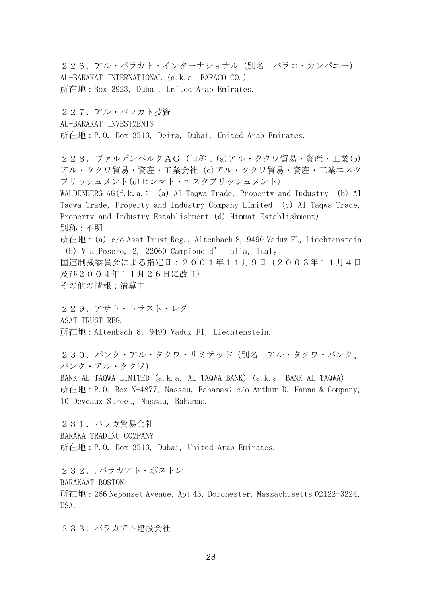226.アル・バラカト・インターナショナル(別名 バラコ・カンパニー) AL-BARAKAT INTERNATIONAL (a.k.a. BARACO CO.) 所在地:Box 2923, Dubai, United Arab Emirates.

227.アル・バラカト投資 AL-BARAKAT INVESTMENTS 所在地:P.O. Box 3313, Deira, Dubai, United Arab Emirates.

228.ヴァルデンベルクAG(旧称:(a)アル・タクワ貿易・資産・工業(b) アル・タクワ貿易・資産・工業会社(c)アル・タクワ貿易・資産・工業エスタ ブリッシュメント(d)ヒンマト・エスタブリッシュメント) WALDENBERG AG $(f, k, a. : (a)$  Al Taqwa Trade, Property and Industry  $(b)$  Al Taqwa Trade, Property and Industry Company Limited (c) Al Taqwa Trade, Property and Industry Establishment (d) Himmat Establishment) 別称:不明 所在地: (a) c/o Asat Trust Reg., Altenbach 8, 9490 Vaduz FL, Liechtenstein (b) Via Posero, 2, 22060 Campione d'Italia, Italy 国連制裁委員会による指定日:2001年11月9日(2003年11月4日 及び2004年11月26日に改訂) その他の情報:清算中

229.アサト・トラスト・レグ ASAT TRUST REG. 所在地:Altenbach 8, 9490 Vaduz Fl, Liechtenstein.

230. バンク・アル・タクワ・リミテッド(別名 アル・タクワ・バンク、 バンク・アル・タクワ) BANK AL TAQWA LIMITED (a.k.a. AL TAQWA BANK) (a.k.a. BANK AL TAQWA) 所在地:P.O. Box N-4877, Nassau, Bahamas; c/o Arthur D. Hanna & Company, 10 Deveaux Street, Nassau, Bahamas.

231.バラカ貿易会社 BARAKA TRADING COMPANY 所在地:P.O. Box 3313, Dubai, United Arab Emirates.

232..バラカアト・ボストン

BARAKAAT BOSTON

所在地:266 Neponset Avenue, Apt 43, Dorchester, Massachusetts 02122-3224, USA.

233. バラカアト建設会社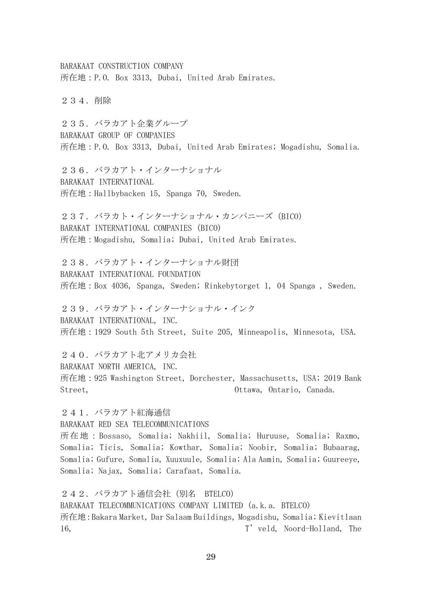BARAKAAT CONSTRUCTION COMPANY 所在地:P.O. Box 3313, Dubai, United Arab Emirates.

234.削除

235.バラカアト企業グループ BARAKAAT GROUP OF COMPANIES 所在地:P.O. Box 3313, Dubai, United Arab Emirates; Mogadishu, Somalia.

236.バラカアト・インターナショナル BARAKAAT INTERNATIONAL 所在地:Hallbybacken 15, Spanga 70, Sweden.

237.バラカト・インターナショナル・カンパニーズ(BICO) BARAKAT INTERNATIONAL COMPANIES (BICO) 所在地:Mogadishu, Somalia; Dubai, United Arab Emirates.

238. バラカアト・インターナショナル財団 BARAKAAT INTERNATIONAL FOUNDATION 所在地:Box 4036, Spanga, Sweden; Rinkebytorget 1, 04 Spanga , Sweden.

239. バラカアト・インターナショナル・インク BARAKAAT INTERNATIONAL, INC. 所在地:1929 South 5th Street, Suite 205, Minneapolis, Minnesota, USA.

240. バラカアト北アメリカ会社 BARAKAAT NORTH AMERICA, INC. 所在地:925 Washington Street, Dorchester, Massachusetts, USA; 2019 Bank Street, Ottawa, Ontario, Canada.

241. バラカアト紅海通信 BARAKAAT RED SEA TELECOMMUNICATIONS 所在地:Bossaso, Somalia; Nakhiil, Somalia; Huruuse, Somalia; Raxmo, Somalia; Ticis, Somalia; Kowthar, Somalia; Noobir, Somalia; Bubaarag, Somalia; Gufure, Somalia, Xuuxuule, Somalia; Ala Aamin, Somalia; Guureeye, Somalia; Najax, Somalia; Carafaat, Somalia.

242. バラカアト通信会社 (別名 BTELCO) BARAKAAT TELECOMMUNICATIONS COMPANY LIMITED (a.k.a. BTELCO) 所在地:Bakara Market, Dar Salaam Buildings, Mogadishu, Somalia; Kievitlaan 16, T' veld, Noord-Holland, The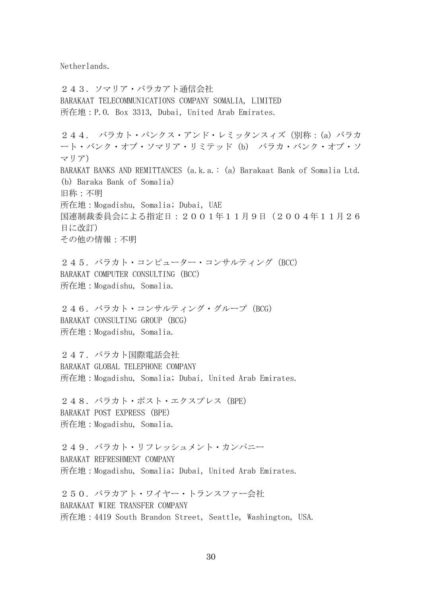Netherlands.

243.ソマリア・バラカアト通信会社 BARAKAAT TELECOMMUNICATIONS COMPANY SOMALIA, LIMITED 所在地:P.O. Box 3313, Dubai, United Arab Emirates. 244. バラカト・バンクス・アンド・レミッタンスィズ(別称:(a) バラカ ート・バンク・オブ・ソマリア・リミテッド (b) バラカ・バンク・オブ・ソ マリア) BARAKAT BANKS AND REMITTANCES (a.k.a.: (a) Barakaat Bank of Somalia Ltd. (b) Baraka Bank of Somalia) 旧称:不明 所在地:Mogadishu, Somalia; Dubai, UAE 国連制裁委員会による指定日:2001年11月9日(2004年11月26 日に改訂) その他の情報:不明 245. バラカト・コンピューター・コンサルティング (BCC) BARAKAT COMPUTER CONSULTING (BCC) 所在地:Mogadishu, Somalia. 246. バラカト・コンサルティング・グループ (BCG) BARAKAT CONSULTING GROUP (BCG) 所在地:Mogadishu, Somalia. 247.バラカト国際電話会社 BARAKAT GLOBAL TELEPHONE COMPANY 所在地:Mogadishu, Somalia; Dubai, United Arab Emirates. 248. バラカト・ポスト・エクスプレス (BPE) BARAKAT POST EXPRESS (BPE) 所在地:Mogadishu, Somalia. 249. バラカト・リフレッシュメント・カンパニー BARAKAT REFRESHMENT COMPANY 所在地:Mogadishu, Somalia; Dubai, United Arab Emirates. 250. バラカアト・ワイヤー・トランスファー会社 BARAKAAT WIRE TRANSFER COMPANY 所在地:4419 South Brandon Street, Seattle, Washington, USA.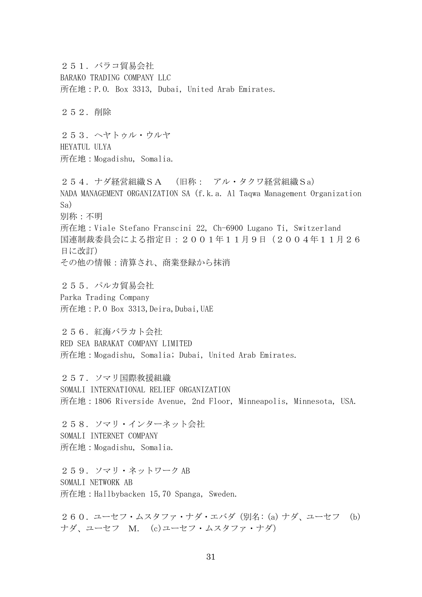251.バラコ貿易会社 BARAKO TRADING COMPANY LLC 所在地:P.O. Box 3313, Dubai, United Arab Emirates. 252.削除 253.ヘヤトゥル・ウルヤ HEYATUL ULYA 所在地:Mogadishu, Somalia. 254.ナダ経営組織SA (旧称: アル・タクワ経営組織Sa) NADA MANAGEMENT ORGANIZATION SA (f.k.a. Al Taqwa Management Organization Sa) 別称:不明 所在地:Viale Stefano Franscini 22, Ch-6900 Lugano Ti, Switzerland 国連制裁委員会による指定日:2001年11月9日(2004年11月26 日に改訂) その他の情報:清算され、商業登録から抹消 255.パルカ貿易会社 Parka Trading Company 所在地:P.O Box 3313,Deira,Dubai,UAE 256. 紅海バラカト会社 RED SEA BARAKAT COMPANY LIMITED 所在地:Mogadishu, Somalia; Dubai, United Arab Emirates. 257.ソマリ国際救援組織 SOMALI INTERNATIONAL RELIEF ORGANIZATION 所在地:1806 Riverside Avenue, 2nd Floor, Minneapolis, Minnesota, USA. 258.ソマリ・インターネット会社 SOMALI INTERNET COMPANY 所在地:Mogadishu, Somalia. 259.ソマリ・ネットワーク AB SOMALI NETWORK AB 所在地:Hallbybacken 15,70 Spanga, Sweden. 260.ユーセフ・ムスタファ・ナダ・エバダ(別名: (a) ナダ、ユーセフ (b)

ナダ、ユーセフ M. (c)ユーセフ・ムスタファ・ナダ)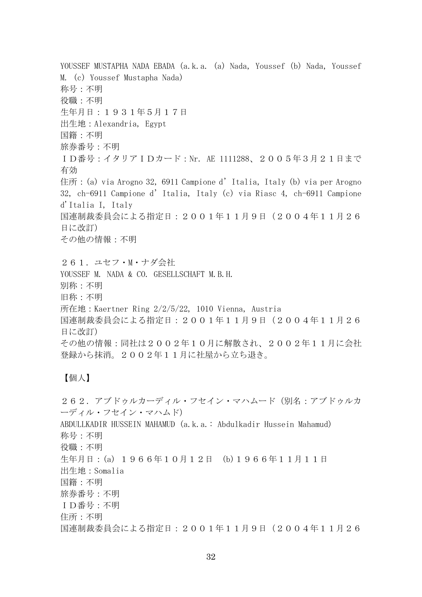YOUSSEF MUSTAPHA NADA EBADA (a.k.a. (a) Nada, Youssef (b) Nada, Youssef M. (c) Youssef Mustapha Nada) 称号:不明 役職:不明 生年月日:1931年5月17日 出生地:Alexandria, Egypt 国籍:不明 旅券番号:不明 ID番号:イタリアIDカード:Nr. AE 1111288、2005年3月21日まで 有効 住所: (a) via Arogno 32, 6911 Campione d'Italia, Italy (b) via per Arogno 32, ch-6911 Campione d'Italia, Italy (c) via Riasc 4, ch-6911 Campione d'Italia I, Italy 国連制裁委員会による指定日:2001年11月9日(2004年11月26 日に改訂) その他の情報:不明 261. ユセフ・M・ナダ会社 YOUSSEF M. NADA & CO. GESELLSCHAFT M.B.H. 別称:不明 旧称:不明 所在地:Kaertner Ring 2/2/5/22, 1010 Vienna, Austria 国連制裁委員会による指定日:2001年11月9日(2004年11月26 日に改訂) その他の情報:同社は2002年10月に解散され、2002年11月に会社 登録から抹消。2002年11月に社屋から立ち退き。

## 【個人】

262.アブドゥルカーディル・フセイン・マハムード(別名:アブドゥルカ ーディル・フセイン・マハムド) ABDULLKADIR HUSSEIN MAHAMUD (a.k.a.: Abdulkadir Hussein Mahamud) 称号:不明 役職:不明 生年月日:(a) 1966年10月12日 (b)1966年11月11日 出生地:Somalia 国籍:不明 旅券番号:不明 ID番号:不明 住所:不明 国連制裁委員会による指定日:2001年11月9日(2004年11月26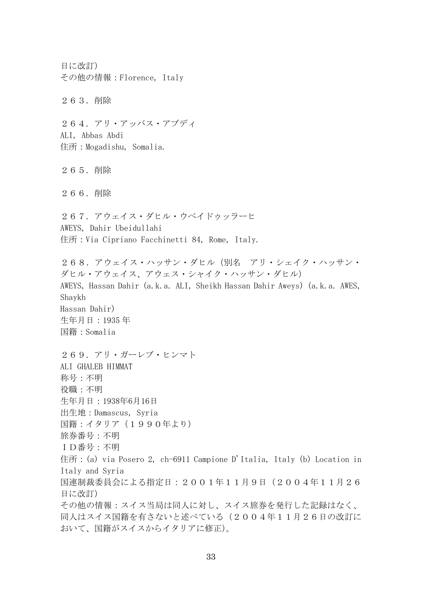日に改訂) その他の情報:Florence, Italy 263.削除 264.アリ・アッバス・アブディ ALI, Abbas Abdi 住所:Mogadishu, Somalia. 265.削除 266.削除 267. アウェイス・ダヒル・ウベイドゥッラーヒ AWEYS, Dahir Ubeidullahi 住所:Via Cipriano Facchinetti 84, Rome, Italy. 268.アウェイス・ハッサン・ダヒル(別名 アリ・シェイク・ハッサン・ ダヒル・アウェイス、アウェス・シャイク・ハッサン・ダヒル) AWEYS, Hassan Dahir (a.k.a. ALI, Sheikh Hassan Dahir Aweys) (a.k.a. AWES, Shaykh Hassan Dahir) 生年月日:1935 年 国籍:Somalia 269.アリ・ガーレブ・ヒンマト ALI GHALEB HIMMAT 称号:不明 役職:不明 生年月日:1938年6月16日 出生地:Damascus, Syria 国籍:イタリア(1990年より) 旅券番号:不明 ID番号:不明 住所: (a) via Posero 2, ch-6911 Campione D'Italia, Italy (b) Location in Italy and Syria 国連制裁委員会による指定日:2001年11月9日(2004年11月26 日に改訂) その他の情報:スイス当局は同人に対し、スイス旅券を発行した記録はなく、 同人はスイス国籍を有さないと述べている(2004年11月26日の改訂に おいて、国籍がスイスからイタリアに修正)。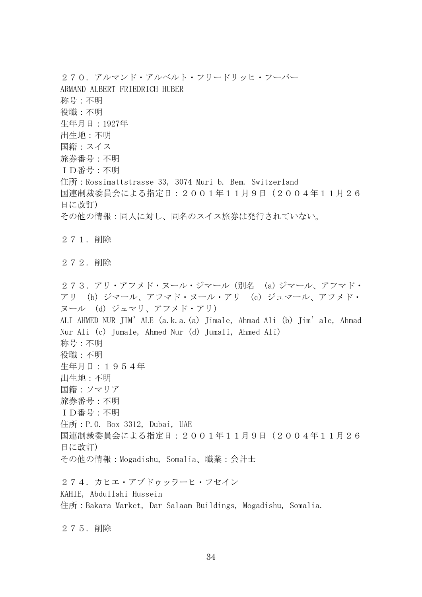270. アルマンド・アルベルト・フリードリッヒ・フーバー ARMAND ALBERT FRIEDRICH HUBER 称号:不明 役職:不明 生年月日:1927年 出生地:不明 国籍:スイス 旅券番号:不明 ID番号:不明 住所: Rossimattstrasse 33, 3074 Muri b. Bem. Switzerland 国連制裁委員会による指定日:2001年11月9日(2004年11月26 日に改訂) その他の情報:同人に対し、同名のスイス旅券は発行されていない。 271.削除 272.削除 273.アリ・アフメド・ヌール・ジマール(別名 (a) ジマール、アフマド・ アリ (b) ジマール、アフマド・ヌール・アリ (c) ジュマール、アフメド・ ヌール (d) ジュマリ、アフメド・アリ) ALI AHMED NUR JIM'ALE (a.k.a.(a) Jimale, Ahmad Ali (b) Jim'ale, Ahmad Nur Ali (c) Jumale, Ahmed Nur (d) Jumali, Ahmed Ali) 称号:不明 役職:不明 生年月日:1954年 出生地:不明 国籍:ソマリア 旅券番号:不明 ID番号:不明 住所:P.O. Box 3312, Dubai, UAE 国連制裁委員会による指定日:2001年11月9日(2004年11月26 日に改訂) その他の情報:Mogadishu, Somalia、職業:会計士 274.カヒエ・アブドゥッラーヒ・フセイン KAHIE, Abdullahi Hussein 住所:Bakara Market, Dar Salaam Buildings, Mogadishu, Somalia.

275.削除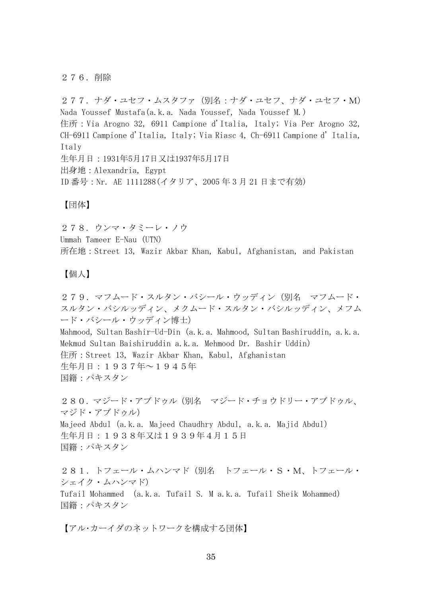#### 276.削除

277.ナダ・ユセフ・ムスタファ(別名:ナダ・ユセフ、ナダ・ユセフ・M) Nada Youssef Mustafa(a.k.a. Nada Youssef, Nada Youssef M.) 住所:Via Arogno 32, 6911 Campione d'Italia, Italy; Via Per Arogno 32, CH-6911 Campione d'Italia, Italy; Via Riasc 4, Ch-6911 Campione d' Italia, Italy 生年月日:1931年5月17日又は1937年5月17日 出身地:Alexandria, Egypt ID 番号:Nr. AE 1111288(イタリア、2005 年 3 月 21 日まで有効)

【団体】

278.ウンマ・タミーレ・ノウ Ummah Tameer E-Nau (UTN) 所在地:Street 13, Wazir Akbar Khan, Kabul, Afghanistan, and Pakistan

【個人】

279.マフムード・スルタン・バシール・ウッディン(別名 マフムード・ スルタン・バシルッディン、メクムード・スルタン・バシルッディン、メフム ード・バシール・ウッディン博士) Mahmood, Sultan Bashir-Ud-Din(a.k.a. Mahmood, Sultan Bashiruddin, a.k.a. Mekmud Sultan Baishiruddin a.k.a. Mehmood Dr. Bashir Uddin) 住所:Street 13, Wazir Akbar Khan, Kabul, Afghanistan 生年月日:1937年~1945年 国籍:パキスタン 280.マジード・アブドゥル(別名 マジード・チョウドリー・アブドゥル、 マジド・アブドゥル) Majeed Abdul (a.k.a. Majeed Chaudhry Abdul, a.k.a. Majid Abdul)

生年月日:1938年又は1939年4月15日 国籍:パキスタン

281.トフェール・ムハンマド(別名 トフェール・S・M、トフェール・ シェイク・ムハンマド) Tufail Mohammed (a.k.a. Tufail S. M a.k.a. Tufail Sheik Mohammed) 国籍:パキスタン

【アル・カーイダのネットワークを構成する団体】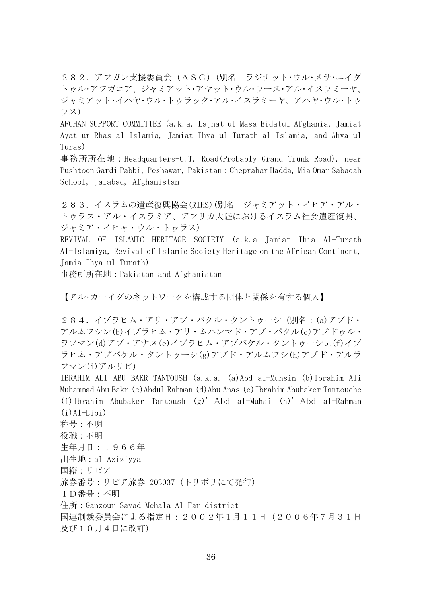282.アフガン支援委員会(ASC)(別名 ラジナット・ウル・メサ・エイダ トゥル・アフガニア、ジャミアット・アヤット・ウル・ラース・アル・イスラミーヤ、 ジャミアット・イハヤ・ウル・トゥラッタ・アル・イスラミーヤ、アハヤ・ウル・トゥ ラス)

AFGHAN SUPPORT COMMITTEE (a.k.a. Lajnat ul Masa Eidatul Afghania, Jamiat Ayat-ur-Rhas al Islamia, Jamiat Ihya ul Turath al Islamia, and Ahya ul Turas)

事務所所在地:Headquarters-G.T. Road(Probably Grand Trunk Road), near Pushtoon Gardi Pabbi, Peshawar, Pakistan:Cheprahar Hadda, Mia Omar Sabaqah School, Jalabad, Afghanistan

283.イスラムの遺産復興協会(RIHS)(別名 ジャミアット・イヒア・アル・ トゥラス・アル・イスラミア、アフリカ大陸におけるイスラム社会遺産復興、 ジャミア・イヒャ・ウル・トゥラス)

REVIVAL OF ISLAMIC HERITAGE SOCIETY (a.k.a Jamiat Ihia Al-Turath Al-Islamiya, Revival of Islamic Society Heritage on the African Continent, Jamia Ihya ul Turath)

事務所所在地:Pakistan and Afghanistan

【アル・カーイダのネットワークを構成する団体と関係を有する個人】

284.イブラヒム・アリ・アブ・バクル・タントゥーシ(別名:(a)アブド・ アルムフシン(b)イブラヒム・アリ・ムハンマド・アブ・バクル(c)アブドゥル・ ラフマン(d)アブ・アナス(e)イブラヒム・アブバケル・タントゥーシェ(f)イブ ラヒム・アブバケル・タントゥーシ(g)アブド・アルムフシ(h)アブド・アルラ フマン(i)アルリビ)

IBRAHIM ALI ABU BAKR TANTOUSH (a.k.a. (a)Abd al-Muhsin (b)Ibrahim Ali Muhammad Abu Bakr (c)Abdul Rahman (d)Abu Anas (e)Ibrahim Abubaker Tantouche (f)Ibrahim Abubaker Tantoush (g)' Abd al-Muhsi (h)' Abd al-Rahman  $(i)$ Al-Libi) 称号:不明 役職:不明 生年月日:1966年

出生地:al Aziziyya

国籍:リビア

旅券番号:リビア旅券 203037(トリポリにて発行)

ID番号:不明

住所:Ganzour Sayad Mehala Al Far district

国連制裁委員会による指定日:2002年1月11日(2006年7月31日 及び10月4日に改訂)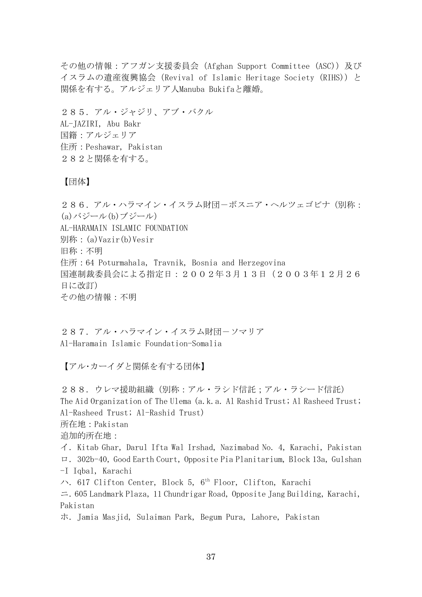その他の情報:アフガン支援委員会 (Afghan Support Committee (ASC)) 及び イスラムの遺産復興協会 (Revival of Islamic Heritage Society (RIHS)) と 関係を有する。アルジェリア人Manuba Bukifaと離婚。

285.アル・ジャジリ、アブ・バクル AL-JAZIRI, Abu Bakr 国籍:アルジェリア 住所:Peshawar, Pakistan 282と関係を有する。

【団体】

286.アル・ハラマイン・イスラム財団-ボスニア・ヘルツェゴビナ(別称: (a)バジール(b)ブジール) AL-HARAMAIN ISLAMIC FOUNDATION 別称:(a)Vazir(b)Vesir 旧称:不明 住所:64 Poturmahala, Travnik, Bosnia and Herzegovina 国連制裁委員会による指定日:2002年3月13日(2003年12月26 日に改訂) その他の情報:不明

287. アル・ハラマイン・イスラム財団-ソマリア Al-Haramain Islamic Foundation-Somalia

【アル・カーイダと関係を有する団体】

288.ウレマ援助組織(別称:アル・ラシド信託;アル・ラシード信託) The Aid Organization of The Ulema (a.k.a. Al Rashid Trust; Al Rasheed Trust; Al-Rasheed Trust; Al-Rashid Trust) 所在地:Pakistan 追加的所在地: イ.Kitab Ghar, Darul Ifta Wal Irshad, Nazimabad No. 4, Karachi, Pakistan ロ.302b-40, Good Earth Court, Opposite Pia Planitarium, Block 13a, Gulshan -I Iqbal, Karachi ハ. 617 Clifton Center, Block 5, 6<sup>th</sup> Floor, Clifton, Karachi ニ.605 Landmark Plaza, 11 Chundrigar Road, Opposite Jang Building, Karachi, Pakistan

ホ.Jamia Masjid, Sulaiman Park, Begum Pura, Lahore, Pakistan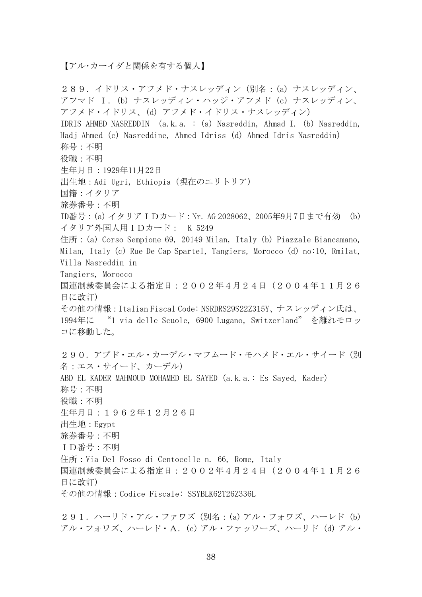【アル・カーイダと関係を有する個人】

289.イドリス・アフメド・ナスレッディン(別名:(a) ナスレッディン、 アフマド I.(b) ナスレッディン・ハッジ・アフメド (c) ナスレッディン、 アフメド・イドリス、(d) アフメド・イドリス・ナスレッディン) IDRIS AHMED NASREDDIN (a.k.a. : (a) Nasreddin, Ahmad I. (b) Nasreddin, Hadj Ahmed (c) Nasreddine, Ahmed Idriss (d) Ahmed Idris Nasreddin) 称号:不明 役職:不明 生年月日:1929年11月22日 出生地:Adi Ugri, Ethiopia(現在のエリトリア) 国籍:イタリア 旅券番号:不明 ID番号:(a) イタリアIDカード:Nr. AG 2028062、2005年9月7日まで有効 (b) イタリア外国人用IDカード: K 5249 住所: (a) Corso Sempione 69, 20149 Milan, Italy (b) Piazzale Biancamano, Milan, Italy (c) Rue De Cap Spartel, Tangiers, Morocco (d) no:10, Rmilat, Villa Nasreddin in Tangiers, Morocco 国連制裁委員会による指定日:2002年4月24日(2004年11月26 日に改訂) その他の情報:Italian Fiscal Code: NSRDRS29S22Z315Y、ナスレッディン氏は、 1994年に "1 via delle Scuole, 6900 Lugano,Switzerland" を離れモロッ コに移動した。 290. アブド・エル・カーデル・マフムード・モハメド・エル・サイード(別 名:エス・サイード、カーデル) ABD EL KADER MAHMOUD MOHAMED EL SAYED (a.k.a.: Es Sayed, Kader) 称号:不明 役職:不明 生年月日:1962年12月26日 出生地:Egypt 旅券番号:不明 ID番号:不明 住所:Via Del Fosso di Centocelle n. 66, Rome, Italy 国連制裁委員会による指定日:2002年4月24日(2004年11月26 日に改訂) その他の情報:Codice Fiscale: SSYBLK62T26Z336L

291. ハーリド・アル・ファワズ (別名: (a) アル・フォワズ、ハーレド (b) アル・フォワズ、ハーレド・A.(c) アル・ファッワーズ、ハーリド (d) アル・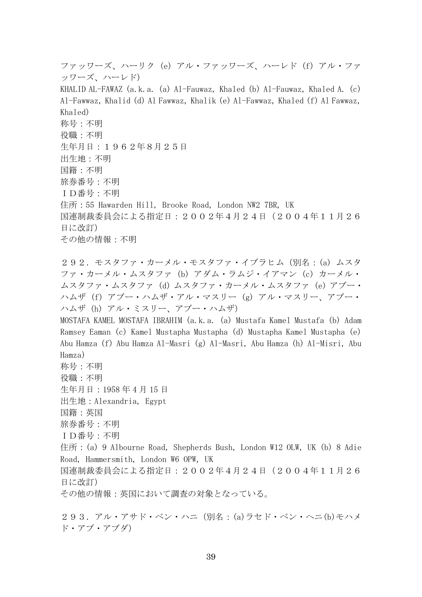ファッワーズ、ハーリク (e) アル・ファッワーズ、ハーレド (f) アル・ファ ッワーズ、ハーレド) KHALID AL-FAWAZ (a.k.a. (a) Al-Fauwaz, Khaled (b) Al-Fauwaz, Khaled A. (c) Al-Fawwaz, Khalid (d) Al Fawwaz, Khalik (e) Al-Fawwaz, Khaled (f) Al Fawwaz, Khaled) 称号:不明 役職:不明 生年月日:1962年8月25日 出生地:不明 国籍:不明 旅券番号:不明 ID番号:不明 住所:55 Hawarden Hill, Brooke Road, London NW2 7BR, UK 国連制裁委員会による指定日:2002年4月24日(2004年11月26 日に改訂) その他の情報:不明 292.モスタファ・カーメル・モスタファ・イブラヒム(別名:(a) ムスタ ファ・カーメル・ムスタファ (b) アダム・ラムジ・イアマン (c) カーメル・ ムスタファ・ムスタファ (d) ムスタファ・カーメル・ムスタファ (e) アブー・ ハムザ (f) アブー・ハムザ・アル・マスリー (g) アル・マスリー、アブー・ ハムザ (h) アル・ミスリー、アブー・ハムザ) MOSTAFA KAMEL MOSTAFA IBRAHIM (a.k.a. (a) Mustafa Kamel Mustafa (b) Adam Ramsey Eaman (c) Kamel Mustapha Mustapha (d) Mustapha Kamel Mustapha (e) Abu Hamza (f) Abu Hamza Al-Masri (g) Al-Masri, Abu Hamza (h) Al-Misri, Abu Hamza) 称号:不明 役職:不明 生年月日:1958 年 4 月 15 日 出生地:Alexandria, Egypt 国籍:英国 旅券番号:不明 ID番号:不明 住所:(a) 9 Albourne Road, Shepherds Bush, London W12 OLW, UK (b) 8 Adie Road, Hammersmith, London W6 OPW, UK 国連制裁委員会による指定日:2002年4月24日(2004年11月26 日に改訂) その他の情報:英国において調査の対象となっている。 293.アル・アサド・ベン・ハニ(別名:(a)ラセド・ベン・ヘニ(b)モハメ ド・アブ・アブダ)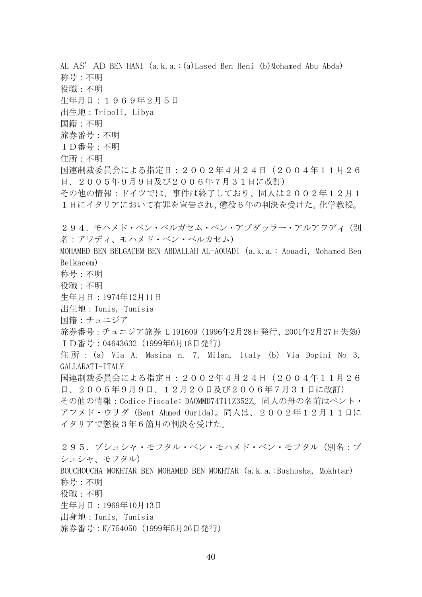AL AS' AD BEN HANI (a.k.a.:(a)Lased Ben Heni (b)Mohamed Abu Abda) 称号:不明 役職:不明 生年月日:1969年2月5日 出生地:Tripoli, Libya 国籍:不明 旅券番号:不明 ID番号:不明 住所:不明 国連制裁委員会による指定日:2002年4月24日(2004年11月26 日、2005年9月9日及び2006年7月31日に改訂) その他の情報:ドイツでは、事件は終了しており、同人は2002年12月1 1日にイタリアにおいて有罪を宣告され、懲役6年の判決を受けた。化学教授。 294. モハメド・ベン・ベルガセム・ベン・アブダッラー・アルアワディ(別 名:アワディ、モハメド・ベン・ベルカセム) MOHAMED BEN BELGACEM BEN ABDALLAH AL-AOUADI (a.k.a.: Aouadi, Mohamed Ben Belkacem) 称号:不明 役職:不明 生年月日:1974年12月11日 出生地:Tunis, Tunisia 国籍:チュニジア 旅券番号: チュニジア旅券 L 191609 (1996年2月28日発行、2001年2月27日失効) ID番号:04643632(1999年6月18日発行) 住 所 : (a) Via A. Masina n. 7, Milan, Italy (b) Via Dopini No 3, GALLARATI-ITALY 国連制裁委員会による指定日:2002年4月24日(2004年11月26 日、2005年9月9日、12月20日及び2006年7月31日に改訂) その他の情報:Codice Fiscale: DAOMMD74T11Z352Z。同人の母の名前はベント・ アフメド・ウリダ(Bent Ahmed Ourida)。同人は、2002年12月11日に イタリアで懲役3年6箇月の判決を受けた。 295.ブシュシャ・モフタル・ベン・モハメド・ベン・モフタル(別名:ブ シュシャ、モフタル) BOUCHOUCHA MOKHTAR BEN MOHAMED BEN MOKHTAR (a.k.a.:Bushusha, Mokhtar) 称号:不明 役職:不明 生年月日:1969年10月13日 出身地:Tunis, Tunisia

旅券番号:K/754050 (1999年5月26日発行)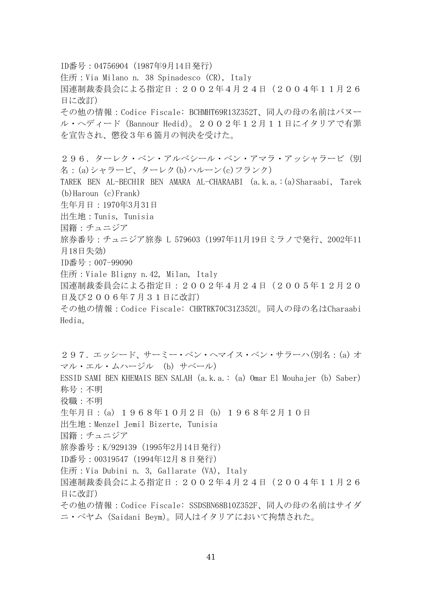ID番号:04756904(1987年9月14日発行) 住所:Via Milano n. 38 Spinadesco (CR), Italy 国連制裁委員会による指定日:2002年4月24日(2004年11月26 日に改訂) その他の情報:Codice Fiscale: BCHMHT69R13Z352T、同人の母の名前はバヌー ル・ヘディード(Bannour Hedid)。2002年12月11日にイタリアで有罪 を宣告され、懲役3年6箇月の判決を受けた。 296.ターレク・ベン・アルベシール・ベン・アマラ・アッシャラービ(別 名:(a)シャラービ、ターレク(b)ハルーン(c)フランク) TAREK BEN AL-BECHIR BEN AMARA AL-CHARAABI (a.k.a.:(a)Sharaabi, Tarek (b)Haroun (c)Frank) 生年月日:1970年3月31日 出生地:Tunis, Tunisia 国籍:チュニジア 旅券番号:チュニジア旅券 L 579603 (1997年11月19日ミラノで発行、2002年11 月18日失効) ID番号:007-99090 住所:Viale Bligny n.42, Milan, Italy 国連制裁委員会による指定日:2002年4月24日(2005年12月20 日及び2006年7月31日に改訂) その他の情報:Codice Fiscale: CHRTRK70C31Z352U。同人の母の名はCharaabi Hedia。 297.エッシード、サーミー・ベン・ヘマイス・ベン・サラーハ(別名:(a) オ マル・エル・ムハージル (b) サベール) ESSID SAMI BEN KHEMAIS BEN SALAH(a.k.a.: (a) Omar El Mouhajer (b) Saber) 称号:不明 役職:不明 生年月日:(a) 1968年10月2日 (b) 1968年2月10日 出生地:Menzel Jemil Bizerte, Tunisia 国籍:チュニジア 旅券番号:K/929139(1995年2月14日発行) ID番号:00319547(1994年12月8日発行) 住所:Via Dubini n. 3, Gallarate (VA), Italy 国連制裁委員会による指定日:2002年4月24日(2004年11月26 日に改訂) その他の情報:Codice Fiscale: SSDSBN68B10Z352F、同人の母の名前はサイダ

ニ・ベヤム(Saidani Beym)。同人はイタリアにおいて拘禁された。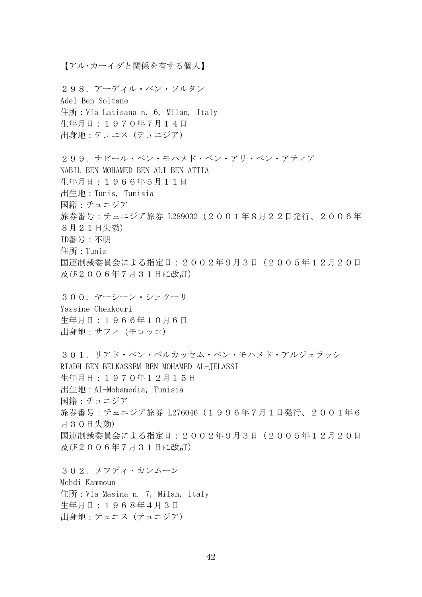【アル・カーイダと関係を有する個人】

298.アーディル・ベン・ソルタン Adel Ben Soltane 住所:Via Latisana n. 6, Milan, Italy 生年月日:1970年7月14日 出身地:テュニス(テュニジア)

299.ナビール・ベン・モハメド・ベン・アリ・ベン・アティア NABIL BEN MOHAMED BEN ALI BEN ATTIA 生年月日:1966年5月11日 出生地:Tunis, Tunisia 国籍:チュニジア 旅券番号: チュニジア旅券 L289032 (2001年8月22日発行、2006年 8月21日失効) ID番号:不明 住所:Tunis 国連制裁委員会による指定日:2002年9月3日(2005年12月20日 及び2006年7月31日に改訂)

300.ヤーシーン・シェクーリ Yassine Chekkouri 生年月日:1966年10月6日 出身地:サフィ(モロッコ)

301.リアド・ベン・ベルカッセム・ベン・モハメド・アルジェラッシ RIADH BEN BELKASSEM BEN MOHAMED AL-JELASSI 生年月日:1970年12月15日 出生地:Al-Mohamedia, Tunisia 国籍:チュニジア 旅券番号:チュニジア旅券 L276046(1996年7月1日発行、2001年6 月30日失効) 国連制裁委員会による指定日:2002年9月3日(2005年12月20日 及び2006年7月31日に改訂)

302.メフディ・カンムーン Mehdi Kammoun 住所:Via Masina n. 7, Milan, Italy 生年月日:1968年4月3日 出身地:テュニス(テュニジア)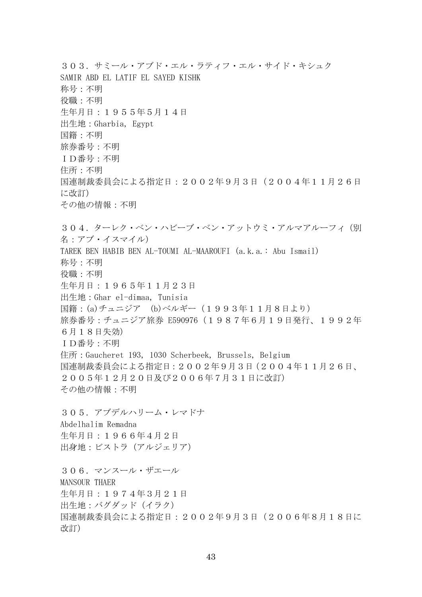303.サミール・アブド・エル・ラティフ・エル・サイド・キシュク SAMIR ABD EL LATIF EL SAYED KISHK 称号:不明 役職:不明 生年月日:1955年5月14日 出生地:Gharbia, Egypt 国籍:不明 旅券番号:不明 ID番号:不明 住所:不明 国連制裁委員会による指定日:2002年9月3日(2004年11月26日 に改訂) その他の情報:不明 304. ターレク・ベン・ハビーブ・ベン・アットウミ・アルマアルーフィ(別 名:アブ・イスマイル) TAREK BEN HABIB BEN AL-TOUMI AL-MAAROUFI (a.k.a.: Abu Ismail) 称号:不明 役職:不明 生年月日:1965年11月23日 出生地:Ghar el-dimaa, Tunisia 国籍:(a)チュニジア (b)ベルギー(1993年11月8日より) 旅券番号:チュニジア旅券 E590976(1987年6月19日発行、1992年 6月18日失効) ID番号:不明 住所:Gaucheret 193, 1030 Scherbeek, Brussels, Belgium 国連制裁委員会による指定日:2002年9月3日(2004年11月26日、 2005年12月20日及び2006年7月31日に改訂) その他の情報:不明 305.アブデルハリーム・レマドナ Abdelhalim Remadna 生年月日:1966年4月2日 出身地:ビストラ(アルジェリア) 306.マンスール・ザエール MANSOUR THAER 生年月日:1974年3月21日 出生地:バグダッド(イラク) 国連制裁委員会による指定日:2002年9月3日(2006年8月18日に 改訂)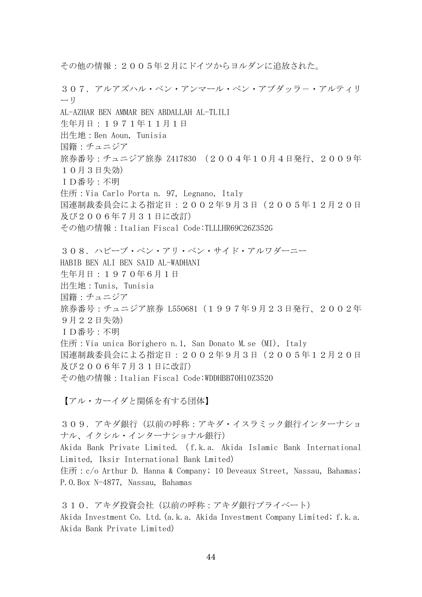307. アルアズハル・ベン・アンマール・ベン・アブダッラー・アルティリ ーリ AL-AZHAR BEN AMMAR BEN ABDALLAH AL-TLILI 生年月日:1971年11月1日 出生地:Ben Aoun, Tunisia 国籍:チュニジア 旅券番号:チュニジア旅券 Z417830 (2004年10月4日発行、2009年 10月3日失効) ID番号:不明 住所:Via Carlo Porta n. 97, Legnano, Italy 国連制裁委員会による指定日:2002年9月3日(2005年12月20日 及び2006年7月31日に改訂) その他の情報:Italian Fiscal Code:TLLLHR69C26Z352G 308.ハビーブ・ベン・アリ・ベン・サイド・アルワダーニー HABIB BEN ALI BEN SAID AL-WADHANI 生年月日:1970年6月1日 出生地:Tunis, Tunisia 国籍:チュニジア 旅券番号: チュニジア旅券 L550681 (1997年9月23日発行、2002年 9月22日失効) ID番号:不明 住所:Via unica Borighero n.1, San Donato M.se (MI), Italy 国連制裁委員会による指定日:2002年9月3日(2005年12月20日 及び2006年7月31日に改訂) その他の情報:Italian Fiscal Code:WDDHBB70H10Z352O

その他の情報:2005年2月にドイツからヨルダンに追放された。

【アル・カーイダと関係を有する団体】

309. アキダ銀行(以前の呼称:アキダ・イスラミック銀行インターナショ ナル、イクシル・インターナショナル銀行) Akida Bank Private Limited.( f.k.a. Akida Islamic Bank International Limited, Iksir International Bank Lmited) 住所: c/o Arthur D. Hanna & Company; 10 Deveaux Street, Nassau, Bahamas; P.O.Box N-4877, Nassau, Bahamas

310. アキダ投資会社(以前の呼称:アキダ銀行プライベート) Akida Investment Co. Ltd.(a.k.a. Akida Investment Company Limited; f.k.a. Akida Bank Private Limited)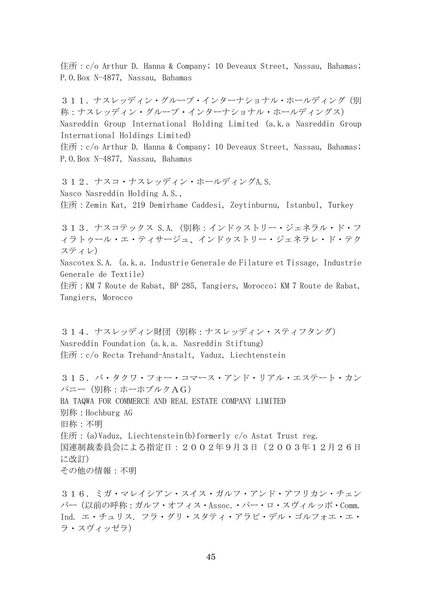住所: c/o Arthur D. Hanna & Company; 10 Deveaux Street, Nassau, Bahamas; P.O.Box N-4877, Nassau, Bahamas

311. ナスレッディン・グループ・インターナショナル・ホールディング(別 称:ナスレッディン・グループ・インターナショナル・ホールディングス) Nasreddin Group International Holding Limited (a.k.a Nasreddin Group International Holdings Limited) 住所: c/o Arthur D. Hanna & Company; 10 Deveaux Street, Nassau, Bahamas;

P.O.Box N-4877, Nassau, Bahamas

312.ナスコ・ナスレッディン・ホールディングA.S. Nasco Nasreddin Holding A.S., 住所:Zemin Kat, 219 Demirhame Caddesi, Zeytinburnu, Istanbul, Turkey

313.ナスコテックス S.A.(別称:インドゥストリー・ジェネラル・ド・フ ィラトゥール・エ・ティサージュ、インドゥストリー・ジェネラレ・ド・テク スティレ)

Nascotex S.A.(a.k.a. Industrie Generale de Filature et Tissage, Industrie Generale de Textile)

住所:KM 7 Route de Rabat, BP 285, Tangiers, Morocco; KM 7 Route de Rabat, Tangiers, Morocco

314.ナスレッディン財団(別称:ナスレッディン・スティフタング) Nasreddin Foundation (a.k.a. Nasreddin Stiftung) 住所: c/o Recta Trehand-Anstalt, Vaduz, Liechtenstein

315.バ・タクワ・フォー・コマース・アンド・リアル・エステート・カン パニー(別称:ホーホブルクAG) BA TAQWA FOR COMMERCE AND REAL ESTATE COMPANY LIMITED 別称:Hochburg AG 旧称:不明 住所: (a)Vaduz, Liechtenstein(b)formerly c/o Astat Trust reg. 国連制裁委員会による指定日:2002年9月3日(2003年12月26日 に改訂) その他の情報:不明

316.ミガ・マレイシアン・スイス・ガルフ・アンド・アフリカン・チェン バー(以前の呼称:ガルフ・オフィス・Assoc.・パー・ロ・スヴィルッポ・Comm. Ind. エ・チュリス. フラ・グリ・スタティ・アラビ・デル・ゴルフォエ・エ・ ラ・スヴィッゼラ)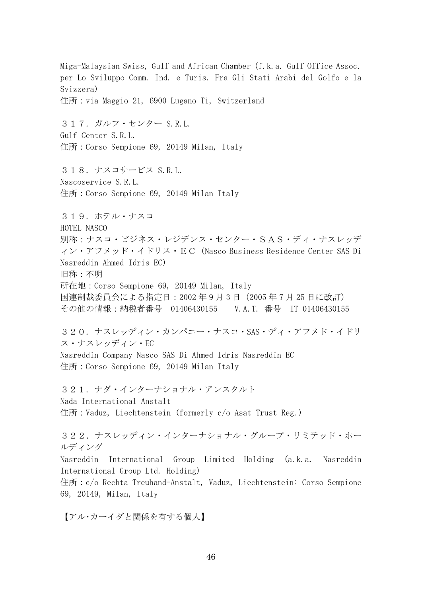Miga-Malaysian Swiss, Gulf and African Chamber (f.k.a. Gulf Office Assoc. per Lo Sviluppo Comm. Ind. e Turis. Fra Gli Stati Arabi del Golfo e la Svizzera) 住所:via Maggio 21, 6900 Lugano Ti, Switzerland 317.ガルフ・センター S.R.L. Gulf Center S.R.L. 住所:Corso Sempione 69, 20149 Milan, Italy 318.ナスコサービス S.R.L. Nascoservice S.R.L. 住所:Corso Sempione 69, 20149 Milan Italy 319. ホテル・ナスコ HOTEL NASCO 別称:ナスコ・ビジネス・レジデンス・センター・SAS・ディ・ナスレッデ ィン・アフメッド・イドリス・EC(Nasco Business Residence Center SAS Di Nasreddin Ahmed Idris EC) 旧称:不明 所在地:Corso Sempione 69, 20149 Milan, Italy 国連制裁委員会による指定日:2002年9月3 日(2005 年 7 月 25 日に改訂) その他の情報:納税者番号 01406430155 V.A.T. 番号 IT 01406430155 320.ナスレッディン・カンパニー・ナスコ・SAS・ディ・アフメド・イドリ ス・ナスレッディン・EC Nasreddin Company Nasco SAS Di Ahmed Idris Nasreddin EC 住所:Corso Sempione 69, 20149 Milan Italy 321.ナダ・インターナショナル・アンスタルト Nada International Anstalt 住所:Vaduz, Liechtenstein (formerly c/o Asat Trust Reg.) 322.ナスレッディン・インターナショナル・グループ・リミテッド・ホー ルディング Nasreddin International Group Limited Holding (a.k.a. Nasreddin International Group Ltd. Holding) 住所: c/o Rechta Treuhand-Anstalt, Vaduz, Liechtenstein: Corso Sempione 69, 20149, Milan, Italy

【アル・カーイダと関係を有する個人】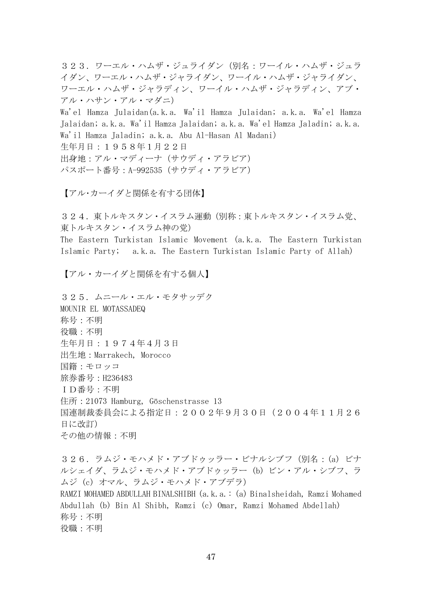323.ワーエル・ハムザ・ジュライダン(別名:ワーイル・ハムザ・ジュラ イダン、ワーエル・ハムザ・ジャライダン、ワーイル・ハムザ・ジャライダン、 ワーエル・ハムザ・ジャラディン、ワーイル・ハムザ・ジャラディン、アブ・ アル・ハサン・アル・マダニ)

Wa'el Hamza Julaidan(a.k.a. Wa'il Hamza Julaidan; a.k.a. Wa'el Hamza Jalaidan; a.k.a. Wa'il Hamza Jalaidan; a.k.a. Wa'el Hamza Jaladin; a.k.a. Wa'il Hamza Jaladin; a.k.a. Abu Al-Hasan Al Madani)

生年月日:1958年1月22日

出身地:アル・マディーナ(サウディ・アラビア) パスポート番号:A-992535(サウディ・アラビア)

【アル・カーイダと関係を有する団体】

324. 東トルキスタン・イスラム運動(別称:東トルキスタン・イスラム党、 東トルキスタン・イスラム神の党)

The Eastern Turkistan Islamic Movement (a.k.a. The Eastern Turkistan Islamic Party; a.k.a. The Eastern Turkistan Islamic Party of Allah)

【アル・カーイダと関係を有する個人】

325.ムニール・エル・モタサッデク MOUNIR EL MOTASSADEQ 称号:不明 役職:不明 生年月日:1974年4月3日 出生地:Marrakech, Morocco 国籍:モロッコ 旅券番号:H236483 ID番号:不明 住所:21073 Hamburg, Göschenstrasse 13 国連制裁委員会による指定日:2002年9月30日(2004年11月26 日に改訂) その他の情報:不明

326.ラムジ・モハメド・アブドゥッラー・ビナルシブフ(別名:(a) ビナ ルシェイダ、ラムジ・モハメド・アブドゥッラー (b) ビン・アル・シブフ、ラ ムジ (c) オマル、ラムジ・モハメド・アブデラ) RAMZI MOHAMED ABDULLAH BINALSHIBH (a.k.a.: (a) Binalsheidah, Ramzi Mohamed Abdullah (b) Bin Al Shibh, Ramzi (c) Omar, Ramzi Mohamed Abdellah) 称号:不明 役職:不明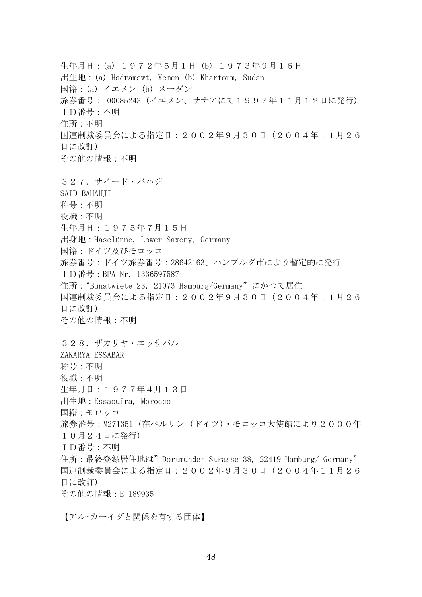生年月日:(a) 1972年5月1日 (b) 1973年9月16日 出生地:(a) Hadramawt, Yemen (b) Khartoum, Sudan 国籍:(a) イエメン (b) スーダン 旅券番号: 00085243(イエメン、サナアにて1997年11月12日に発行) ID番号:不明 住所:不明 国連制裁委員会による指定日:2002年9月30日(2004年11月26 日に改訂) その他の情報:不明 327.サイード・バハジ SAID BAHAHII 称号:不明 役職:不明 生年月日:1975年7月15日 出身地:Haselünne, Lower Saxony, Germany 国籍:ドイツ及びモロッコ 旅券番号:ドイツ旅券番号:28642163、ハンブルグ市により暫定的に発行 ID番号:BPA Nr. 1336597587 住所:"Bunatwiete 23, 21073 Hamburg/Germany"にかつて居住 国連制裁委員会による指定日:2002年9月30日(2004年11月26 日に改訂) その他の情報:不明 328.ザカリヤ・エッサバル ZAKARYA ESSABAR 称号:不明 役職:不明 生年月日:1977年4月13日 出生地:Essaouira, Morocco 国籍:モロッコ 旅券番号: M271351 (在ベルリン (ドイツ) · モロッコ大使館により2000年 10月24日に発行) ID番号:不明 住所:最終登録居住地は"Dortmunder Strasse 38, 22419 Hamburg/ Germany" 国連制裁委員会による指定日:2002年9月30日(2004年11月26 日に改訂) その他の情報:E 189935

【アル・カーイダと関係を有する団体】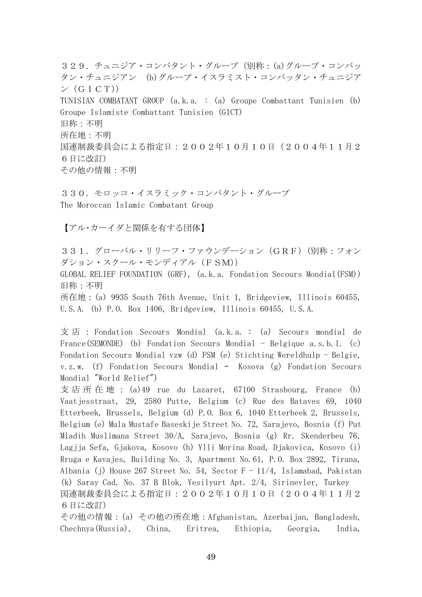329. チュニジア・コンバタント・グループ (別称: (a)グループ・コンバッ タン・チュニジアン (b)グループ・イスラミスト・コンバッタン・チュニジア  $\vee$  (GICT)) TUNISIAN COMBATANT GROUP (a.k.a. : (a) Groupe Combattant Tunisien (b) Groupe Islamiste Combattant Tunisien (GICT) 旧称:不明 所在地:不明 国連制裁委員会による指定日:2002年10月10日(2004年11月2 6日に改訂) その他の情報:不明

330.モロッコ・イスラミック・コンバタント・グループ The Moroccan Islamic Combatant Group

【アル・カーイダと関係を有する団体】

331. グローバル・リリーフ・ファウンデーション (GRF) (別称:フォン ダション・スクール・モンディアル(FSM)) GLOBAL RELIEF FOUNDATION (GRF), (a.k.a. Fondation Secours Mondial(FSM))

旧称:不明

所在地:(a) 9935 South 76th Avenue, Unit 1, Bridgeview, Illinois 60455, U.S.A. (b) P.O. Box 1406, Bridgeview, Illinois 60455, U.S.A.

支 店 : Fondation Secours Mondial (a.k.a. : (a) Secours mondial de France(SEMONDE) (b) Fondation Secours Mondial - Belgique a.s.b.l. (c) Fondation Secours Mondial vzw (d) FSM (e) Stichting Wereldhulp - Belgie, v.z.w. (f) Fondation Secours Mondial – Kosova (g) Fondation Secours Mondial "World Relief")

支 店 所 在 地 : (a)49 rue du Lazaret, 67100 Strasbourg, France (b) Vaatjesstraat, 29, 2580 Putte, Belgium (c) Rue des Bataves 69, 1040 Etterbeek, Brussels, Belgium (d) P.O. Box 6, 1040 Etterbeek 2, Brussels, Belgium (e) Mula Mustafe Baseskije Street No. 72, Sarajevo, Bosnia (f) Put Mladih Muslimana Street 30/A, Sarajevo, Bosnia (g) Rr. Skenderbeu 76, Lagjja Sefa, Gjakova, Kosovo (h) Ylli Morina Road, Djakovica, Kosovo (i) Rruga e Kavajes, Building No. 3, Apartment No.61, P.O. Box 2892, Tirana, Albania (j) House 267 Street No. 54, Sector  $F = 11/4$ , Islamabad, Pakistan (k) Saray Cad. No. 37 B Blok, Yesilyurt Apt. 2/4, Sirinevler, Turkey 国連制裁委員会による指定日:2002年10月10日(2004年11月2 6日に改訂)

その他の情報:(a) その他の所在地:Afghanistan, Azerbaijan, Bangladesh, Chechnya(Russia), China, Eritrea, Ethiopia, Georgia, India,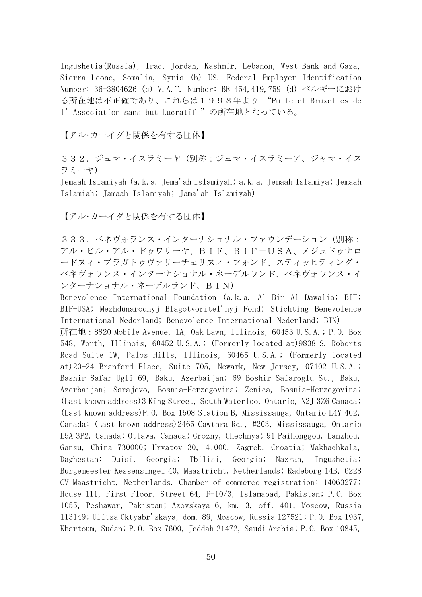Ingushetia(Russia), Iraq, Jordan, Kashmir, Lebanon, West Bank and Gaza, Sierra Leone, Somalia, Syria (b) US. Federal Employer Identification Number: 36-3804626 (c) V.A.T. Number: BE 454,419,759 (d) ベルギーにおけ る所在地は不正確であり、これらは1998年より "Putte et Bruxelles de I' Association sans but Lucratif "の所在地となっている。

【アル・カーイダと関係を有する団体】

332. ジュマ・イスラミーヤ(別称:ジュマ・イスラミーア、ジャマ・イス ラミーヤ)

Jemaah Islamiyah (a.k.a. Jema'ah Islamiyah; a.k.a. Jemaah Islamiya; Jemaah Islamiah; Jamaah Islamiyah; Jama'ah Islamiyah)

【アル・カーイダと関係を有する団体】

333.ベネヴォランス・インターナショナル・ファウンデーション(別称: アル・ビル・アル・ドゥワリーヤ、BIF、BIF-USA、メジュドゥナロ ードヌィ・ブラガトゥヴァリーチェリヌィ・フォンド、スティッヒティング・ ベネヴォランス・インターナショナル・ネーデルランド、ベネヴォランス・イ ンターナショナル・ネーデルランド、BIN)

Benevolence International Foundation (a.k.a. Al Bir Al Dawalia; BIF; BIF-USA; Mezhdunarodnyj Blagotvoritel'nyj Fond; Stichting Benevolence International Nederland; Benevolence International Nederland; BIN)

所在地:8820 Mobile Avenue, 1A, Oak Lawn, Illinois, 60453 U.S.A.; P.O. Box 548, Worth, Illinois, 60452 U.S.A.; (Formerly located at)9838 S. Roberts Road Suite 1W, Palos Hills, Illinois, 60465 U.S.A.; (Formerly located at)20-24 Branford Place, Suite 705, Newark, New Jersey, 07102 U.S.A.; Bashir Safar Ugli 69, Baku, Azerbaijan; 69 Boshir Safaroglu St., Baku, Azerbaijan; Sarajevo, Bosnia-Herzegovina; Zenica, Bosnia-Herzegovina; (Last known address)3 King Street, South Waterloo, Ontario, N2J 3Z6 Canada; (Last known address)P.O. Box 1508 Station B, Mississauga, Ontario L4Y 4G2, Canada; (Last known address)2465 Cawthra Rd., #203, Mississauga, Ontario L5A 3P2, Canada; Ottawa, Canada; Grozny, Chechnya; 91 Paihonggou, Lanzhou, Gansu, China 730000; Hrvatov 30, 41000, Zagreb, Croatia; Makhachkala, Daghestan; Duisi, Georgia; Tbilisi, Georgia; Nazran, Ingushetia; Burgemeester Kessensingel 40, Maastricht, Netherlands; Radeborg 14B, 6228 CV Maastricht, Netherlands. Chamber of commerce registration: 14063277; House 111, First Floor, Street 64, F-10/3, Islamabad, Pakistan; P.O. Box 1055, Peshawar, Pakistan; Azovskaya 6, km. 3, off. 401, Moscow, Russia 113149; Ulitsa Oktyabr'skaya, dom. 89, Moscow, Russia 127521; P.O. Box 1937, Khartoum, Sudan; P.O. Box 7600, Jeddah 21472, Saudi Arabia; P.O. Box 10845,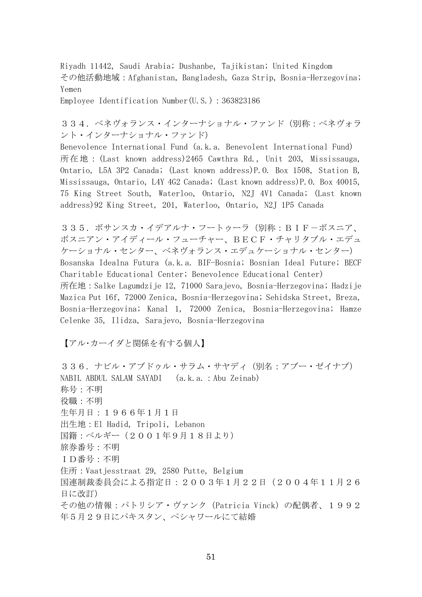Riyadh 11442, Saudi Arabia; Dushanbe, Tajikistan; United Kingdom その他活動地域:Afghanistan, Bangladesh, Gaza Strip, Bosnia-Herzegovina; Yemen

Employee Identification Number(U.S.):363823186

334.ベネヴォランス・インターナショナル・ファンド(別称:ベネヴォラ ント・インターナショナル・ファンド)

Benevolence International Fund (a.k.a. Benevolent International Fund) 所在地:(Last known address)2465 Cawthra Rd., Unit 203, Mississauga, Ontario, L5A 3P2 Canada; (Last known address)P.O. Box 1508, Station B, Mississauga, Ontario, L4Y 4G2 Canada; (Last known address)P.O. Box 40015, 75 King Street South, Waterloo, Ontario, N2J 4V1 Canada; (Last known address)92 King Street, 201, Waterloo, Ontario, N2J 1P5 Canada

335. ボサンスカ・イデアルナ・フートゥーラ (別称: BIF-ボスニア、 ボスニアン・アイディール・フューチャー、BECF・チャリタブル・エデュ ケーショナル・センター、ベネヴォランス・エデュケーショナル・センター) Bosanska Idealna Futura (a.k.a. BIF-Bosnia; Bosnian Ideal Future; BECF Charitable Educational Center; Benevolence Educational Center) 所在地:Salke Lagumdzije 12, 71000 Sarajevo, Bosnia-Herzegovina; Hadzije Mazica Put 16f, 72000 Zenica, Bosnia-Herzegovina; Sehidska Street, Breza, Bosnia-Herzegovina; Kanal 1, 72000 Zenica, Bosnia-Herzegovina; Hamze Celenke 35, Ilidza, Sarajevo, Bosnia-Herzegovina

【アル・カーイダと関係を有する個人】

336.ナビル・アブドゥル・サラム・サヤディ(別名:アブー・ゼイナブ) NABIL ABDUL SALAM SAYADI (a.k.a.:Abu Zeinab) 称号:不明 役職:不明 生年月日:1966年1月1日 出生地:El Hadid, Tripoli, Lebanon 国籍:ベルギー(2001年9月18日より) 旅券番号:不明 ID番号:不明 住所:Vaatjesstraat 29, 2580 Putte, Belgium 国連制裁委員会による指定日:2003年1月22日(2004年11月26 日に改訂) その他の情報:パトリシア・ヴァンク(Patricia Vinck)の配偶者、1992 年5月29日にパキスタン、ペシャワールにて結婚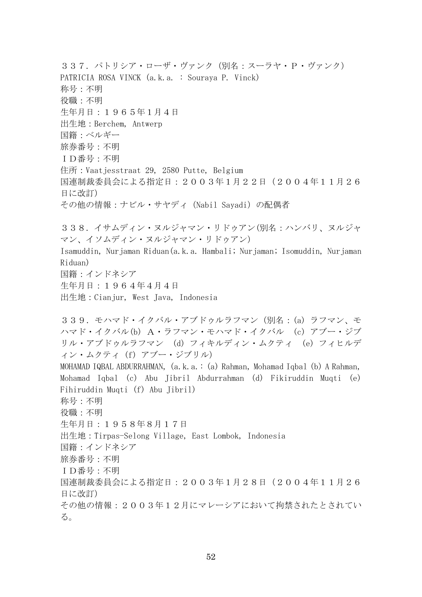337. パトリシア・ローザ・ヴァンク (別名:スーラヤ・P・ヴァンク) PATRICIA ROSA VINCK (a.k.a. : Souraya P. Vinck) 称号:不明 役職:不明 生年月日:1965年1月4日 出生地:Berchem, Antwerp 国籍:ベルギー 旅券番号:不明 ID番号:不明 住所:Vaatjesstraat 29, 2580 Putte, Belgium 国連制裁委員会による指定日:2003年1月22日(2004年11月26 日に改訂) その他の情報:ナビル・サヤディ(Nabil Sayadi)の配偶者 338.イサムディン・ヌルジャマン・リドゥアン(別名:ハンバリ、ヌルジャ マン、イソムディン・ヌルジャマン・リドゥアン) Isamuddin, Nurjaman Riduan(a.k.a. Hambali; Nurjaman; Isomuddin, Nurjaman Riduan) 国籍:インドネシア 生年月日:1964年4月4日 出生地:Cianjur, West Java, Indonesia 339.モハマド・イクバル・アブドゥルラフマン(別名:(a) ラフマン、モ ハマド・イクバル(b) A・ラフマン・モハマド・イクバル (c) アブー・ジブ リル・アブドゥルラフマン (d) フィキルディン・ムクティ (e) フィヒルデ ィン・ムクティ (f) アブー・ジブリル) MOHAMAD IQBAL ABDURRAHMAN, (a.k.a.: (a) Rahman, Mohamad Iqbal (b) A Rahman, Mohamad Iqbal (c) Abu Jibril Abdurrahman (d) Fikiruddin Muqti (e) Fihiruddin Muqti (f) Abu Jibril) 称号:不明 役職:不明 生年月日:1958年8月17日 出生地:Tirpas-Selong Village, East Lombok, Indonesia 国籍:インドネシア 旅券番号:不明 ID番号:不明 国連制裁委員会による指定日:2003年1月28日(2004年11月26 日に改訂) その他の情報:2003年12月にマレーシアにおいて拘禁されたとされてい る。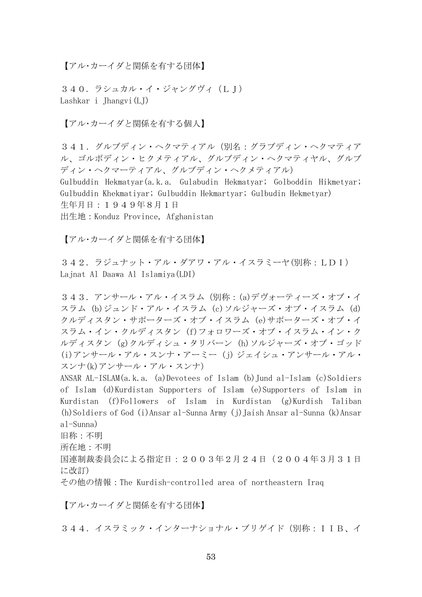【アル・カーイダと関係を有する団体】

340.ラシュカル・イ・ジャングヴィ(LJ) Lashkar i Jhangvi(LJ)

【アル・カーイダと関係を有する個人】

341. グルブディン・ヘクマティアル(別名:グラブディン・ヘクマティア ル、ゴルボディン・ヒクメティアル、グルブディン・ヘクマティヤル、グルブ ディン・ヘクマーティアル、グルブディン・ヘクメティアル)

Gulbuddin Hekmatyar(a.k.a. Gulabudin Hekmatyar; Golboddin Hikmetyar; Gulbuddin Khekmatiyar; Gulbuddin Hekmartyar; Gulbudin Hekmetyar) 生年月日:1949年8月1日 出生地:Konduz Province, Afghanistan

【アル・カーイダと関係を有する団体】

342.ラジュナット・アル・ダアワ・アル・イスラミーヤ(別称:LDI) Lajnat Al Daawa Al Islamiya(LDI)

343.アンサール・アル・イスラム(別称:(a)デヴォーティーズ・オブ・イ スラム (b)ジュンド・アル・イスラム (c)ソルジャーズ・オブ・イスラム (d) クルディスタン・サポーターズ・オブ・イスラム (e)サポーターズ・オブ・イ スラム・イン・クルディスタン (f)フォロワーズ・オブ・イスラム・イン・ク ルディスタン (g)クルディシュ・タリバーン (h)ソルジャーズ・オブ・ゴッド (i)アンサール・アル・スンナ・アーミー (j) ジェイシュ・アンサール・アル・ スンナ(k)アンサール・アル・スンナ)

ANSAR AL-ISLAM(a.k.a. (a)Devotees of Islam (b)Jund al-Islam (c)Soldiers of Islam (d)Kurdistan Supporters of Islam (e)Supporters of Islam in Kurdistan (f)Followers of Islam in Kurdistan (g)Kurdish Taliban (h)Soldiers of God (i)Ansar al-Sunna Army (j)Jaish Ansar al-Sunna (k)Ansar al-Sunna) 旧称:不明 所在地:不明 国連制裁委員会による指定日:2003年2月24日(2004年3月31日 に改訂)

その他の情報:The Kurdish-controlled area of northeastern Iraq

【アル・カーイダと関係を有する団体】

344. イスラミック・インターナショナル・ブリゲイド(別称: IIB、イ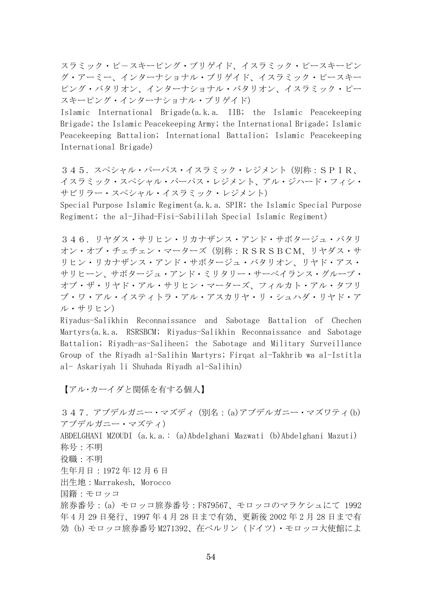スラミック・ピ-スキーピング・ブリゲイド、イスラミック・ピースキーピン グ・アーミー、インターナショナル・ブリゲイド、イスラミック・ピースキー ピング・バタリオン、インターナショナル・バタリオン、イスラミック・ピー スキーピング・インターナショナル・ブリゲイド)

Islamic International Brigade(a.k.a. IIB; the Islamic Peacekeeping Brigade; the Islamic Peacekeeping Army; the International Brigade; Islamic Peacekeeping Battalion; International Battalion; Islamic Peacekeeping International Brigade)

345. スペシャル・パーパス・イスラミック・レジメント(別称: SPIR、 イスラミック・スペシャル・パーパス・レジメント、アル・ジハード・フィシ・ サビリラー・スペシャル・イスラミック・レジメント)

Special Purpose Islamic Regiment(a.k.a. SPIR; the Islamic Special Purpose Regiment; the al-Jihad-Fisi-Sabililah Special Islamic Regiment)

346.リヤダス・サリヒン・リカナザンス・アンド・サボタージュ・バタリ オン・オブ・チェチェン・マーターズ(別称:RSRSBCM、リヤダス・サ リヒン・リカナザンス・アンド・サボタージュ・バタリオン、リヤド・アス・ サリヒーン、サボタージュ・アンド・ミリタリー・サーベイランス・グループ・ オブ・ザ・リヤド・アル・サリヒン・マーターズ、フィルカト・アル・タフリ ブ・ワ・アル・イスティトラ・アル・アスカリヤ・リ・シュハダ・リヤド・ア ル・サリヒン)

Riyadus-Salikhin Reconnaissance and Sabotage Battalion of Chechen Martyrs(a.k.a. RSRSBCM; Riyadus-Salikhin Reconnaissance and Sabotage Battalion; Riyadh-as-Saliheen; the Sabotage and Military Surveillance Group of the Riyadh al-Salihin Martyrs; Firqat al-Takhrib wa al-Istitla al- Askariyah li Shuhada Riyadh al-Salihin)

【アル・カーイダと関係を有する個人】

347. アブデルガニー・マズディ (別名: (a)アブデルガニー・マズワティ(b) アブデルガニー・マズティ) ABDELGHANI MZOUDI (a.k.a.: (a)Abdelghani Mazwati (b)Abdelghani Mazuti) 称号:不明 役職:不明 生年月日:1972 年 12 月 6 日 出生地:Marrakesh, Morocco 国籍:モロッコ 旅券番号:(a) モロッコ旅券番号:F879567、モロッコのマラケシュにて 1992 年 4 月 29 日発行、1997 年 4 月 28 日まで有効、更新後 2002 年 2 月 28 日まで有 効 (b) モロッコ旅券番号 M271392、在ベルリン(ドイツ)・モロッコ大使館によ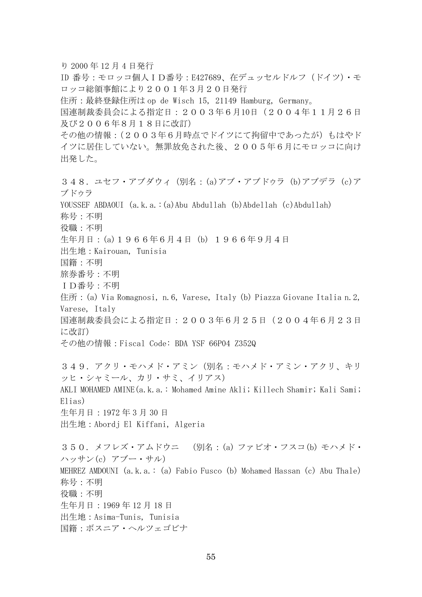り 2000 年 12 月 4 日発行 ID 番号:モロッコ個人ID番号:E427689、在デュッセルドルフ(ドイツ)・モ ロッコ総領事館により2001年3月20日発行 住所:最終登録住所は op de Wisch 15, 21149 Hamburg, Germany。 国連制裁委員会による指定日:2003年6月10日(2004年11月26日 及び2006年8月18日に改訂) その他の情報:(2003年6月時点でドイツにて拘留中であったが)もはやド イツに居住していない。無罪放免された後、2005年6月にモロッコに向け 出発した。 348.ユセフ・アブダウィ(別名:(a)アブ・アブドウラ (b)アブデラ (c)ア ブドウラ YOUSSEF ABDAOUI (a.k.a.:(a)Abu Abdullah (b)Abdellah (c)Abdullah) 称号:不明 役職:不明 生年月日:(a)1966年6月4日 (b) 1966年9月4日 出生地:Kairouan, Tunisia 国籍:不明 旅券番号:不明 ID番号:不明 住所: (a) Via Romagnosi, n.6, Varese, Italy (b) Piazza Giovane Italia n.2, Varese, Italy 国連制裁委員会による指定日:2003年6月25日(2004年6月23日 に改訂) その他の情報:Fiscal Code: BDA YSF 66P04 Z352Q 349. アクリ・モハメド・アミン(別名:モハメド・アミン・アクリ、キリ ッヒ・シャミール、カリ・サミ、イリアス) AKLI MOHAMED AMINE(a.k.a.: Mohamed Amine Akli; Killech Shamir; Kali Sami; Elias) 生年月日:1972 年 3 月 30 日 出生地:Abordj El Kiffani, Algeria 350.メフレズ・アムドウニ (別名:(a) ファビオ・フスコ(b) モハメド・ ハッサン(c) アブー・サル) MEHREZ AMDOUNI (a.k.a.: (a) Fabio Fusco (b) Mohamed Hassan (c) Abu Thale) 称号:不明 役職:不明 生年月日:1969 年 12 月 18 日 出生地:Asima-Tunis, Tunisia 国籍:ボスニア・ヘルツェゴビナ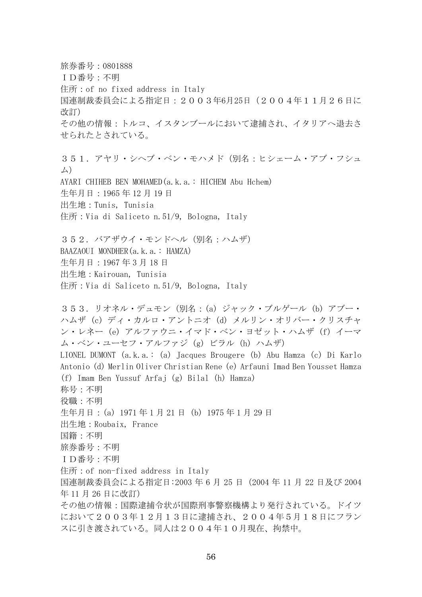旅券番号:0801888 ID番号:不明 住所:of no fixed address in Italy 国連制裁委員会による指定日:2003年6月25日(2004年11月26日に 改訂) その他の情報:トルコ、イスタンブールにおいて逮捕され、イタリアへ退去さ せられたとされている。 351. アヤリ・シヘブ・ベン・モハメド (別名:ヒシェーム・アブ・フシュ ム) AYARI CHIHEB BEN MOHAMED(a.k.a.: HICHEM Abu Hchem) 生年月日:1965 年 12 月 19 日 出生地:Tunis, Tunisia 住所:Via di Saliceto n.51/9, Bologna, Italy 352.バアザウイ・モンドヘル(別名:ハムザ) BAAZAOUI MONDHER(a.k.a.: HAMZA) 生年月日:1967 年 3 月 18 日 出生地:Kairouan, Tunisia 住所:Via di Saliceto n.51/9, Bologna, Italy 353.リオネル・デュモン(別名:(a) ジャック・ブルゲール (b) アブー・ ハムザ (c) ディ・カルロ・アントニオ (d) メルリン・オリバー・クリスチャ ン・レネー (e) アルファウニ・イマド・ベン・ヨゼット・ハムザ (f) イーマ ム・ベン・ユーセフ・アルファジ (g) ビラル (h) ハムザ) LIONEL DUMONT (a.k.a.: (a) Jacques Brougere (b) Abu Hamza (c) Di Karlo Antonio (d) Merlin Oliver Christian Rene (e) Arfauni Imad Ben Yousset Hamza (f) Imam Ben Yussuf Arfaj (g) Bilal (h) Hamza) 称号:不明 役職:不明 生年月日:(a) 1971 年 1 月 21 日 (b) 1975 年 1 月 29 日 出生地:Roubaix, France 国籍:不明 旅券番号:不明 ID番号:不明 住所:of non-fixed address in Italy 国連制裁委員会による指定日:2003 年 6 月 25 日(2004 年 11 月 22 日及び 2004 年 11 月 26 日に改訂) その他の情報:国際逮捕令状が国際刑事警察機構より発行されている。ドイツ において2003年12月13日に逮捕され、2004年5月18日にフラン スに引き渡されている。同人は2004年10月現在、拘禁中。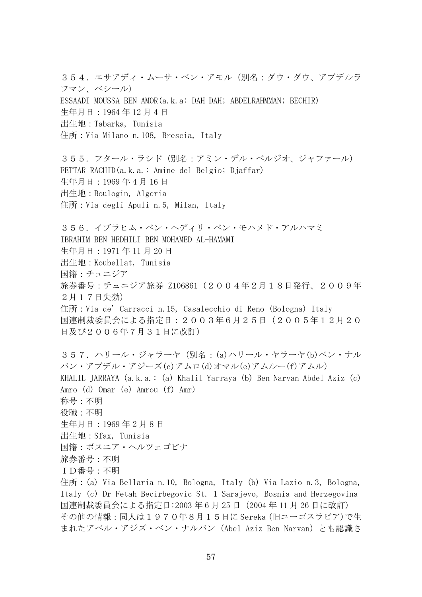354. エサアディ・ムーサ・ベン・アモル(別名:ダウ・ダウ、アブデルラ フマン、ベシール) ESSAADI MOUSSA BEN AMOR(a.k.a: DAH DAH; ABDELRAHMMAN; BECHIR) 生年月日:1964 年 12 月 4 日 出生地:Tabarka, Tunisia 住所:Via Milano n.108, Brescia, Italy

355.フタール・ラシド(別名:アミン・デル・ベルジオ、ジャファール) FETTAR RACHID(a.k.a.: Amine del Belgio; Djaffar) 生年月日:1969 年 4 月 16 日 出生地:Boulogin, Algeria 住所:Via degli Apuli n.5, Milan, Italy

356.イブラヒム・ベン・ヘディリ・ベン・モハメド・アルハマミ IBRAHIM BEN HEDHILI BEN MOHAMED AL-HAMAMI 生年月日:1971 年 11 月 20 日 出生地:Koubellat, Tunisia 国籍:チュニジア 旅券番号:チュニジア旅券 Z106861(2004年2月18日発行、2009年 2月17日失効) 住所:Via de' Carracci n.15, Casalecchio di Reno (Bologna) Italy 国連制裁委員会による指定日:2003年6月25日(2005年12月20 日及び2006年7月31日に改訂)

357.ハリール・ジャラーヤ(別名:(a)ハリール・ヤラーヤ(b)ベン・ナル バン・アブデル・アジーズ(c)アムロ(d)オマル(e)アムルー(f)アムル) KHALIL JARRAYA (a.k.a.: (a) Khalil Yarraya (b) Ben Narvan Abdel Aziz (c) Amro (d) Omar (e) Amrou (f) Amr) 称号:不明 役職:不明 生年月日:1969 年 2 月 8 日 出生地:Sfax, Tunisia 国籍:ボスニア・ヘルツェゴビナ 旅券番号:不明 ID番号:不明 住所:(a) Via Bellaria n.10, Bologna, Italy (b) Via Lazio n.3, Bologna, Italy (c) Dr Fetah Becirbegovic St. 1 Sarajevo, Bosnia and Herzegovina 国連制裁委員会による指定日:2003 年 6 月 25 日(2004 年 11 月 26 日に改訂) その他の情報:同人は1970年8月15日に Sereka (旧ユーゴスラビア)で生

まれたアベル・アジズ・ベン・ナルバン(Abel Aziz Ben Narvan)とも認識さ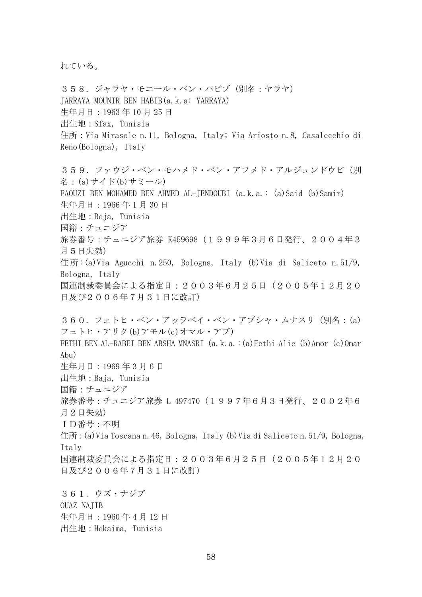れている。

358.ジャラヤ・モニール・ベン・ハビブ(別名:ヤラヤ) JARRAYA MOUNIR BEN HABIB(a.k.a: YARRAYA) 生年月日:1963 年 10 月 25 日 出生地:Sfax, Tunisia 住所:Via Mirasole n.11, Bologna, Italy; Via Ariosto n.8, Casalecchio di Reno(Bologna), Italy

359. ファウジ・ベン・モハメド・ベン・アフメド・アルジュンドウビ (別 名:(a)サイド(b)サミール) FAOUZI BEN MOHAMED BEN AHMED AL-JENDOUBI (a.k.a.: (a)Said (b)Samir) 生年月日:1966 年 1 月 30 日 出生地:Beja, Tunisia 国籍:チュニジア 旅券番号: チュニジア旅券 K459698 (1999年3月6日発行、2004年3 月5日失効) 住所 :(a)Via Agucchi n.250, Bologna, Italy (b)Via di Saliceto n.51/9, Bologna, Italy 国連制裁委員会による指定日:2003年6月25日(2005年12月20 日及び2006年7月31日に改訂) 360.フェトヒ・ベン・アッラベイ・ベン・アブシャ・ムナスリ(別名:(a) フェトヒ・アリク(b)アモル(c)オマル・アブ) FETHI BEN AL-RABEI BEN ABSHA MNASRI (a.k.a.:(a)Fethi Alic (b)Amor (c)Omar Abu)

生年月日:1969 年 3 月 6 日

出生地:Baja, Tunisia 国籍:チュニジア

旅券番号:チュニジア旅券 L 497470(1997年6月3日発行、2002年6

月2日失効)

ID番号:不明

住所:(a)Via Toscana n.46, Bologna, Italy (b)Via di Saliceto n.51/9, Bologna, Italy

国連制裁委員会による指定日:2003年6月25日(2005年12月20 日及び2006年7月31日に改訂)

361.ウズ・ナジブ OUAZ NAJIB 生年月日:1960 年 4 月 12 日 出生地:Hekaima, Tunisia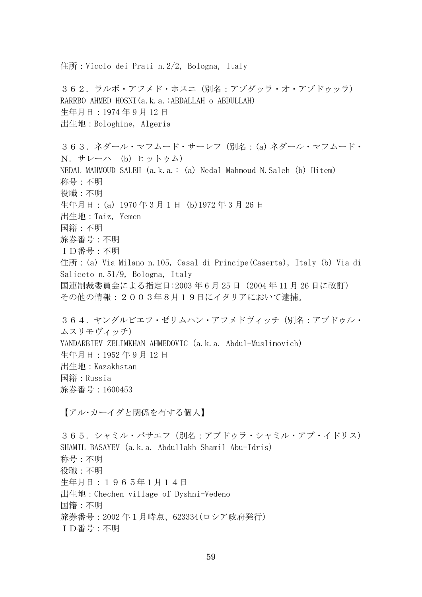住所:Vicolo dei Prati n.2/2, Bologna, Italy 362.ラルボ・アフメド・ホスニ(別名:アブダッラ・オ・アブドゥッラ) RARRBO AHMED HOSNI(a.k.a.:ABDALLAH o ABDULLAH) 生年月日:1974 年 9 月 12 日 出生地:Bologhine, Algeria 363.ネダール・マフムード・サーレフ(別名:(a) ネダール・マフムード・ N.サレーハ (b) ヒットゥム) NEDAL MAHMOUD SALEH (a.k.a.: (a) Nedal Mahmoud N.Saleh (b) Hitem) 称号:不明 役職:不明 生年月日:(a) 1970年3月1 日 (b)1972 年 3 月 26 日 出生地:Taiz, Yemen 国籍:不明 旅券番号:不明 ID番号:不明 住所:(a) Via Milano n.105, Casal di Principe(Caserta), Italy (b) Via di Saliceto n.51/9, Bologna, Italy 国連制裁委員会による指定日:2003 年 6 月 25 日(2004 年 11 月 26 日に改訂) その他の情報:2003年8月19日にイタリアにおいて逮捕。 364.ヤンダルビエフ・ゼリムハン・アフメドヴィッチ(別名:アブドゥル・ ムスリモヴィッチ) YANDARBIEV ZELIMKHAN AHMEDOVIC (a.k.a. Abdul-Muslimovich) 生年月日:1952 年 9 月 12 日 出生地:Kazakhstan 国籍:Russia 旅券番号:1600453 【アル・カーイダと関係を有する個人】 365.シャミル・バサエフ(別名:アブドゥラ・シャミル・アブ・イドリス) SHAMIL BASAYEV (a.k.a. Abdullakh Shamil Abu-Idris) 称号:不明 役職:不明 生年月日:1965年1月14日

出生地:Chechen village of Dyshni-Vedeno 国籍:不明

旅券番号:2002 年1月時点、623334(ロシア政府発行)

ID番号:不明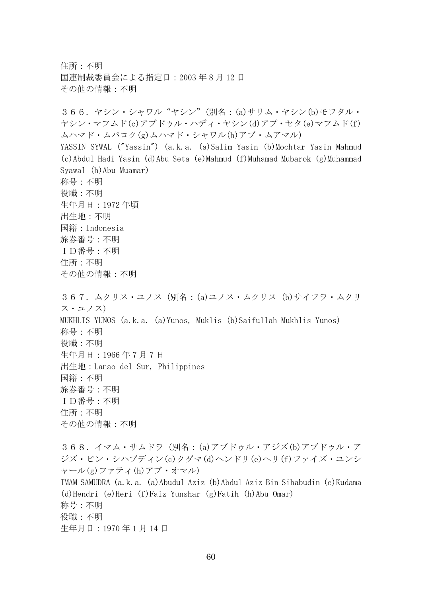住所:不明 国連制裁委員会による指定日:2003 年 8 月 12 日 その他の情報:不明

366.ヤシン・シャワル"ヤシン"(別名:(a)サリム・ヤシン(b)モフタル・ ヤシン・マフムド(c)アブドゥル・ハディ・ヤシン(d)アブ・セタ(e)マフムド(f) ムハマド・ムバロク(g)ムハマド・シャワル(h)アブ・ムアマル) YASSIN SYWAL ("Yassin") (a.k.a. (a)Salim Yasin (b)Mochtar Yasin Mahmud (c)Abdul Hadi Yasin (d)Abu Seta (e)Mahmud (f)Muhamad Mubarok (g)Muhammad Syawal (h)Abu Muamar) 称号:不明 役職:不明 生年月日:1972 年頃 出生地:不明 国籍:Indonesia 旅券番号:不明 ID番号:不明 住所:不明 その他の情報:不明 367.ムクリス・ユノス(別名:(a)ユノス・ムクリス (b)サイフラ・ムクリ ス・ユノス) MUKHLIS YUNOS (a.k.a. (a)Yunos, Muklis (b)Saifullah Mukhlis Yunos) 称号:不明 役職:不明 生年月日:1966 年 7 月 7 日 出生地:Lanao del Sur, Philippines 国籍:不明 旅券番号:不明 ID番号:不明 住所:不明 その他の情報:不明 368.イマム・サムドラ(別名:(a)アブドゥル・アジズ(b)アブドゥル・ア ジズ・ビン・シハブディン(c)クダマ(d)ヘンドリ(e)ヘリ(f)ファイズ・ユンシ ャール(g)ファティ(h)アブ・オマル) IMAM SAMUDRA (a.k.a. (a)Abudul Aziz (b)Abdul Aziz Bin Sihabudin (c)Kudama (d)Hendri (e)Heri (f)Faiz Yunshar (g)Fatih (h)Abu Omar) 称号:不明 役職:不明 生年月日:1970 年 1 月 14 日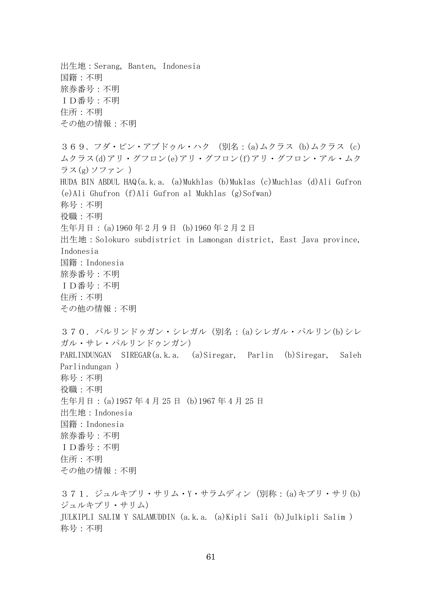出生地:Serang, Banten, Indonesia 国籍:不明 旅券番号:不明 ID番号:不明 住所:不明 その他の情報:不明 369.フダ・ビン・アブドゥル・ハク (別名:(a)ムクラス (b)ムクラス (c) ムクラス(d)アリ・グフロン(e)アリ・グフロン(f)アリ・グフロン・アル・ムク ラス(g)ソファン ) HUDA BIN ABDUL HAQ(a.k.a. (a)Mukhlas (b)Muklas (c)Muchlas (d)Ali Gufron (e)Ali Ghufron (f)Ali Gufron al Mukhlas (g)Sofwan) 称号:不明 役職:不明 生年月日:(a)1960年2月9 日 (b)1960 年 2 月 2 日 出生地:Solokuro subdistrict in Lamongan district, East Java province, Indonesia 国籍:Indonesia 旅券番号:不明 ID番号:不明 住所:不明 その他の情報:不明 370.パルリンドゥガン・シレガル(別名:(a)シレガル・パルリン(b)シレ ガル・サレ・パルリンドゥンガン) PARLINDUNGAN SIREGAR(a.k.a. (a)Siregar, Parlin (b)Siregar, Saleh Parlindungan ) 称号:不明 役職:不明 生年月日:(a)1957 年 4 月 25 日 (b)1967 年 4 月 25 日 出生地:Indonesia 国籍:Indonesia 旅券番号:不明 ID番号:不明 住所:不明 その他の情報:不明 371.ジュルキプリ・サリム・Y・サラムディン(別称:(a)キプリ・サリ(b) ジュルキプリ・サリム) JULKIPLI SALIM Y SALAMUDDIN (a.k.a. (a)Kipli Sali (b)Julkipli Salim ) 称号:不明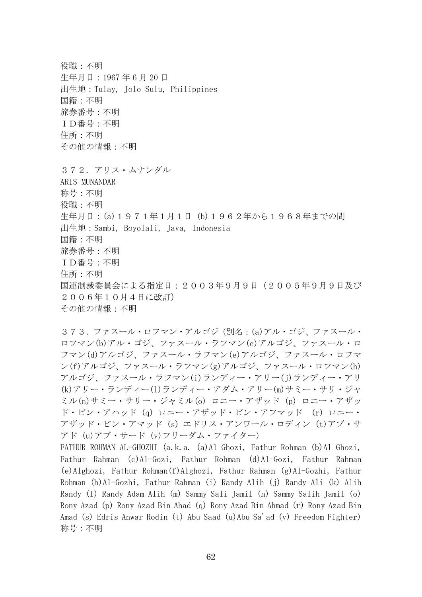役職:不明 生年月日:1967 年 6 月 20 日 出生地:Tulay, Jolo Sulu, Philippines 国籍:不明 旅券番号:不明 ID番号:不明 住所:不明 その他の情報:不明 372.アリス・ムナンダル ARIS MUNANDAR 称号:不明 役職:不明 生年月日:(a)1971年1月1日 (b)1962年から1968年までの間 出生地:Sambi, Boyolali, Java, Indonesia 国籍:不明 旅券番号:不明 ID番号:不明 住所:不明 国連制裁委員会による指定日:2003年9月9日(2005年9月9日及び 2006年10月4日に改訂) その他の情報:不明

373.ファスール・ロフマン・アルゴジ(別名:(a)アル・ゴジ、ファスール・ ロフマン(b)アル・ゴジ、ファスール・ラフマン(c)アルゴジ、ファスール・ロ フマン(d)アルゴジ、ファスール・ラフマン(e)アルゴジ、ファスール・ロフマ ン(f)アルゴジ、ファスール・ラフマン(g)アルゴジ、ファスール・ロフマン(h) アルゴジ、ファスール・ラフマン(i)ランディー・アリー(j)ランディー・アリ (k)アリー・ランディー(l)ランディー・アダム・アリー(m)サミー・サリ・ジャ ミル(n)サミー・サリー・ジャミル(o) ロニー・アザッド (p) ロニー・アザッ ド・ビン・アハッド (q) ロニー・アザッド・ビン・アフマッド (r) ロニー・ アザッド・ビン・アマッド (s) エドリス・アンワール・ロディン (t)アブ・サ アド (u)アブ・サード (v)フリーダム・ファイター)

FATHUR ROHMAN AL-GHOZHI (a.k.a. (a)Al Ghozi, Fathur Rohman (b)Al Ghozi, Fathur Rahman (c)Al-Gozi, Fathur Rohman (d)Al-Gozi, Fathur Rahman (e)Alghozi, Fathur Rohman(f)Alghozi, Fathur Rahman (g)Al-Gozhi, Fathur Rohman (h)Al-Gozhi, Fathur Rahman (i) Randy Alih (j) Randy Ali (k) Alih Randy (l) Randy Adam Alih (m) Sammy Sali Jamil (n) Sammy Salih Jamil (o) Rony Azad (p) Rony Azad Bin Ahad (q) Rony Azad Bin Ahmad (r) Rony Azad Bin Amad (s) Edris Anwar Rodin (t) Abu Saad (u)Abu Sa'ad (v) Freedom Fighter) 称号:不明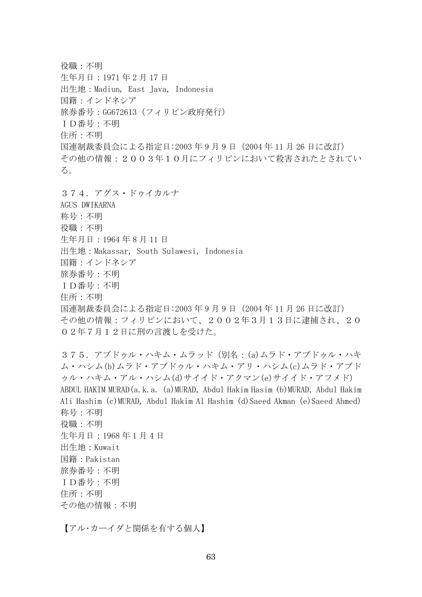役職:不明 生年月日:1971 年 2 月 17 日 出生地:Madiun, East Java, Indonesia 国籍:インドネシア 旅券番号:GG672613(フィリピン政府発行) ID番号:不明 住所:不明 国連制裁委員会による指定日:2003年9月9 日(2004 年 11 月 26 日に改訂) その他の情報:2003年10月にフィリピンにおいて殺害されたとされてい る。 374.アグス・ドゥイカルナ AGUS DWIKARNA 称号:不明 役職:不明 生年月日:1964 年 8 月 11 日 出生地:Makassar, South Sulawesi, Indonesia 国籍:インドネシア 旅券番号:不明 ID番号:不明 住所:不明 国連制裁委員会による指定日:2003年9月9 日(2004 年 11 月 26 日に改訂) その他の情報:フィリピンにおいて、2002年3月13日に逮捕され、20 02年7月12日に刑の言渡しを受けた。 375. アブドゥル・ハキム・ムラッド (別名: (a)ムラド・アブドゥル・ハキ ム・ハシム(b)ムラド・アブドゥル・ハキム・アリ・ハシム(c)ムラド・アブド ゥル・ハキム・アル・ハシム(d)サイイド・アクマン(e)サイイド・アフメド) ABDUL HAKIM MURAD(a.k.a. (a)MURAD, Abdul Hakim Hasim (b)MURAD, Abdul Hakim Ali Hashim (c)MURAD, Abdul Hakim Al Hashim (d)Saeed Akman (e)Saeed Ahmed) 称号:不明 役職:不明 生年月日:1968 年 1 月 4 日 出生地:Kuwait 国籍:Pakistan 旅券番号:不明 ID番号:不明 住所:不明

その他の情報:不明

【アル・カーイダと関係を有する個人】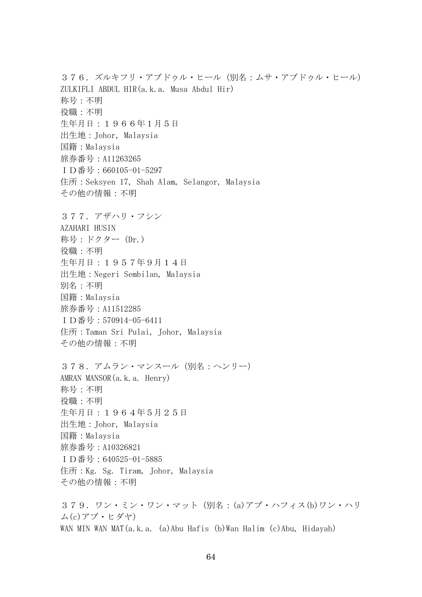376.ズルキフリ・アブドゥル・ヒール(別名:ムサ・アブドゥル・ヒール) ZULKIFLI ABDUL HIR(a.k.a. Musa Abdul Hir) 称号:不明 役職:不明 生年月日:1966年1月5日 出生地:Johor, Malaysia 国籍:Malaysia 旅券番号:A11263265 ID番号:660105-01-5297 住所:Seksyen 17, Shah Alam, Selangor, Malaysia その他の情報:不明 377.アザハリ・フシン AZAHARI HUSIN 称号: ドクター (Dr.) 役職:不明 生年月日:1957年9月14日 出生地:Negeri Sembilan, Malaysia 別名:不明 国籍:Malaysia 旅券番号:A11512285 ID番号:570914-05-6411 住所:Taman Sri Pulai, Johor, Malaysia その他の情報:不明 378.アムラン・マンスール(別名:ヘンリー) AMRAN MANSOR(a.k.a. Henry) 称号:不明 役職:不明 生年月日:1964年5月25日 出生地:Johor, Malaysia 国籍:Malaysia 旅券番号:A10326821 ID番号:640525-01-5885 住所:Kg. Sg. Tiram, Johor, Malaysia その他の情報:不明 379. ワン・ミン・ワン・マット (別名: (a)アブ・ハフィス(b)ワン・ハリ ム(c)アブ・ヒダヤ)

WAN MIN WAN MAT(a.k.a. (a)Abu Hafis (b)Wan Halim (c)Abu, Hidayah)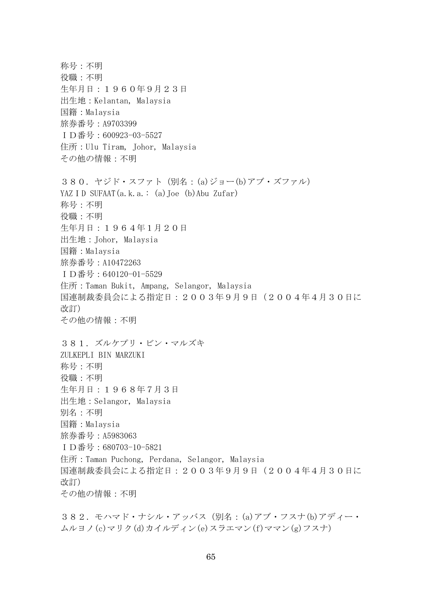称号:不明 役職:不明 生年月日:1960年9月23日 出生地:Kelantan, Malaysia 国籍:Malaysia 旅券番号:A9703399 ID番号:600923-03-5527 住所:Ulu Tiram, Johor, Malaysia その他の情報:不明 380. ヤジド・スファト (別名: (a)ジョー(b)アブ・ズファル) YAZID SUFAAT $(a, k, a, : (a)$  Joe  $(b)$  Abu Zufar) 称号:不明 役職:不明 生年月日:1964年1月20日 出生地:Johor, Malaysia 国籍:Malaysia 旅券番号:A10472263 ID番号:640120-01-5529 住所:Taman Bukit, Ampang, Selangor, Malaysia 国連制裁委員会による指定日:2003年9月9日(2004年4月30日に 改訂) その他の情報:不明 381.ズルケプリ・ビン・マルズキ ZULKEPLI BIN MARZUKI 称号:不明 役職:不明 生年月日:1968年7月3日 出生地:Selangor, Malaysia 別名:不明 国籍:Malaysia 旅券番号:A5983063 ID番号:680703-10-5821 住所:Taman Puchong, Perdana, Selangor, Malaysia 国連制裁委員会による指定日:2003年9月9日(2004年4月30日に 改訂) その他の情報:不明

382.モハマド・ナシル・アッバス(別名:(a)アブ・フスナ(b)アディー・ ムルヨノ(c)マリク(d)カイルディン(e)スラエマン(f)ママン(g)フスナ)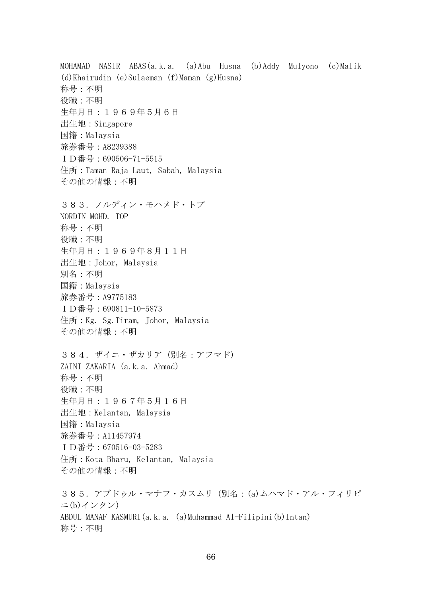MOHAMAD NASIR ABAS(a.k.a. (a)Abu Husna (b)Addy Mulyono (c)Malik (d)Khairudin (e)Sulaeman (f)Maman (g)Husna) 称号:不明 役職:不明 生年月日:1969年5月6日 出生地:Singapore 国籍:Malaysia 旅券番号:A8239388 ID番号:690506-71-5515 住所:Taman Raja Laut, Sabah, Malaysia その他の情報:不明 383.ノルディン・モハメド・トプ NORDIN MOHD. TOP 称号:不明 役職:不明 生年月日:1969年8月11日 出生地:Johor, Malaysia 別名:不明 国籍:Malaysia 旅券番号:A9775183 ID番号:690811-10-5873 住所:Kg. Sg.Tiram, Johor, Malaysia その他の情報:不明 384. ザイニ・ザカリア (別名:アフマド) ZAINI ZAKARIA (a.k.a. Ahmad) 称号:不明 役職:不明 生年月日:1967年5月16日 出生地:Kelantan, Malaysia 国籍:Malaysia 旅券番号:A11457974 ID番号:670516-03-5283 住所:Kota Bharu, Kelantan, Malaysia その他の情報:不明 385. アブドゥル・マナフ・カスムリ (別名: (a)ムハマド・アル・フィリピ ニ(b)インタン) ABDUL MANAF KASMURI(a.k.a. (a)Muhammad Al-Filipini(b)Intan)

称号:不明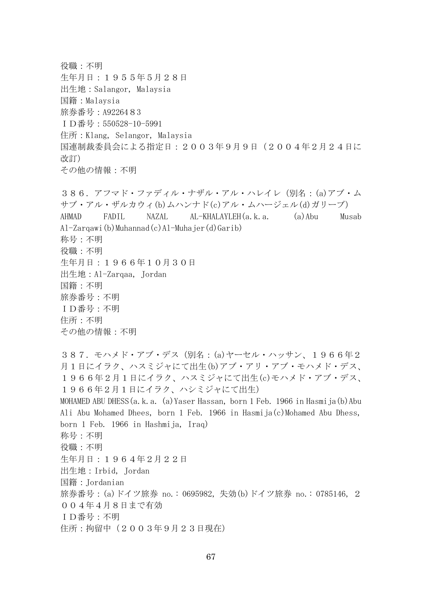役職:不明 生年月日:1955年5月28日 出生地:Salangor, Malaysia 国籍:Malaysia 旅券番号:A9226483 ID番号:550528-10-5991 住所:Klang, Selangor, Malaysia 国連制裁委員会による指定日:2003年9月9日(2004年2月24日に 改訂) その他の情報:不明 386.アフマド・ファディル・ナザル・アル・ハレイレ(別名:(a)アブ・ム サブ・アル・ザルカウィ(b)ムハンナド(c)アル・ムハージェル(d)ガリーブ) AHMAD FADIL NAZAL AL-KHALAYLEH(a.k.a. (a)Abu Musab Al-Zarqawi(b)Muhannad(c)Al-Muhajer(d)Garib) 称号:不明 役職:不明 生年月日:1966年10月30日 出生地:Al-Zarqaa, Jordan 国籍:不明 旅券番号:不明 ID番号:不明 住所:不明 その他の情報:不明 387.モハメド・アブ・デス(別名:(a)ヤーセル・ハッサン、1966年2 月1日にイラク、ハスミジャにて出生(b)アブ・アリ・アブ・モハメド・デス、 1966年2月1日にイラク、ハスミジャにて出生(c)モハメド・アブ・デス、 1966年2月1日にイラク、ハシミジャにて出生) MOHAMED ABU DHESS(a.k.a. (a)Yaser Hassan, born 1 Feb. 1966 in Hasmija(b)Abu Ali Abu Mohamed Dhees, born 1 Feb. 1966 in Hasmija(c)Mohamed Abu Dhess, born 1 Feb. 1966 in Hashmija, Iraq) 称号:不明 役職:不明 生年月日:1964年2月22日 出生地:Irbid, Jordan 国籍:Jordanian 旅券番号:(a)ドイツ旅券 no.: 0695982, 失効(b)ドイツ旅券 no.: 0785146, 2 004年4月8日まで有効 ID番号:不明 住所:拘留中(2003年9月23日現在)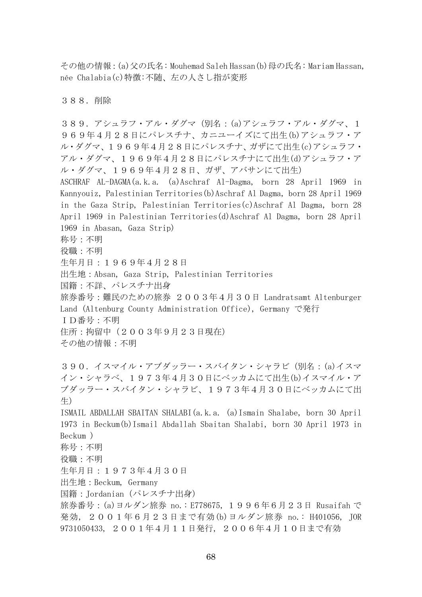その他の情報:(a)父の氏名: Mouhemad Saleh Hassan(b)母の氏名: Mariam Hassan, née Chalabia(c)特徴:不随、左の人さし指が変形

388.削除

389.アシュラフ・アル・ダグマ(別名:(a)アシュラフ・アル・ダグマ、1 969年4月28日にパレスチナ、カニユーイズにて出生(b)アシュラフ·ア ル・ダグマ、1969年4月28日にパレスチナ、ガザにて出生(c)アシュラフ・ アル・ダグマ、1969年4月28日にパレスチナにて出生(d)アシュラフ・ア ル・ダグマ、1969年4月28日、ガザ、アバサンにて出生) ASCHRAF AL-DAGMA(a.k.a. (a)Aschraf Al-Dagma, born 28 April 1969 in Kannyouiz, Palestinian Territories(b)Aschraf Al Dagma, born 28 April 1969 in the Gaza Strip, Palestinian Territories(c)Aschraf Al Dagma, born 28 April 1969 in Palestinian Territories(d)Aschraf Al Dagma, born 28 April 1969 in Abasan, Gaza Strip) 称号:不明 役職:不明 生年月日:1969年4月28日 出生地:Absan, Gaza Strip, Palestinian Territories 国籍:不詳、パレスチナ出身 旅券番号:難民のための旅券 2003年4月30日 Landratsamt Altenburger Land (Altenburg County Administration Office), Germany で発行 ID番号:不明 住所:拘留中(2003年9月23日現在) その他の情報:不明 390. イスマイル・アブダッラー・スバイタン・シャラビ (別名: (a)イスマ イン・シャラベ、1973年4月30日にベッカムにて出生(b)イスマイル・ア ブダッラー・スバイタン・シャラビ、1973年4月30日にベッカムにて出 生) ISMAIL ABDALLAH SBAITAN SHALABI(a.k.a. (a)Ismain Shalabe, born 30 April 1973 in Beckum(b)Ismail Abdallah Sbaitan Shalabi, born 30 April 1973 in Beckum ) 称号:不明 役職:不明 生年月日:1973年4月30日 出生地:Beckum, Germany 国籍:Jordanian(パレスチナ出身) 旅券番号:(a)ヨルダン旅券 no.: E778675, 1996年6月23日 Rusaifah で 発効, 2001年6月23日まで有効(b)ヨルダン旅券 no.: H401056, JOR 9731050433, 2001年4月11日発行, 2006年4月10日まで有効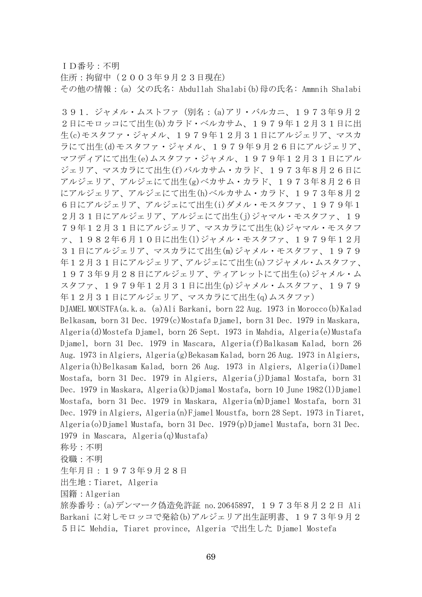ID番号:不明

住所:拘留中(2003年9月23日現在) その他の情報:(a) 父の氏名: Abdullah Shalabi(b)母の氏名: Ammnih Shalabi

391.ジャメル・ムストファ(別名:(a)アリ・バルカニ、1973年9月2 2日にモロッコにて出生(b)カラド・ベルカサム、1979年12月31日に出 生(c)モスタファ・ジャメル、1979年12月31日にアルジェリア、マスカ ラにて出生(d)モスタファ・ジャメル、1979年9月26日にアルジェリア、 マフディアにて出生(e)ムスタファ・ジャメル、1979年12月31日にアル ジェリア、マスカラにて出生(f)バルカサム・カラド、1973年8月26日に アルジェリア、アルジェにて出生(g)ベカサム・カラド、1973年8月26日 にアルジェリア、アルジェにて出生(h)ベルカサム・カラド、1973年8月2 6日にアルジェリア、アルジェにて出生(i)ダメル・モスタファ、1979年1 2月31日にアルジェリア、アルジェにて出生(j)ジャマル·モスタファ、19 79年12月31日にアルジェリア、マスカラにて出生(k)ジャマル・モスタフ ァ、1982年6月10日に出生(l)ジャメル・モスタファ、1979年12月 31日にアルジェリア、マスカラにて出生(m)ジャメル・モスタファ、1979 年12月31日にアルジェリア、アルジェにて出生(n)フジャメル・ムスタファ、 1973年9月28日にアルジェリア、ティアレットにて出生(o)ジャメル·ム スタファ、1979年12月31日に出生(p)ジャメル・ムスタファ、1979 年12月31日にアルジェリア、マスカラにて出生(q)ムスタファ) DJAMEL MOUSTFA(a.k.a. (a)Ali Barkani, born 22 Aug. 1973 in Morocco(b)Kalad Belkasam, born 31 Dec. 1979(c)Mostafa Djamel, born 31 Dec. 1979 in Maskara, Algeria(d)Mostefa Djamel, born 26 Sept. 1973 in Mahdia, Algeria(e)Mustafa Djamel, born 31 Dec. 1979 in Mascara, Algeria(f)Balkasam Kalad, born 26 Aug. 1973 in Algiers, Algeria(g)Bekasam Kalad, born 26 Aug. 1973 in Algiers, Algeria(h)Belkasam Kalad, born 26 Aug. 1973 in Algiers, Algeria(i)Damel Mostafa, born 31 Dec. 1979 in Algiers, Algeria(j)Djamal Mostafa, born 31 Dec. 1979 in Maskara, Algeria(k)Djamal Mostafa, born 10 June 1982(l)Djamel Mostafa, born 31 Dec. 1979 in Maskara, Algeria(m)Djamel Mostafa, born 31 Dec. 1979 in Algiers, Algeria(n)Fjamel Moustfa, born 28 Sept. 1973 in Tiaret, Algeria(o)Djamel Mustafa, born 31 Dec. 1979(p)Djamel Mustafa, born 31 Dec. 1979 in Mascara, Algeria(q)Mustafa) 称号:不明 役職:不明 生年月日:1973年9月28日 出生地:Tiaret, Algeria

国籍:Algerian

旅券番号:(a)デンマーク偽造免許証 no.20645897, 1973年8月22日 Ali Barkani に対しモロッコで発給(b)アルジェリア出生証明書、1973年9月2 5日に Mehdia, Tiaret province, Algeria で出生した Djamel Mostefa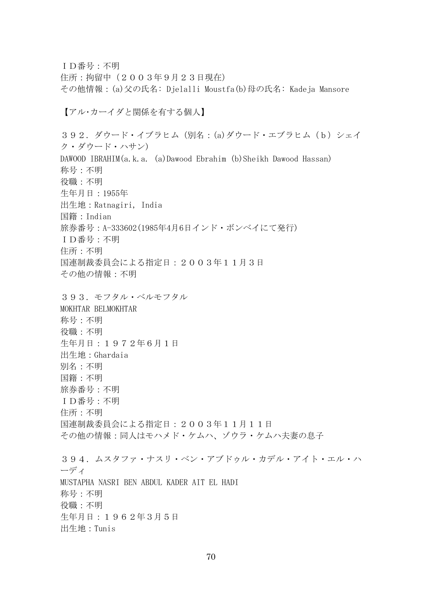ID番号:不明 住所:拘留中(2003年9月23日現在) その他情報:(a)父の氏名: Djelalli Moustfa(b)母の氏名: Kadeja Mansore 【アル・カーイダと関係を有する個人】 392. ダウード・イブラヒム (別名: (a)ダウード・エブラヒム (b) シェイ ク・ダウード・ハサン) DAWOOD IBRAHIM(a.k.a. (a)Dawood Ebrahim (b)Sheikh Dawood Hassan) 称号:不明 役職:不明 生年月日:1955年 出生地:Ratnagiri, India 国籍:Indian 旅券番号:A-333602(1985年4月6日インド・ボンベイにて発行) ID番号:不明 住所:不明 国連制裁委員会による指定日:2003年11月3日 その他の情報:不明 393.モフタル・ベルモフタル MOKHTAR BELMOKHTAR 称号:不明 役職:不明 生年月日:1972年6月1日 出生地:Ghardaia 別名:不明 国籍:不明 旅券番号:不明 ID番号:不明 住所:不明 国連制裁委員会による指定日:2003年11月11日 その他の情報:同人はモハメド・ケムハ、ゾウラ・ケムハ夫妻の息子 394.ムスタファ・ナスリ・ベン・アブドゥル・カデル・アイト・エル・ハ ーディ

MUSTAPHA NASRI BEN ABDUL KADER AIT EL HADI 称号:不明 役職:不明

生年月日:1962年3月5日

出生地:Tunis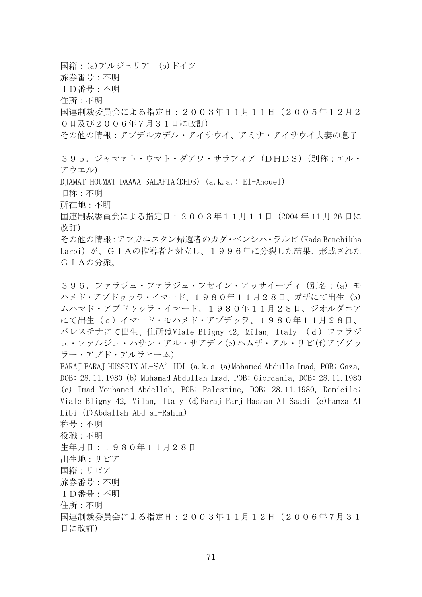国籍:(a)アルジェリア (b)ドイツ 旅券番号:不明 ID番号:不明 住所:不明 国連制裁委員会による指定日:2003年11月11日(2005年12月2 0日及び2006年7月31日に改訂) その他の情報:アブデルカデル・アイサウイ、アミナ・アイサウイ夫妻の息子 395.ジャマァト・ウマト・ダアワ・サラフィア(DHDS)(別称:エル・ アウエル) DJAMAT HOUMAT DAAWA SALAFIA(DHDS) (a.k.a.: El-Ahouel) 旧称:不明 所在地:不明 国連制裁委員会による指定日:2003年11月11日(2004 年 11 月 26 日に 改訂) その他の情報:アフガニスタン帰還者のカダ・ベンシハ・ラルビ(Kada Benchikha Larbi)が、GIAの指導者と対立し、1996年に分裂した結果、形成された GIAの分派。 396. ファラジュ·ファラジュ·フセイン·アッサイーディ (別名: (a) モ ハメド・アブドゥッラ・イマード、1980年11月28日、ガザにて出生 (b) ムハマド・アブドゥッラ・イマード、1980年11月28日、ジオルダニア にて出生 (c)イマード・モハメド・アブデッラ、1980年11月28日、 パレスチナにて出生、住所はViale Bligny 42, Milan, Italy (d)ファラジ ュ・ファルジュ・ハサン・アル・サアディ(e)ハムザ・アル・リビ(f)アブダッ ラー・アブド・アルラヒーム)

FARAJ FARAJ HUSSEIN AL-SA' IDI (a.k.a. (a)Mohamed Abdulla Imad, POB: Gaza, DOB: 28.11.1980 (b) Muhamad Abdullah Imad, POB: Giordania, DOB: 28.11.1980 (c) Imad Mouhamed Abdellah, POB: Palestine, DOB: 28.11.1980, Domicile: Viale Bligny 42, Milan, Italy (d)Faraj Farj Hassan Al Saadi (e)Hamza Al Libi (f)Abdallah Abd al-Rahim)

称号:不明 役職:不明 生年月日:1980年11月28日 出生地:リビア 国籍:リビア 旅券番号:不明 ID番号:不明 住所:不明 国連制裁委員会による指定日:2003年11月12日(2006年7月31 日に改訂)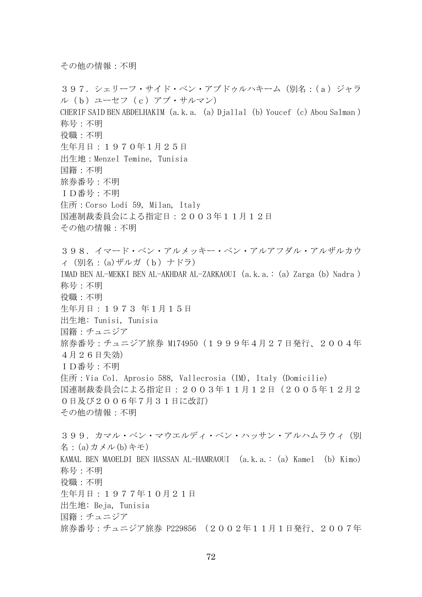その他の情報:不明

397.シェリーフ・サイド・ベン・アブドゥルハキーム(別名:(a)ジャラ ル(b)ユーセフ(c)アブ・サルマン) CHERIF SAID BEN ABDELHAKIM (a.k.a. (a) Djallal (b) Youcef (c) Abou Salman ) 称号:不明 役職:不明 生年月日:1970年1月25日 出生地:Menzel Temine, Tunisia 国籍:不明 旅券番号:不明 ID番号:不明 住所:Corso Lodi 59, Milan, Italy 国連制裁委員会による指定日:2003年11月12日 その他の情報:不明 398.イマード・ベン・アルメッキー・ベン・アルアフダル・アルザルカウ ィ(別名:(a)ザルガ(b)ナドラ) IMAD BEN AL-MEKKI BEN AL-AKHDAR AL-ZARKAOUI(a.k.a.: (a) Zarga (b) Nadra ) 称号:不明 役職:不明 生年月日:1973 年1月15日 出生地: Tunisi, Tunisia 国籍:チュニジア 旅券番号: チュニジア旅券 M174950 (1999年4月27日発行、2004年 4月26日失効) ID番号:不明 住所:Via Col. Aprosio 588, Vallecrosia (IM), Italy (Domicilie) 国連制裁委員会による指定日:2003年11月12日(2005年12月2 0日及び2006年7月31日に改訂) その他の情報:不明 399. カマル・ベン・マウエルディ・ベン・ハッサン・アルハムラウィ(別 名:(a)カメル(b)キモ) KAMAL BEN MAOELDI BEN HASSAN AL-HAMRAOUI (a.k.a.:(a) Kamel (b) Kimo) 称号:不明 役職:不明 生年月日:1977年10月21日 出生地: Beja, Tunisia 国籍:チュニジア 旅券番号:チュニジア旅券 P229856 (2002年11月1日発行、2007年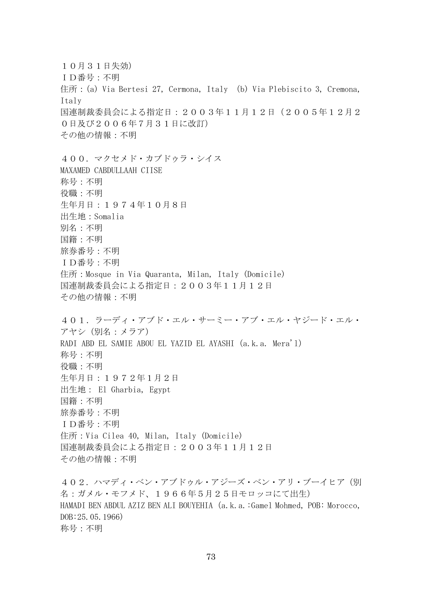10月31日失効) ID番号:不明 住所:(a) Via Bertesi 27, Cermona, Italy (b) Via Plebiscito 3, Cremona, Italy 国連制裁委員会による指定日:2003年11月12日(2005年12月2 0日及び2006年7月31日に改訂) その他の情報:不明 400.マクセメド・カブドゥラ・シイス MAXAMED CABDULLAAH CIISE 称号:不明 役職:不明 生年月日:1974年10月8日 出生地:Somalia 別名:不明 国籍:不明 旅券番号:不明 ID番号:不明 住所:Mosque in Via Quaranta, Milan, Italy (Domicile) 国連制裁委員会による指定日:2003年11月12日 その他の情報:不明 401.ラーディ・アブド・エル・サーミー・アブ・エル・ヤジード・エル・ アヤシ(別名:メラア) RADI ABD EL SAMIE ABOU EL YAZID EL AYASHI(a.k.a. Mera'l) 称号:不明 役職:不明 生年月日:1972年1月2日 出生地: El Gharbia, Egypt 国籍:不明 旅券番号:不明 ID番号:不明 住所:Via Cilea 40, Milan, Italy (Domicile) 国連制裁委員会による指定日:2003年11月12日 その他の情報:不明 402. ハマディ・ベン・アブドゥル・アジーズ・ベン・アリ・ブーイヒア(別 名:ガメル・モフメド、1966年5月25日モロッコにて出生) HAMADI BEN ABDUL AZIZ BEN ALI BOUYEHIA (a.k.a.:Gamel Mohmed, POB: Morocco,

DOB:25.05.1966) 称号:不明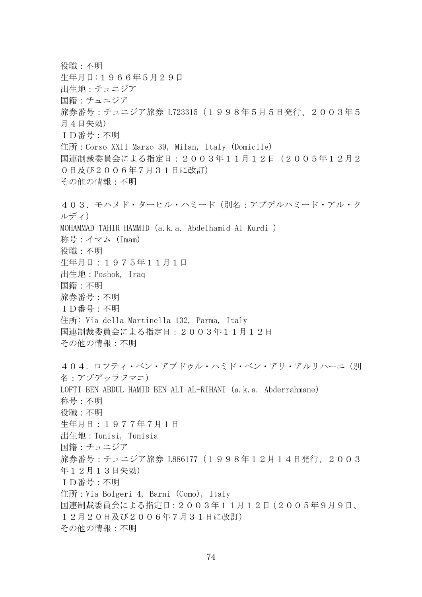役職:不明 生年月日:1966年5月29日 出生地:チュニジア 国籍:チュニジア 旅券番号:チュニジア旅券 L723315(1998年5月5日発行、2003年5 月4日失効) ID番号:不明 住所:Corso XXII Marzo 39, Milan, Italy (Domicile) 国連制裁委員会による指定日:2003年11月12日(2005年12月2 0日及び2006年7月31日に改訂) その他の情報:不明 403.モハメド・ターヒル・ハミード(別名:アブデルハミード・アル・ク ルディ) MOHAMMAD TAHIR HAMMID(a.k.a. Abdelhamid Al Kurdi ) 称号:イマム(Imam) 役職:不明 生年月日:1975年11月1日 出生地:Poshok, Iraq 国籍:不明 旅券番号:不明 ID番号:不明 住所: Via della Martinella 132, Parma, Italy 国連制裁委員会による指定日:2003年11月12日 その他の情報:不明 404. ロフティ・ベン・アブドゥル・ハミド・ベン・アリ・アルリハーニ(別 名:アブデッラフマニ) LOFTI BEN ABDUL HAMID BEN ALI AL-RIHANI(a.k.a. Abderrahmane) 称号:不明 役職:不明 生年月日:1977年7月1日 出生地:Tunisi, Tunisia 国籍:チュニジア 旅券番号: チュニジア旅券 L886177 (1998年12月14日発行、2003 年12月13日失効) ID番号:不明 住所:Via Bolgeri 4, Barni (Como), Italy 国連制裁委員会による指定日:2003年11月12日(2005年9月9日、 12月20日及び2006年7月31日に改訂) その他の情報:不明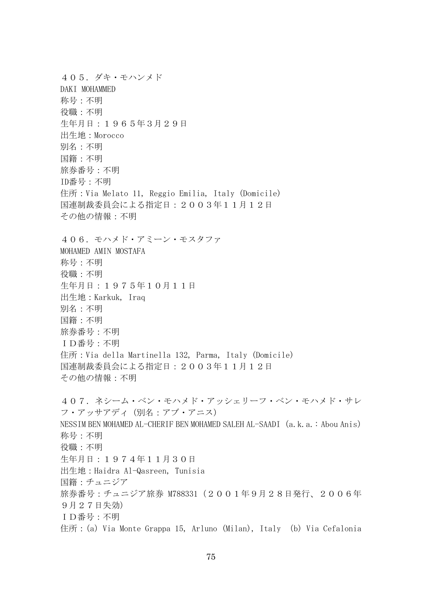405.ダキ・モハンメド DAKI MOHAMMED 称号:不明 役職:不明 生年月日:1965年3月29日 出生地:Morocco 別名:不明 国籍:不明 旅券番号:不明 ID番号:不明 住所:Via Melato 11, Reggio Emilia, Italy (Domicile) 国連制裁委員会による指定日:2003年11月12日 その他の情報:不明 406.モハメド・アミーン・モスタファ MOHAMED AMIN MOSTAFA 称号:不明 役職:不明 生年月日:1975年10月11日 出生地:Karkuk, Iraq 別名:不明 国籍:不明 旅券番号:不明 ID番号:不明 住所:Via della Martinella 132, Parma, Italy (Domicile) 国連制裁委員会による指定日:2003年11月12日 その他の情報:不明 407.ネシーム・ベン・モハメド・アッシェリーフ・ベン・モハメド・サレ フ・アッサアディ(別名:アブ・アニス) NESSIM BEN MOHAMED AL-CHERIF BEN MOHAMED SALEH AL-SAADI(a.k.a.: Abou Anis) 称号:不明 役職:不明 生年月日:1974年11月30日 出生地:Haidra Al-Qasreen, Tunisia 国籍:チュニジア 旅券番号:チュニジア旅券 M788331 (2001年9月28日発行、2006年 9月27日失効) ID番号:不明 住所: (a) Via Monte Grappa 15, Arluno (Milan), Italy (b) Via Cefalonia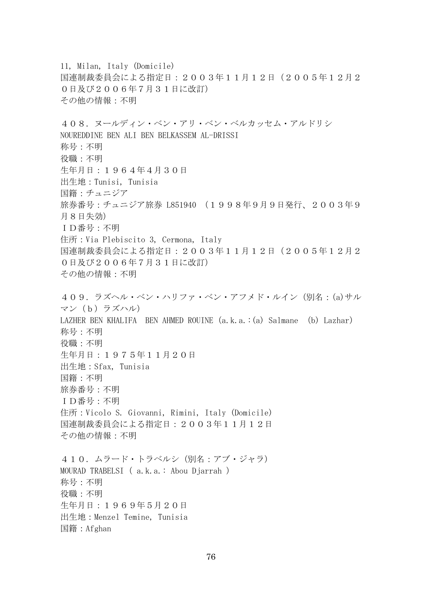11, Milan, Italy (Domicile) 国連制裁委員会による指定日:2003年11月12日(2005年12月2 0日及び2006年7月31日に改訂) その他の情報:不明 408.ヌールディン・ベン・アリ・ベン・ベルカッセム・アルドリシ NOUREDDINE BEN ALI BEN BELKASSEM AL-DRISSI 称号:不明 役職:不明 生年月日:1964年4月30日 出生地:Tunisi, Tunisia 国籍:チュニジア 旅券番号:チュニジア旅券 L851940 (1998年9月9日発行、2003年9 月8日失効) ID番号:不明 住所:Via Plebiscito 3, Cermona, Italy 国連制裁委員会による指定日:2003年11月12日(2005年12月2 0日及び2006年7月31日に改訂) その他の情報:不明 409.ラズヘル・ベン・ハリファ・ベン・アフメド・ルイン(別名:(a)サル マン(b)ラズハル) LAZHER BEN KHALIFA BEN AHMED ROUINE(a.k.a.:(a) Salmane (b) Lazhar) 称号:不明 役職:不明 生年月日:1975年11月20日 出生地:Sfax, Tunisia 国籍:不明 旅券番号:不明 ID番号:不明 住所:Vicolo S. Giovanni, Rimini, Italy (Domicile) 国連制裁委員会による指定日:2003年11月12日 その他の情報:不明 410. ムラード・トラベルシ (別名:アブ・ジャラ) MOURAD TRABELSI( a.k.a.: Abou Djarrah ) 称号:不明 役職:不明 生年月日:1969年5月20日 出生地:Menzel Temine, Tunisia 国籍:Afghan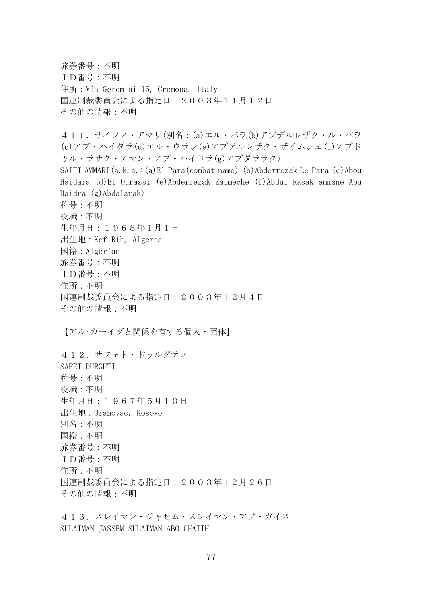旅券番号:不明 ID番号:不明 住所:Via Geromini 15, Cremona, Italy 国連制裁委員会による指定日:2003年11月12日 その他の情報:不明

411.サイフィ・アマリ(別名:(a)エル・パラ(b)アブデルレザク・ル・パラ (c)アブ・ハイダラ(d)エル・ウラシ(e)アブデルレザク・ザイムシェ(f)アブド ゥル・ラサク・アマン・アブ・ハイドラ(g)アブダララク) SAIFI AMMARI(a.k.a.:(a)El Para(combat name) (b)Abderrezak Le Para (c)Abou Haidara (d)El Ourassi (e)Abderrezak Zaimeche (f)Abdul Rasak ammane Abu Haidra (g)Abdalarak) 称号:不明 役職:不明 生年月日:1968年1月1日 出生地:Kef Rih, Algeria 国籍:Algerian 旅券番号:不明 ID番号:不明 住所:不明 国連制裁委員会による指定日:2003年12月4日 その他の情報:不明 【アル・カーイダと関係を有する個人・団体】

412.サフェト・ドゥルグティ SAFET DURGUTI 称号:不明 役職:不明 生年月日:1967年5月10日 出生地:Orahovac, Kosovo 別名:不明 国籍:不明 旅券番号:不明 ID番号:不明 住所:不明 国連制裁委員会による指定日:2003年12月26日 その他の情報:不明

413.スレイマン・ジャセム・スレイマン・アブ・ガイス SULAIMAN JASSEM SULAIMAN ABO GHAITH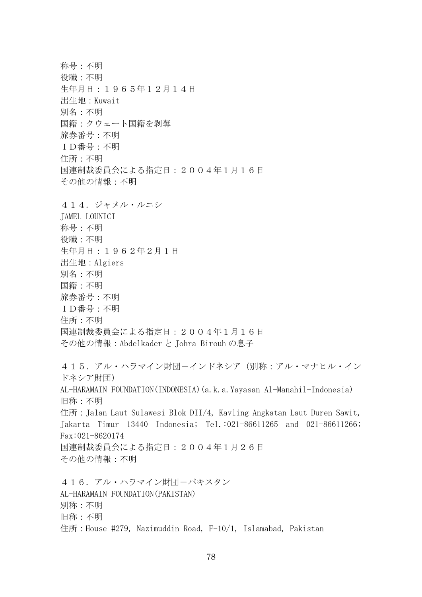称号:不明 役職:不明 生年月日:1965年12月14日 出生地:Kuwait 別名:不明 国籍:クウェート国籍を剥奪 旅券番号:不明 ID番号:不明 住所:不明 国連制裁委員会による指定日:2004年1月16日 その他の情報:不明 414.ジャメル・ルニシ JAMEL LOUNICI 称号:不明 役職:不明 生年月日:1962年2月1日 出生地:Algiers 別名:不明 国籍:不明 旅券番号:不明 ID番号:不明 住所:不明 国連制裁委員会による指定日:2004年1月16日 その他の情報:Abdelkader と Johra Birouh の息子 415.アル・ハラマイン財団-インドネシア(別称:アル・マナヒル・イン ドネシア財団) AL-HARAMAIN FOUNDATION(INDONESIA)(a.k.a.Yayasan Al-Manahil-Indonesia) 旧称:不明 住所:Jalan Laut Sulawesi Blok DII/4, Kavling Angkatan Laut Duren Sawit, Jakarta Timur 13440 Indonesia; Tel.:021-86611265 and 021-86611266; Fax:021-8620174 国連制裁委員会による指定日:2004年1月26日 その他の情報:不明 416. アル・ハラマイン財団ーパキスタン AL-HARAMAIN FOUNDATION(PAKISTAN) 別称:不明 旧称:不明 住所: House #279, Nazimuddin Road, F-10/1, Islamabad, Pakistan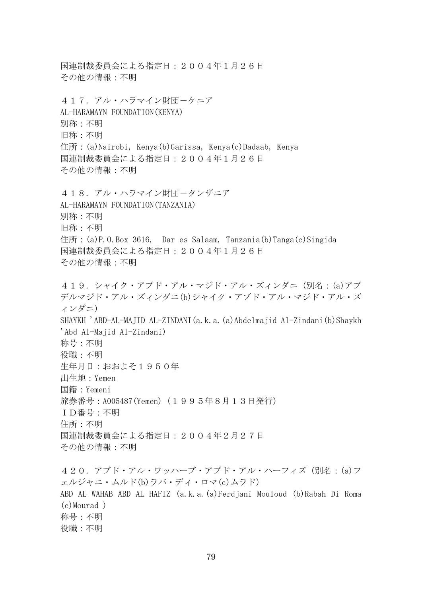国連制裁委員会による指定日:2004年1月26日 その他の情報:不明 417. アル・ハラマイン財団ーケニア AL-HARAMAYN FOUNDATION(KENYA) 別称:不明 旧称:不明 住所:(a)Nairobi, Kenya(b)Garissa, Kenya(c)Dadaab, Kenya 国連制裁委員会による指定日:2004年1月26日 その他の情報:不明 418. アル・ハラマイン財団ータンザニア AL-HARAMAYN FOUNDATION(TANZANIA) 別称:不明 旧称:不明 住所: (a)P.O.Box 3616, Dar es Salaam, Tanzania(b)Tanga(c)Singida 国連制裁委員会による指定日:2004年1月26日 その他の情報:不明 419.シャイク・アブド・アル・マジド・アル・ズィンダニ(別名:(a)アブ デルマジド・アル・ズィンダニ(b)シャイク・アブド・アル・マジド・アル・ズ ィンダニ) SHAYKH 'ABD-AL-MAJID AL-ZINDANI(a.k.a.(a)Abdelmajid Al-Zindani(b)Shaykh 'Abd Al-Majid Al-Zindani) 称号:不明 役職:不明 生年月日:おおよそ1950年 出生地:Yemen 国籍:Yemeni 旅券番号: A005487(Yemen) (1995年8月13日発行) ID番号:不明 住所:不明 国連制裁委員会による指定日:2004年2月27日 その他の情報:不明 420.アブド・アル・ワッハーブ・アブド・アル・ハーフィズ(別名:(a)フ ェルジャニ・ムルド(b)ラバ・ディ・ロマ(c)ムラド) ABD AL WAHAB ABD AL HAFIZ (a.k.a.(a)Ferdjani Mouloud (b)Rabah Di Roma (c)Mourad )

称号:不明 役職:不明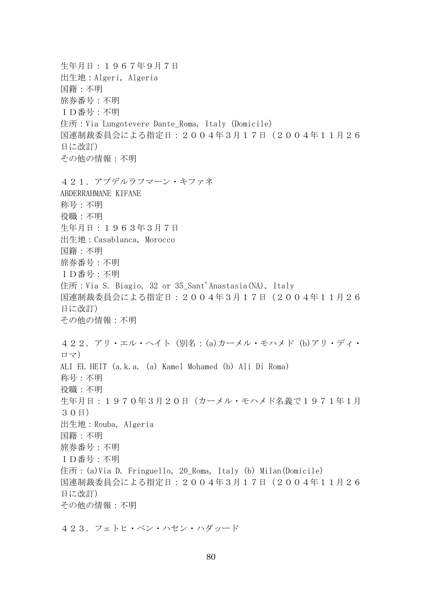生年月日:1967年9月7日 出生地:Algeri, Algeria 国籍:不明 旅券番号:不明 ID番号:不明 住所: Via Lungotevere Dante Roma, Italy (Domicile) 国連制裁委員会による指定日:2004年3月17日(2004年11月26 日に改訂) その他の情報:不明 421.アブデルラフマーン・キファネ ABDERRAHMANE KIFANE 称号:不明 役職:不明 生年月日:1963年3月7日 出生地:Casablanca, Morocco 国籍:不明 旅券番号:不明 ID番号:不明 住所: Via S. Biagio, 32 or 35 Sant'Anastasia(NA), Italy 国連制裁委員会による指定日:2004年3月17日(2004年11月26 日に改訂) その他の情報:不明 422.アリ・エル・ヘイト(別名:(a)カーメル・モハメド (b)アリ・ディ・ ロマ) ALI EL HEIT (a.k.a. (a) Kamel Mohamed (b) Ali Di Roma) 称号:不明 役職:不明 生年月日:1970年3月20日(カーメル・モハメド名義で1971年1月 30日) 出生地:Rouba, Algeria 国籍:不明 旅券番号:不明 ID番号:不明 住所: (a)Via D. Fringuello, 20 Roma, Italy (b) Milan(Domicile) 国連制裁委員会による指定日:2004年3月17日(2004年11月26 日に改訂) その他の情報:不明

423.フェトヒ・ベン・ハセン・ハダッード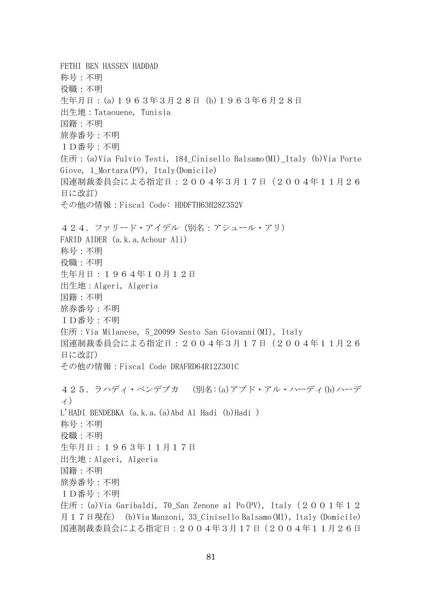FETHI BEN HASSEN HADDAD 称号:不明 役職:不明 生年月日:(a)1963年3月28日 (b)1963年6月28日 出生地:Tataouene, Tunisia 国籍:不明 旅券番号:不明 ID番号:不明 住所:(a)Via Fulvio Testi, 184\_Cinisello Balsamo(MI)\_Italy (b)Via Porte Giove, 1\_Mortara(PV), Italy(Domicile) 国連制裁委員会による指定日:2004年3月17日(2004年11月26 日に改訂) その他の情報:Fiscal Code: HDDFTH63H28Z352V 424.ファリード・アイデル(別名:アシュール・アリ) FARID AIDER (a.k.a.Achour Ali) 称号:不明 役職:不明 生年月日:1964年10月12日 出生地:Algeri, Algeria 国籍:不明 旅券番号:不明 ID番号:不明 住所: Via Milanese, 5 20099 Sesto San Giovanni(MI), Italy 国連制裁委員会による指定日:2004年3月17日(2004年11月26 日に改訂) その他の情報:Fiscal Code DRAFRD64R12Z301C 425.ラハディ・ベンデブカ (別名:(a)アブド・アル・ハーディ(b)ハーデ ィ) L'HADI BENDEBKA (a.k.a.(a)Abd Al Hadi (b)Hadi ) 称号:不明 役職:不明 生年月日:1963年11月17日 出生地:Algeri, Algeria 国籍:不明 旅券番号:不明 ID番号:不明 住所: (a)Via Garibaldi, 70 San Zenone al Po(PV), Italy (2001年12 月17日現在) (b)Via Manzoni, 33\_Cinisello Balsamo(MI), Italy (Domicile) 国連制裁委員会による指定日:2004年3月17 日(2004年11月26日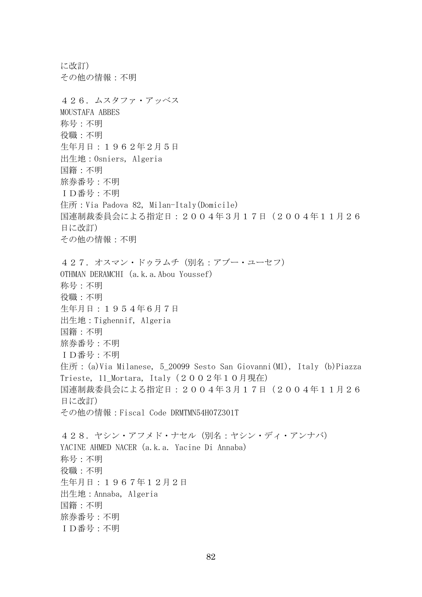に改訂) その他の情報:不明 426.ムスタファ・アッベス MOUSTAFA ABBES 称号:不明 役職:不明 生年月日:1962年2月5日 出生地:Osniers, Algeria 国籍:不明 旅券番号:不明 ID番号:不明 住所:Via Padova 82, Milan-Italy(Domicile) 国連制裁委員会による指定日:2004年3月17日(2004年11月26 日に改訂) その他の情報:不明 427. オスマン・ドゥラムチ(別名:アブー・ユーセフ) OTHMAN DERAMCHI (a.k.a.Abou Youssef) 称号:不明 役職:不明 生年月日:1954年6月7日 出生地:Tighennif, Algeria 国籍:不明 旅券番号:不明 ID番号:不明 住所: (a)Via Milanese, 5\_20099 Sesto San Giovanni(MI), Italy (b)Piazza Trieste, 11\_Mortara, Italy(2002年10月現在) 国連制裁委員会による指定日:2004年3月17日(2004年11月26 日に改訂) その他の情報:Fiscal Code DRMTMN54H07Z301T 428.ヤシン・アフメド・ナセル(別名:ヤシン・ディ・アンナバ) YACINE AHMED NACER (a.k.a. Yacine Di Annaba) 称号:不明 役職:不明 生年月日:1967年12月2日 出生地:Annaba, Algeria 国籍:不明 旅券番号:不明 ID番号:不明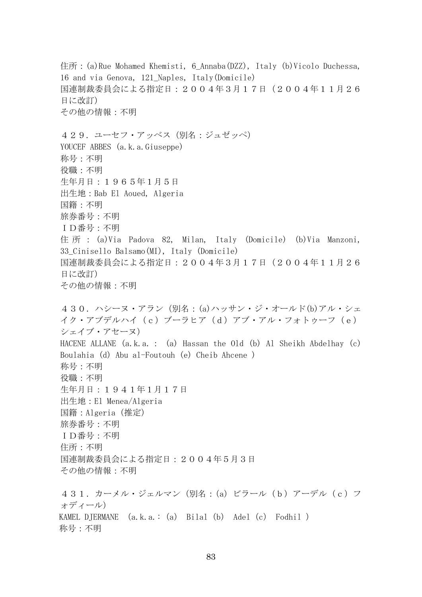住所:(a)Rue Mohamed Khemisti, 6\_Annaba(DZZ), Italy (b)Vicolo Duchessa, 16 and via Genova, 121\_Naples, Italy(Domicile) 国連制裁委員会による指定日:2004年3月17日(2004年11月26 日に改訂) その他の情報:不明 429. ユーセフ・アッベス (別名:ジュゼッペ) YOUCEF ABBES (a.k.a.Giuseppe) 称号:不明 役職:不明 生年月日:1965年1月5日 出生地:Bab El Aoued, Algeria 国籍:不明 旅券番号:不明 ID番号:不明 住所: (a)Via Padova 82, Milan, Italy (Domicile) (b)Via Manzoni, 33\_Cinisello Balsamo(MI), Italy (Domicile) 国連制裁委員会による指定日:2004年3月17日(2004年11月26 日に改訂) その他の情報:不明 430. ハシーヌ・アラン (別名: (a)ハッサン・ジ・オールド(b)アル・シェ イク・アブデルハイ(c)ブーラヒア(d)アブ・アル・フォトゥーフ(e) シェイブ・アセーヌ) HACENE ALLANE (a.k.a.: (a) Hassan the Old (b) Al Sheikh Abdelhay (c) Boulahia (d) Abu al-Foutouh (e) Cheib Ahcene ) 称号:不明 役職:不明 生年月日:1941年1月17日 出生地:El Menea/Algeria 国籍:Algeria(推定) 旅券番号:不明 ID番号:不明 住所:不明 国連制裁委員会による指定日:2004年5月3日 その他の情報:不明 431.カーメル・ジェルマン(別名:(a)ビラール(b)アーデル(c)フ ォディール) KAMEL DJERMANE  $(a, k, a, : (a)$  Bilal $(b)$  Adel $(c)$  Fodhil) 称号:不明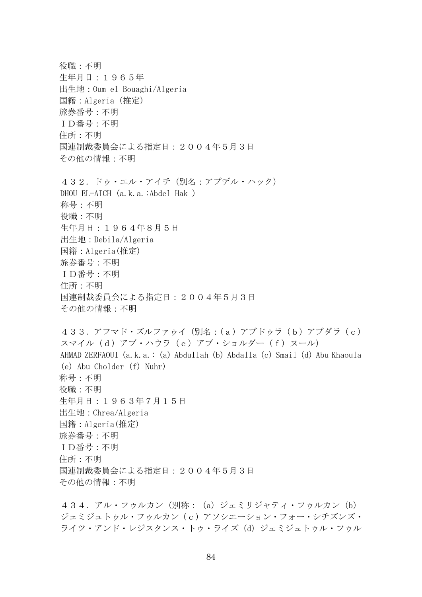役職:不明 生年月日:1965年 出生地:Oum el Bouaghi/Algeria 国籍:Algeria(推定) 旅券番号:不明 ID番号:不明 住所:不明 国連制裁委員会による指定日:2004年5月3日 その他の情報:不明 432.ドゥ・エル・アイチ(別名:アブデル・ハック) DHOU EL-AICH (a.k.a.:Abdel Hak ) 称号:不明 役職:不明 生年月日:1964年8月5日 出生地:Debila/Algeria 国籍:Algeria(推定) 旅券番号:不明 ID番号:不明 住所:不明 国連制裁委員会による指定日:2004年5月3日 その他の情報:不明 433.アフマド・ズルファゥイ(別名:(a)アブドゥラ(b)アブダラ(c) スマイル(d)アブ・ハウラ(e)アブ・ショルダー(f)ヌール) AHMAD ZERFAOUI (a.k.a.: (a) Abdullah (b) Abdalla (c) Smail (d) Abu Khaoula (e) Abu Cholder (f) Nuhr) 称号:不明 役職:不明 生年月日:1963年7月15日 出生地:Chrea/Algeria 国籍:Algeria(推定) 旅券番号:不明 ID番号:不明 住所:不明 国連制裁委員会による指定日:2004年5月3日 その他の情報:不明

434. アル・フゥルカン (別称: (a) ジェミリジャティ・フゥルカン (b) ジェミジュトゥル・フゥルカン(c)アソシエーション・フォー・シチズンズ・ ライツ・アンド・レジスタンス・トゥ・ライズ(d)ジェミジュトゥル・フゥル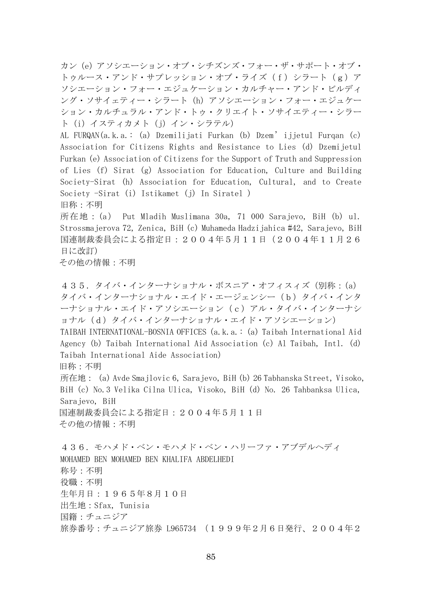カン(e)アソシエーション・オブ・シチズンズ・フォー・ザ・サポート・オブ・ トゥルース・アンド・サプレッション・オブ・ライズ(f)シラート(g)ア ソシエーション・フォー・エジュケーション・カルチャー・アンド・ビルディ ング・ソサイェティー・シラート(h)アソシエーション・フォー・エジュケー ション・カルチュラル・アンド・トゥ・クリエイト・ソサイエティー・シラー ト(i)イスティカメト(j)イン・シラテル)

AL FURQAN(a.k.a.: (a) Dzemilijati Furkan (b) Dzem'ijjetul Furqan (c) Association for Citizens Rights and Resistance to Lies (d) Dzemijetul Furkan (e) Association of Citizens for the Support of Truth and Suppression of Lies (f) Sirat (g) Association for Education, Culture and Building Society-Sirat (h) Association for Education, Cultural, and to Create Society -Sirat (i) Istikamet (j) In Siratel )

旧称:不明

所在地: (a) Put Mladih Muslimana 30a, 71 000 Sarajevo, BiH (b) ul. Strossmajerova 72, Zenica, BiH (c) Muhameda Hadzijahica #42, Sarajevo, BiH 国連制裁委員会による指定日:2004年5月11日(2004年11月26 日に改訂)

その他の情報:不明

435.タイバ・インターナショナル・ボスニア・オフィスィズ(別称:(a) タイバ・インターナショナル・エイド・エージェンシー(b)タイバ・インタ ーナショナル・エイド・アソシエーション(c)アル・タイバ・インターナシ ョナル(d)タイバ・インターナショナル・エイド・アソシエーション) TAIBAH INTERNATIONAL-BOSNIA OFFICES (a.k.a.: (a) Taibah International Aid Agency (b) Taibah International Aid Association (c) Al Taibah, Intl. (d) Taibah International Aide Association) 旧称:不明 所在地: (a) Avde Smajlovic 6, Sarajevo, BiH (b) 26 Tabhanska Street, Visoko, BiH (c) No.3 Velika Cilna Ulica, Visoko, BiH (d) No. 26 Tahbanksa Ulica, Sarajevo, BiH 国連制裁委員会による指定日:2004年5月11日 その他の情報:不明 436.モハメド・ベン・モハメド・ベン・ハリーファ・アブデルヘディ MOHAMED BEN MOHAMED BEN KHALIFA ABDELHEDI 称号:不明 役職:不明 生年月日:1965年8月10日 出生地:Sfax, Tunisia

国籍:チュニジア

旅券番号:チュニジア旅券 L965734 (1999年2月6日発行、2004年2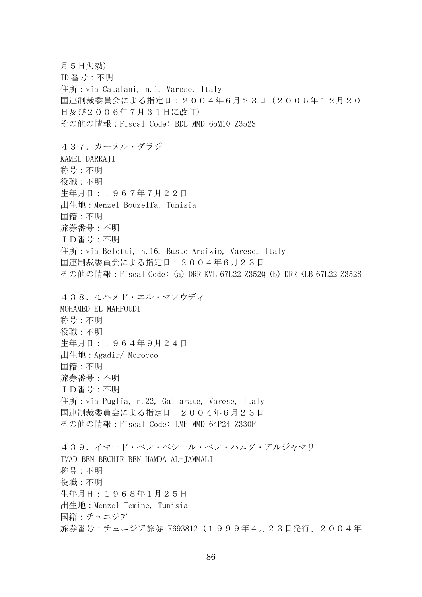月5日失効) ID 番号:不明 住所:via Catalani, n.1, Varese, Italy 国連制裁委員会による指定日:2004年6月23日(2005年12月20 日及び2006年7月31日に改訂) その他の情報:Fiscal Code: BDL MMD 65M10 Z352S 437.カーメル・ダラジ KAMEL DARRAJI 称号:不明 役職:不明 生年月日:1967年7月22日 出生地:Menzel Bouzelfa, Tunisia 国籍:不明 旅券番号:不明 ID番号:不明 住所:via Belotti, n.16, Busto Arsizio, Varese, Italy 国連制裁委員会による指定日:2004年6月23日 その他の情報:Fiscal Code: (a) DRR KML 67L22 Z352Q (b) DRR KLB 67L22 Z352S 438.モハメド・エル・マフウディ MOHAMED EL MAHFOUDI 称号:不明 役職:不明 生年月日:1964年9月24日 出生地:Agadir/ Morocco 国籍:不明 旅券番号:不明 ID番号:不明 住所: via Puglia, n. 22, Gallarate, Varese, Italy 国連制裁委員会による指定日:2004年6月23日 その他の情報:Fiscal Code: LMH MMD 64P24 Z330F 439.イマード・ベン・ベシール・ベン・ハムダ・アルジャマリ IMAD BEN BECHIR BEN HAMDA AL-JAMMALI 称号:不明 役職:不明 生年月日:1968年1月25日 出生地:Menzel Temine, Tunisia 国籍:チュニジア 旅券番号: チュニジア旅券 K693812 (1999年4月23日発行、2004年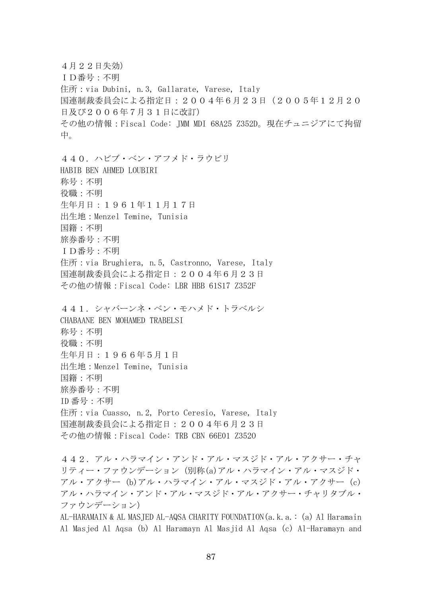4月22日失効) ID番号:不明 住所:via Dubini, n.3, Gallarate, Varese, Italy 国連制裁委員会による指定日:2004年6月23日(2005年12月20 日及び2006年7月31日に改訂) その他の情報:Fiscal Code: JMM MDI 68A25 Z352D。現在チュニジアにて拘留 中。 440.ハビブ・ベン・アフメド・ラウビリ HABIB BEN AHMED LOUBIRI 称号:不明 役職:不明 生年月日:1961年11月17日 出生地:Menzel Temine, Tunisia 国籍:不明 旅券番号:不明 ID番号:不明 住所: via Brughiera, n.5, Castronno, Varese, Italy 国連制裁委員会による指定日:2004年6月23日 その他の情報:Fiscal Code: LBR HBB 61S17 Z352F 441.シャバーンネ・ベン・モハメド・トラベルシ CHABAANE BEN MOHAMED TRABELSI 称号:不明 役職:不明 生年月日:1966年5月1日 出生地:Menzel Temine, Tunisia 国籍:不明 旅券番号:不明 ID 番号:不明 住所: via Cuasso, n.2, Porto Ceresio, Varese, Italy 国連制裁委員会による指定日:2004年6月23日 その他の情報:Fiscal Code: TRB CBN 66E01 Z352O 442.アル・ハラマイン・アンド・アル・マスジド・アル・アクサー・チャ

リティー・ファウンデーション(別称(a)アル・ハラマイン・アル・マスジド・ アル・アクサー (b)アル・ハラマイン・アル・マスジド・アル・アクサー (c) アル・ハラマイン・アンド・アル・マスジド・アル・アクサー・チャリタブル・ ファウンデーション)

AL-HARAMAIN & AL MASJED AL-AQSA CHARITY FOUNDATION(a.k.a.: (a) Al Haramain Al Masjed Al Aqsa (b) Al Haramayn Al Masjid Al Aqsa (c) Al-Haramayn and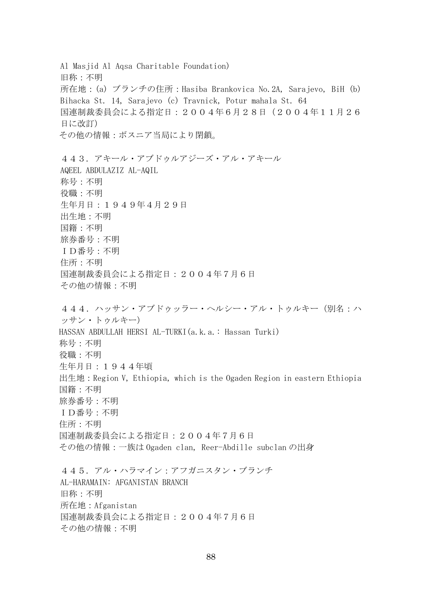Al Masjid Al Aqsa Charitable Foundation) 旧称:不明 所在地:(a) ブランチの住所:Hasiba Brankovica No.2A, Sarajevo, BiH (b) Bihacka St. 14, Sarajevo (c) Travnick, Potur mahala St. 64 国連制裁委員会による指定日:2004年6月28日(2004年11月26 日に改訂) その他の情報:ボスニア当局により閉鎖。 443.アキール・アブドゥルアジーズ・アル・アキール AQEEL ABDULAZIZ AL-AQIL 称号:不明 役職:不明 生年月日:1949年4月29日 出生地:不明 国籍:不明 旅券番号:不明 ID番号:不明 住所:不明 国連制裁委員会による指定日:2004年7月6日 その他の情報:不明 444.ハッサン・アブドゥッラー・ヘルシー・アル・トゥルキー(別名:ハ ッサン・トゥルキー) HASSAN ABDULLAH HERSI AL-TURKI(a.k.a.: Hassan Turki) 称号:不明 役職:不明 生年月日:1944年頃 出生地:Region V, Ethiopia, which is the Ogaden Region in eastern Ethiopia 国籍:不明 旅券番号:不明 ID番号:不明 住所:不明 国連制裁委員会による指定日:2004年7月6日 その他の情報:一族は Ogaden clan, Reer-Abdille subclan の出身 445.アル・ハラマイン:アフガニスタン・ブランチ AL-HARAMAIN: AFGANISTAN BRANCH 旧称:不明 所在地:Afganistan 国連制裁委員会による指定日:2004年7月6日 その他の情報:不明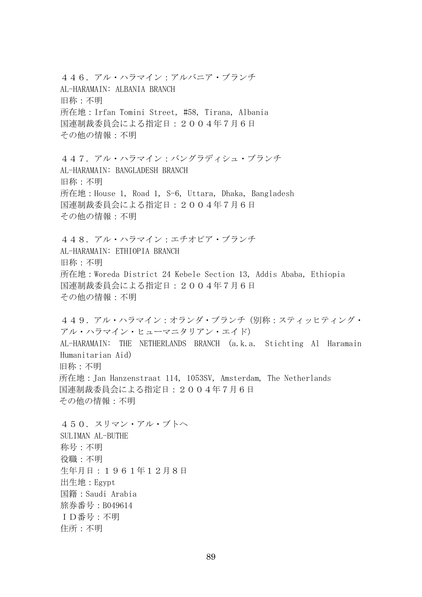446.アル・ハラマイン:アルバニア・ブランチ AL-HARAMAIN: ALBANIA BRANCH 旧称:不明 所在地:Irfan Tomini Street, #58, Tirana, Albania 国連制裁委員会による指定日:2004年7月6日 その他の情報:不明

447.アル・ハラマイン:バングラディシュ・ブランチ AL-HARAMAIN: BANGLADESH BRANCH 旧称:不明 所在地:House 1, Road 1, S-6, Uttara, Dhaka, Bangladesh 国連制裁委員会による指定日:2004年7月6日 その他の情報:不明

448.アル・ハラマイン:エチオピア・ブランチ AL-HARAMAIN: ETHIOPIA BRANCH 旧称:不明 所在地:Woreda District 24 Kebele Section 13, Addis Ababa, Ethiopia 国連制裁委員会による指定日:2004年7月6日 その他の情報:不明

449.アル・ハラマイン:オランダ・ブランチ(別称:スティッヒティング・ アル・ハラマイン・ヒューマニタリアン・エイド) AL-HARAMAIN: THE NETHERLANDS BRANCH (a.k.a. Stichting Al Haramain Humanitarian Aid) 旧称:不明 所在地:Jan Hanzenstraat 114, 1053SV, Amsterdam, The Netherlands 国連制裁委員会による指定日:2004年7月6日 その他の情報:不明

450.スリマン・アル・ブトヘ SULIMAN AL-BUTHE 称号:不明 役職:不明 生年月日:1961年12月8日 出生地:Egypt 国籍:Saudi Arabia 旅券番号:B049614 ID番号:不明 住所:不明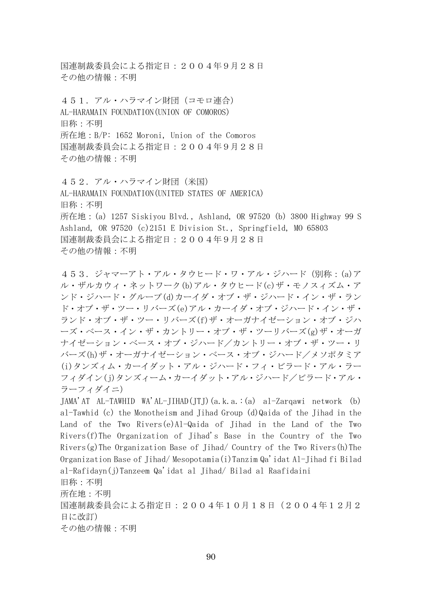国連制裁委員会による指定日:2004年9月28日 その他の情報:不明

451.アル・ハラマイン財団(コモロ連合) AL-HARAMAIN FOUNDATION(UNION OF COMOROS) 旧称:不明 所在地:B/P: 1652 Moroni, Union of the Comoros 国連制裁委員会による指定日:2004年9月28日 その他の情報:不明

452. アル・ハラマイン財団(米国) AL-HARAMAIN FOUNDATION(UNITED STATES OF AMERICA) 旧称:不明 所在地:(a) 1257 Siskiyou Blvd., Ashland, OR 97520 (b) 3800 Highway 99 S Ashland, OR 97520 (c)2151 E Division St., Springfield, MO 65803 国連制裁委員会による指定日:2004年9月28日 その他の情報:不明

453.ジャマーアト・アル・タウヒード・ワ・アル・ジハード(別称:(a)ア ル・ザルカウィ・ネットワーク(b)アル・タウヒード(c)ザ・モノスィズム・ア ンド・ジハード・グループ(d)カーイダ・オブ・ザ・ジハード・イン・ザ・ラン ド・オブ・ザ・ツー・リバーズ(e)アル・カーイダ・オブ・ジハード・イン・ザ・ ランド・オブ・ザ・ツー・リバーズ(f)ザ・オーガナイゼーション・オブ・ジハ ーズ・ベース・イン・ザ・カントリー・オブ・ザ・ツーリバーズ(g)ザ・オーガ ナイゼーション・ベース・オブ・ジハード/カントリー・オブ・ザ・ツー・リ バーズ(h)ザ・オーガナイゼーション・ベース・オブ・ジハード/メソポタミア (i)タンズィム・カーイダット・アル・ジハード・フィ・ビラード・アル・ラー フィダイン(j)タンズィーム・カーイダット・アル・ジハード/ビラード・アル・ ラーフィダイニ)

JAMA'AT AL-TAWHID WA'AL-JIHAD(JTJ)(a.k.a.:(a) al-Zarqawi network (b) al-Tawhid (c) the Monotheism and Jihad Group (d)Qaida of the Jihad in the Land of the Two Rivers(e)Al-Qaida of Jihad in the Land of the Two Rivers(f)The Organization of Jihad's Base in the Country of the Two Rivers $(g)$ The Organization Base of Jihad/ Country of the Two Rivers $(h)$ The Organization Base of Jihad/ Mesopotamia(i)Tanzim Qa'idat Al-Jihad fi Bilad al-Rafidayn(j)Tanzeem Qa'idat al Jihad/ Bilad al Raafidaini 旧称:不明

所在地:不明

国連制裁委員会による指定日:2004年10月18日(2004年12月2 日に改訂)

その他の情報:不明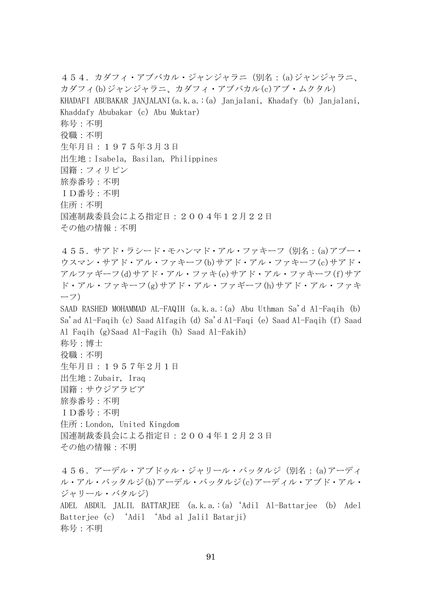454.カダフィ・アブバカル・ジャンジャラニ(別名:(a)ジャンジャラニ、 カダフィ(b)ジャンジャラニ、カダフィ・アブバカル(c)アブ・ムクタル) KHADAFI ABUBAKAR JANJALANI(a.k.a.:(a) Janjalani, Khadafy (b) Janjalani, Khaddafy Abubakar (c) Abu Muktar) 称号:不明 役職:不明 生年月日:1975年3月3日 出生地:Isabela, Basilan, Philippines 国籍:フィリピン 旅券番号:不明 ID番号:不明 住所:不明 国連制裁委員会による指定日:2004年12月22日 その他の情報:不明 455.サアド・ラシード・モハンマド・アル・ファキーフ(別名:(a)アブー・ ウスマン・サアド・アル・ファキーフ(b)サアド・アル・ファキーフ(c)サアド・ アルファギーフ(d)サアド・アル・ファキ(e)サアド・アル・ファキーフ(f)サア ド・アル・ファキーフ(g)サアド・アル・ファギーフ(h)サアド・アル・ファキ ーフ) SAAD RASHED MOHAMMAD AL-FAQIH (a.k.a.:(a) Abu Uthman Sa'd Al-Faqih (b) Sa'ad Al-Faqih (c) Saad Alfagih (d) Sa'd Al-Faqi (e) Saad Al-Faqih (f) Saad Al Faqih (g)Saad Al-Fagih (h) Saad Al-Fakih) 称号:博士 役職:不明 生年月日:1957年2月1日 出生地:Zubair, Iraq 国籍:サウジアラビア 旅券番号:不明 ID番号:不明 住所:London, United Kingdom 国連制裁委員会による指定日:2004年12月23日 その他の情報:不明 456.アーデル・アブドゥル・ジャリール・バッタルジ(別名:(a)アーディ ル・アル・バッタルジ(b)アーデル・バッタルジ(c)アーディル・アブド・アル・

ジャリール・バタルジ) ADEL ABDUL JALIL BATTARJEE (a.k.a.:(a)'Adil Al-Battarjee (b) Adel Batterjee (c) 'Adil 'Abd al Jalil Batarji) 称号:不明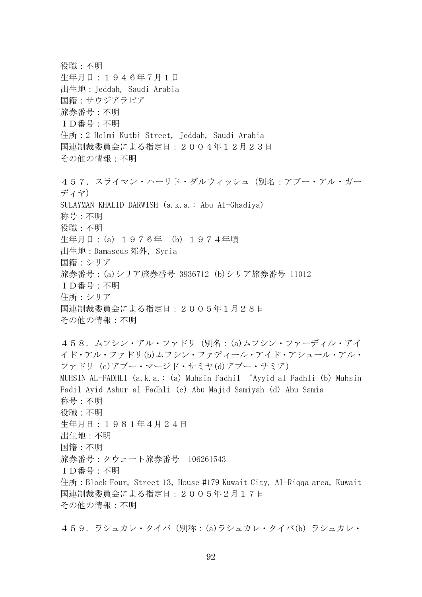役職:不明 生年月日:1946年7月1日 出生地:Jeddah, Saudi Arabia 国籍:サウジアラビア 旅券番号:不明 ID番号:不明 住所:2 Helmi Kutbi Street, Jeddah, Saudi Arabia 国連制裁委員会による指定日:2004年12月23日 その他の情報:不明 457. スライマン・ハーリド・ダルウィッシュ (別名:アブー・アル・ガー ディヤ) SULAYMAN KHALID DARWISH (a.k.a.: Abu Al-Ghadiya) 称号:不明 役職:不明 生年月日:(a) 1976年 (b) 1974年頃 出生地:Damascus 郊外, Syria 国籍:シリア 旅券番号:(a)シリア旅券番号 3936712 (b)シリア旅券番号 11012 ID番号:不明 住所:シリア 国連制裁委員会による指定日:2005年1月28日 その他の情報:不明 458.ムフシン・アル・ファドリ(別名:(a)ムフシン・ファーディル・アイ イド・アル・ファドリ(b)ムフシン・ファディール・アイド・アシュール・アル・ ファドリ (c)アブー・マージド・サミヤ(d)アブー・サミア) MUHSIN AL-FADHLI (a.k.a.: (a) Muhsin Fadhil 'Ayyid al Fadhli (b) Muhsin Fadil Ayid Ashur al Fadhli (c) Abu Majid Samiyah (d) Abu Samia 称号:不明 役職:不明 生年月日:1981年4月24日 出生地:不明 国籍:不明 旅券番号:クウェート旅券番号 106261543 ID番号:不明 住所:Block Four, Street 13, House #179 Kuwait City, Al-Riqqa area, Kuwait 国連制裁委員会による指定日:2005年2月17日 その他の情報:不明

459.ラシュカレ・タイバ(別称:(a)ラシュカレ・タイバ(b) ラシュカレ・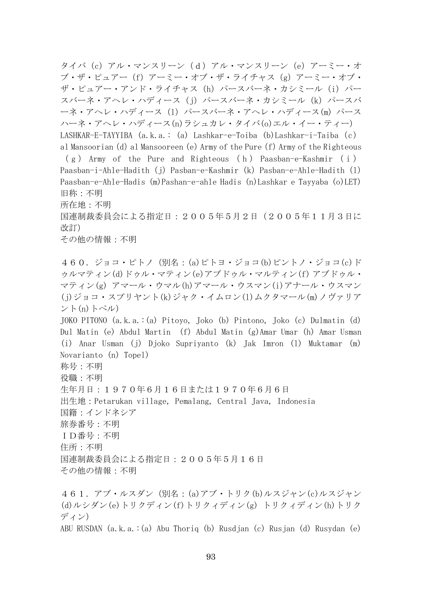タイバ(c)アル・マンスリーン(d)アル・マンスリーン(e)アーミー・オ ブ・ザ・ピュアー(f)アーミー・オブ・ザ・ライチャス(g)アーミー・オブ・ ザ・ピュアー・アンド・ライチャス (h) パースバーネ・カシミール (i) パー スバーネ・アヘレ・ハディース(j) パースバーネ・カシミール (k) パースバ ーネ・アヘレ・ハディース(1) パースバーネ・アヘレ・ハディース(m) パース ハーネ・アヘレ・ハディース(n)ラシュカレ・タイバ(o)エル・イー・ティー) LASHKAR-E-TAYYIBA (a.k.a.: (a) Lashkar-e-Toiba (b)Lashkar-i-Taiba(c) al Mansoorian (d) al Mansooreen (e) Army of the Pure (f) Army of the Righteous  $(g)$  Army of the Pure and Righteous (h) Paasban-e-Kashmir (i) Paasban-i-Ahle-Hadith (j) Pasban-e-Kashmir (k) Pasban-e-Ahle-Hadith (l) Paasban-e-Ahle-Hadis (m)Pashan-e-ahle Hadis (n)Lashkar e Tayyaba (o)LET) 旧称:不明 所在地:不明 国連制裁委員会による指定日:2005年5月2日(2005年11月3日に 改訂) その他の情報:不明 460.ジョコ・ピトノ(別名:(a)ピトヨ・ジョコ(b)ピントノ・ジョコ(c)ド ゥルマティン(d)ドゥル・マティン(e)アブドゥル・マルティン(f) アブドゥル・ マティン(g) アマール・ウマル(h)アマール・ウスマン(i)アナール・ウスマン (j)ジョコ・スプリヤント(k)ジャク・イムロン(l)ムクタマール(m)ノヴァリア ント(n)トペル) JOKO PITONO (a.k.a.:(a) Pitoyo, Joko (b) Pintono, Joko (c) Dulmatin (d) Dul Matin (e) Abdul Martin (f) Abdul Matin (g)Amar Umar (h) Amar Usman (i) Anar Usman (j) Djoko Supriyanto (k) Jak Imron (l) Muktamar (m) Novarianto (n) Topel) 称号:不明 役職:不明 生年月日:1970年6月16日または1970年6月6日 出生地:Petarukan village, Pemalang, Central Java, Indonesia 国籍:インドネシア 旅券番号:不明 ID番号:不明 住所:不明 国連制裁委員会による指定日:2005年5月16日 その他の情報:不明 461.アブ・ルスダン(別名:(a)アブ・トリク(b)ルスジャン(c)ルスジャン (d)ルシダン(e)トリクディン(f)トリクィディン(g) トリクィディン(h)トリク

ディン)

ABU RUSDAN (a.k.a.:(a) Abu Thoriq (b) Rusdjan (c) Rusjan (d) Rusydan (e)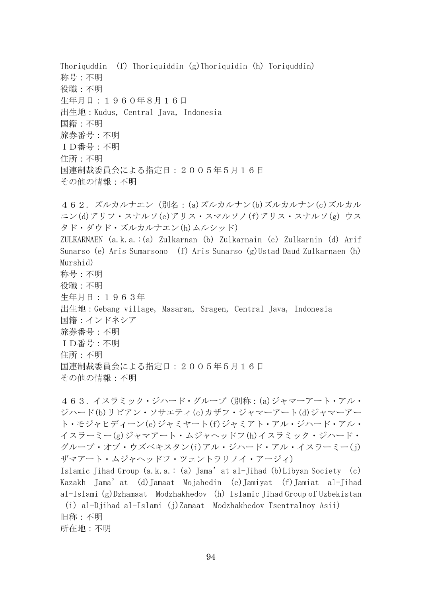Thoriquddin (f) Thoriquiddin (g)Thoriquidin (h) Toriquddin) 称号:不明 役職:不明 生年月日:1960年8月16日 出生地:Kudus, Central Java, Indonesia 国籍:不明 旅券番号:不明 ID番号:不明 住所:不明 国連制裁委員会による指定日:2005年5月16日 その他の情報:不明 462.ズルカルナエン(別名:(a)ズルカルナン(b)ズルカルナン(c)ズルカル

ニン(d)アリフ・スナルソ(e)アリス・スマルソノ(f)アリス・スナルソ(g) ウス タド・ダウド・ズルカルナエン(h)ムルシッド) ZULKARNAEN (a.k.a.:(a) Zulkarnan (b) Zulkarnain (c) Zulkarnin (d) Arif Sunarso (e) Aris Sumarsono (f) Aris Sunarso (g)Ustad Daud Zulkarnaen (h) Murshid) 称号:不明 役職:不明 生年月日:1963年 出生地:Gebang village, Masaran, Sragen, Central Java, Indonesia 国籍:インドネシア 旅券番号:不明 ID番号:不明 住所:不明 国連制裁委員会による指定日:2005年5月16日 その他の情報:不明

463.イスラミック・ジハード・グループ(別称:(a)ジャマーアート・アル・ ジハード(b)リビアン・ソサエティ(c)カザフ・ジャマーアート(d)ジャマーアー ト・モジャヒディーン(e)ジャミヤート(f)ジャミアト・アル・ジハード・アル・ イスラーミー(g)ジャマアート・ムジャヘッドフ(h)イスラミック・ジハード・ グループ・オブ・ウズベキスタン(i)アル・ジハード・アル・イスラーミー(j) ザマアート・ムジャヘッドフ・ツェントラリノイ・アージィ)

Islamic Jihad Group (a.k.a.: (a) Jama'at al-Jihad (b)Libyan Society (c) Kazakh Jama'at (d)Jamaat Mojahedin (e)Jamiyat (f)Jamiat al-Jihad al-Islami (g)Dzhamaat Modzhakhedov (h)Islamic Jihad Group of Uzbekistan (i)al-Djihad al-Islami (j)Zamaat Modzhakhedov Tsentralnoy Asii) 旧称:不明 所在地:不明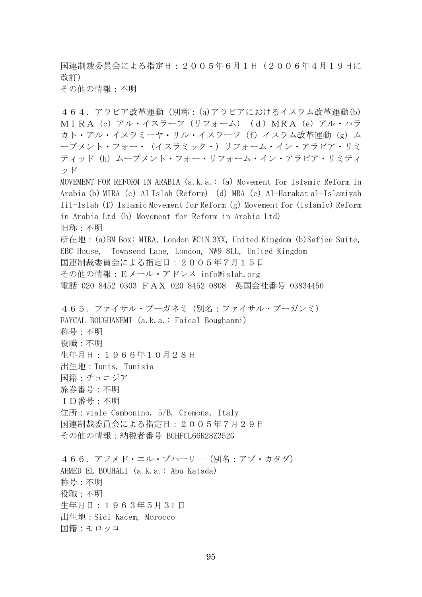国連制裁委員会による指定日:2005年6月1日(2006年4月19日に 改訂)

その他の情報:不明

464.アラビア改革運動(別称:(a)アラビアにおけるイスラム改革運動(b) MIRA(c)アル・イスラーフ(リフォーム)(d)MRA(e)アル・ハラ カト・アル・イスラミーヤ・リル・イスラーフ (f) イスラム改革運動(g) ム ーブメント・フォー・(イスラミック・)リフォーム・イン・アラビア・リミ ティッド(h) ムーブメント・フォー・リフォーム・イン・アラビア・リミティ ッド MOVEMENT FOR REFORM IN ARABIA (a.k.a.: (a) Movement for Islamic Reform in Arabia (b) MIRA (c) Al Islah (Reform) (d) MRA (e) Al-Harakat al-Islamiyah lil-Islah (f) Islamic Movement for Reform (g) Movement for (Islamic) Reform in Arabia Ltd (h) Movement for Reform in Arabia Ltd) 旧称:不明 所在地:(a)BM Box: MIRA, London WC1N 3XX, United Kingdom (b)Safiee Suite, EBC House, Townsend Lane, London, NW9 8LL, United Kingdom 国連制裁委員会による指定日:2005年7月15日 その他の情報:Eメール・アドレス info@islah.org 電話 020 8452 0303 FAX 020 8452 0808 英国会社番号 03834450 465.ファイサル・ブーガネミ(別名:ファイサル・ブーガンミ) FAYCAL BOUGHANEMI (a.k.a.: Faical Boughanmi) 称号:不明 役職:不明 生年月日:1966年10月28日 出生地:Tunis, Tunisia 国籍:チュニジア 旅券番号:不明 ID番号:不明 住所: viale Cambonino, 5/B, Cremona, Italy 国連制裁委員会による指定日:2005年7月29日 その他の情報:納税者番号 BGHFCL66R28Z352G 466. アフメド・エル・ブハーリー (別名:アブ・カタダ) AHMED EL BOUHALI (a.k.a.: Abu Katada) 称号:不明 役職:不明

生年月日:1963年5月31 日

出生地:Sidi Kacem, Morocco

国籍:モロッコ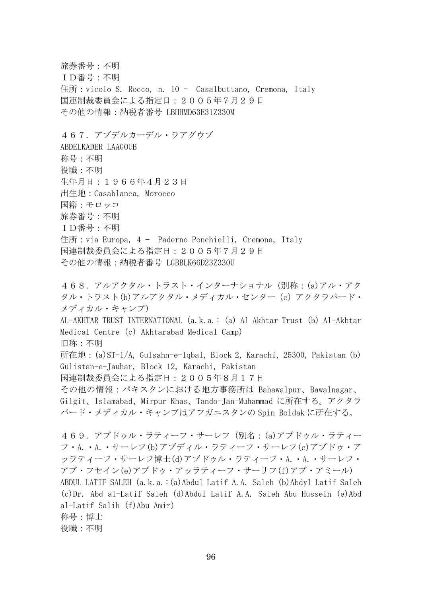旅券番号:不明 ID番号:不明 住所: vicolo S. Rocco, n. 10 - Casalbuttano, Cremona, Italy 国連制裁委員会による指定日:2005年7月29日 その他の情報:納税者番号 LBHHMD63E31Z330M 467.アブデルカーデル・ラアグウブ ABDELKADER LAAGOUB 称号:不明 役職:不明 生年月日:1966年4月23日 出生地:Casablanca, Morocco 国籍:モロッコ 旅券番号:不明 ID番号:不明 住所: via Europa, 4 - Paderno Ponchielli, Cremona, Italy 国連制裁委員会による指定日:2005年7月29日 その他の情報:納税者番号 LGBBLK66D23Z330U

468.アルアクタル・トラスト・インターナショナル(別称:(a)アル・アク タル・トラスト(b)アルアクタル・メディカル・センター(c)アクタラバード・ メディカル・キャンプ) AL-AKHTAR TRUST INTERNATIONAL (a.k.a.: (a) Al Akhtar Trust (b) Al-Akhtar Medical Centre (c) Akhtarabad Medical Camp) 旧称:不明 所在地:(a)ST-1/A, Gulsahn-e-Iqbal, Block 2, Karachi, 25300, Pakistan (b) Gulistan-e-Jauhar, Block 12, Karachi, Pakistan 国連制裁委員会による指定日:2005年8月17日 その他の情報:パキスタンにおける地方事務所は Bahawalpur、Bawalnagar、 Gilgit、Islamabad、Mirpur Khas、Tando-Jan-Muhammad に所在する。アクタラ バード・メディカル・キャンプはアフガニスタンの Spin Boldak に所在する。 469.アブドゥル・ラティーフ・サーレフ(別名:(a)アブドゥル・ラティー フ・A.・A.・サーレフ(b)アブディル・ラティーフ・サーレフ(c)アブドゥ・ア ッラティーフ・サーレフ博士(d)アブドゥル・ラティーフ・A.・A.・サーレフ・

ABDUL LATIF SALEH (a.k.a.:(a)Abdul Latif A.A. Saleh (b)Abdyl Latif Saleh (c)Dr. Abd al-Latif Saleh (d)Abdul Latif A.A. Saleh Abu Hussein (e)Abd al-Latif Salih (f)Abu Amir) 称号:博士

アブ・フセイン(e)アブドゥ・アッラティーフ・サーリフ(f)アブ・アミール)

役職:不明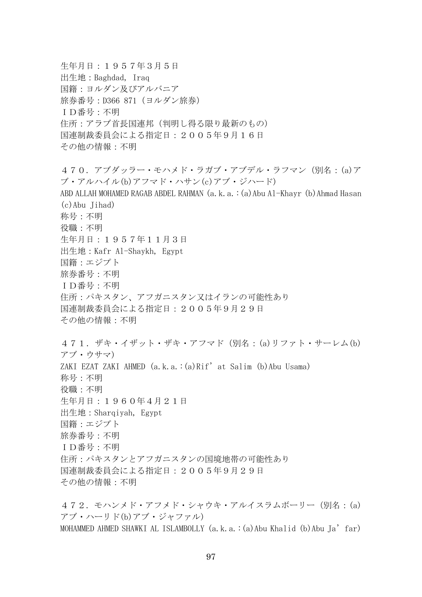生年月日:1957年3月5日 出生地:Baghdad, Iraq 国籍:ヨルダン及びアルバニア 旅券番号:D366 871(ヨルダン旅券) ID番号:不明 住所:アラブ首長国連邦(判明し得る限り最新のもの) 国連制裁委員会による指定日:2005年9月16日 その他の情報:不明 470.アブダッラー・モハメド・ラガブ・アブデル・ラフマン(別名:(a)ア ブ・アルハイル(b)アフマド・ハサン(c)アブ・ジハード) ABD ALLAH MOHAMED RAGAB ABDEL RAHMAN (a.k.a.:(a)Abu Al-Khayr (b)Ahmad Hasan  $(c)$ Abu Iihad) 称号:不明 役職:不明 生年月日:1957年11月3日 出生地:Kafr Al-Shaykh, Egypt 国籍:エジプト 旅券番号:不明 ID番号:不明 住所:パキスタン、アフガニスタン又はイランの可能性あり 国連制裁委員会による指定日:2005年9月29日 その他の情報:不明 471.ザキ・イザット・ザキ・アフマド(別名:(a)リファト・サーレム(b) アブ・ウサマ) ZAKI EZAT ZAKI AHMED (a.k.a.:(a)Rif'at Salim (b)Abu Usama) 称号:不明 役職:不明 生年月日:1960年4月21日 出生地:Sharqiyah, Egypt 国籍:エジプト 旅券番号:不明 ID番号:不明 住所:パキスタンとアフガニスタンの国境地帯の可能性あり 国連制裁委員会による指定日:2005年9月29日 その他の情報:不明

472.モハンメド・アフメド・シャウキ・アルイスラムボーリー(別名:(a) アブ・ハーリド(b)アブ・ジャファル) MOHAMMED AHMED SHAWKI AL ISLAMBOLLY  $(a, k, a.:(a)$  Abu Khalid  $(b)$  Abu Ja' far)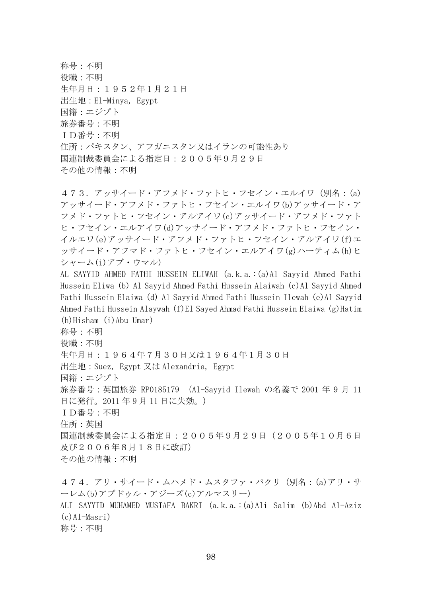称号:不明 役職:不明 生年月日:1952年1月21日 出生地:El-Minya, Egypt 国籍:エジプト 旅券番号:不明 ID番号:不明 住所:パキスタン、アフガニスタン又はイランの可能性あり 国連制裁委員会による指定日:2005年9月29日 その他の情報:不明

473.アッサイード・アフメド・ファトヒ・フセイン・エルイワ(別名:(a) アッサイード・アフメド・ファトヒ・フセイン・エルイワ(b)アッサイード・ア フメド・ファトヒ・フセイン・アルアイワ(c)アッサイード・アフメド・ファト ヒ・フセイン・エルアイワ(d)アッサイード・アフメド・ファトヒ・フセイン・ イルエワ(e)アッサイード・アフメド・ファトヒ・フセイン・アルアイワ(f)エ ッサイード・アフマド・ファトヒ・フセイン・エルアイワ(g)ハーティム(h)ヒ シャーム(i)アブ・ウマル)

AL SAYYID AHMED FATHI HUSSEIN ELIWAH (a.k.a.:(a)Al Sayyid Ahmed Fathi Hussein Eliwa (b) Al Sayyid Ahmed Fathi Hussein Alaiwah (c)Al Sayyid Ahmed Fathi Hussein Elaiwa (d) Al Sayyid Ahmed Fathi Hussein Ilewah (e)Al Sayyid Ahmed Fathi Hussein Alaywah (f)El Sayed Ahmad Fathi Hussein Elaiwa (g)Hatim (h)Hisham (i)Abu Umar)

称号:不明

役職:不明

生年月日:1964年7月30日又は1964年1月30日

出生地:Suez, Egypt 又は Alexandria, Egypt

国籍:エジプト

旅券番号:英国旅券 RP0185179 (Al-Sayyid Ilewah の名義で 2001 年 9 月 11 日に発行。2011 年 9 月 11 日に失効。)

ID番号:不明

住所:英国

国連制裁委員会による指定日:2005年9月29日(2005年10月6日 及び2006年8月18日に改訂)

その他の情報:不明

474.アリ・サイード・ムハメド・ムスタファ・バクリ(別名:(a)アリ・サ ーレム(b)アブドゥル・アジーズ(c)アルマスリー) ALI SAYYID MUHAMED MUSTAFA BAKRI (a.k.a.:(a)Ali Salim (b)Abd Al-Aziz (c)Al-Masri) 称号:不明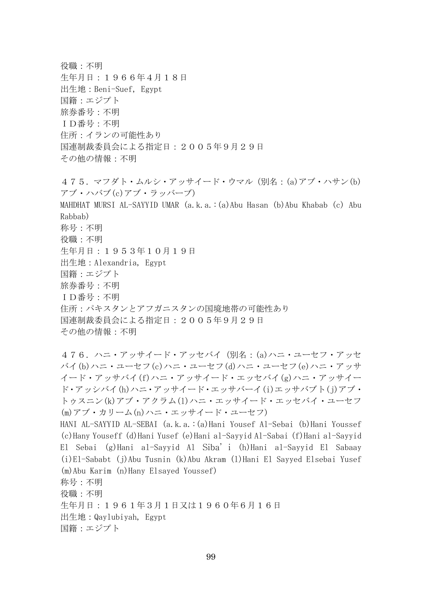役職:不明 生年月日:1966年4月18日 出生地:Beni-Suef, Egypt 国籍:エジプト 旅券番号:不明 ID番号:不明 住所:イランの可能性あり 国連制裁委員会による指定日:2005年9月29日 その他の情報:不明

475.マフダト・ムルシ・アッサイード・ウマル(別名:(a)アブ・ハサン(b) アブ・ハバブ(c)アブ・ラッバーブ) MAHDHAT MURSI AL-SAYYID UMAR (a.k.a.:(a)Abu Hasan (b)Abu Khabab (c) Abu Rabbab) 称号:不明 役職:不明 生年月日:1953年10月19日 出生地:Alexandria, Egypt 国籍:エジプト 旅券番号:不明 ID番号:不明 住所:パキスタンとアフガニスタンの国境地帯の可能性あり 国連制裁委員会による指定日:2005年9月29日 その他の情報:不明

476.ハニ・アッサイード・アッセバイ(別名:(a)ハニ・ユーセフ・アッセ バイ(b)ハニ・ユーセフ(c)ハニ・ユーセフ(d)ハニ・ユーセフ(e)ハニ・アッサ イード・アッサバイ(f)ハニ・アッサイード・エッセバイ(g)ハニ・アッサイー ド・アッシバイ(h)ハニ・アッサイード・エッサバーイ(i)エッサバブト(j)アブ・ トゥスニン(k)アブ・アクラム(l)ハニ・エッサイード・エッセバイ・ユーセフ (m)アブ・カリーム(n)ハニ・エッサイード・ユーセフ)

HANI AL-SAYYID AL-SEBAI (a.k.a.:(a)Hani Yousef Al-Sebai (b)Hani Youssef (c)Hany Youseff (d)Hani Yusef (e)Hani al-Sayyid Al-Sabai (f)Hani al-Sayyid El Sebai (g)Hani al-Sayyid Al Siba' i (h)Hani al-Sayyid El Sabaay (i)El-Sababt (j)Abu Tusnin (k)Abu Akram (l)Hani El Sayyed Elsebai Yusef (m)Abu Karim (n)Hany Elsayed Youssef) 称号:不明 役職:不明 生年月日:1961年3月1日又は1960年6月16日 出生地:Qaylubiyah, Egypt 国籍:エジプト

99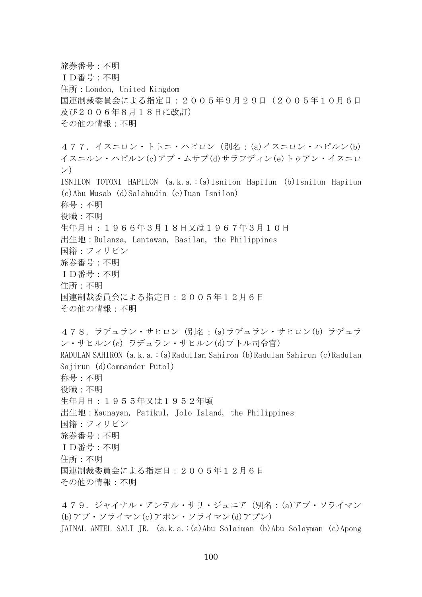旅券番号:不明 ID番号:不明 住所:London, United Kingdom 国連制裁委員会による指定日:2005年9月29日(2005年10月6日 及び2006年8月18日に改訂) その他の情報:不明 477.イスニロン・トトニ・ハピロン(別名:(a)イスニロン・ハピルン(b) イスニルン・ハピルン(c)アブ・ムサブ(d)サラフディン(e)トゥアン・イスニロ ン) ISNILON TOTONI HAPILON (a.k.a.:(a)Isnilon Hapilun (b)Isnilun Hapilun (c)Abu Musab (d)Salahudin (e)Tuan Isnilon) 称号:不明 役職:不明 生年月日:1966年3月18日又は1967年3月10日 出生地:Bulanza, Lantawan, Basilan, the Philippines 国籍:フィリピン 旅券番号:不明 ID番号:不明 住所:不明 国連制裁委員会による指定日:2005年12月6日 その他の情報:不明 478.ラデュラン・サヒロン(別名:(a)ラデュラン・サヒロン(b) ラデュラ ン・サヒルン(c) ラデュラン・サヒルン(d)プトル司令官) RADULAN SAHIRON (a.k.a.:(a)Radullan Sahiron (b)Radulan Sahirun (c)Radulan Sajirun (d)Commander Putol) 称号:不明 役職:不明 生年月日:1955年又は1952年頃 出生地:Kaunayan, Patikul, Jolo Island, the Philippines 国籍:フィリピン 旅券番号:不明 ID番号:不明 住所:不明 国連制裁委員会による指定日:2005年12月6日 その他の情報:不明 479.ジャイナル・アンテル・サリ・ジュニア(別名:(a)アブ・ソライマン

(b)アブ・ソライマン(c)アポン・ソライマン(d)アプン) JAINAL ANTEL SALI JR. (a.k.a.:(a)Abu Solaiman (b)Abu Solayman (c)Apong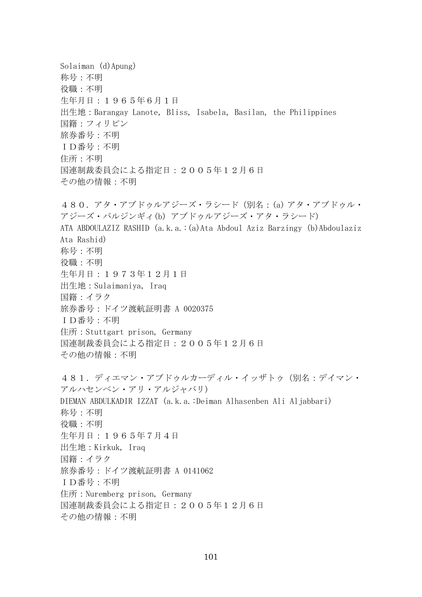Solaiman (d)Apung) 称号:不明 役職:不明 生年月日:1965年6月1日 出生地:Barangay Lanote, Bliss, Isabela, Basilan, the Philippines 国籍:フィリピン 旅券番号:不明 ID番号:不明 住所:不明 国連制裁委員会による指定日:2005年12月6日 その他の情報:不明 480.アタ・アブドゥルアジーズ・ラシード(別名:(a) アタ・アブドゥル・ アジーズ・バルジンギィ(b) アブドゥルアジーズ・アタ・ラシード) ATA ABDOULAZIZ RASHID (a.k.a.:(a)Ata Abdoul Aziz Barzingy (b)Abdoulaziz Ata Rashid) 称号:不明 役職:不明 生年月日:1973年12月1日 出生地:Sulaimaniya, Iraq 国籍:イラク 旅券番号:ドイツ渡航証明書 A 0020375 ID番号:不明 住所:Stuttgart prison, Germany 国連制裁委員会による指定日:2005年12月6日 その他の情報:不明 481.ディエマン・アブドゥルカーディル・イッザトゥ(別名:デイマン・ アルハセンベン・アリ・アルジャバリ) DIEMAN ABDULKADIR IZZAT (a.k.a.:Deiman Alhasenben Ali Aljabbari) 称号:不明 役職:不明 生年月日:1965年7月4日 出生地:Kirkuk, Iraq 国籍:イラク 旅券番号:ドイツ渡航証明書 A 0141062 ID番号:不明 住所:Nuremberg prison, Germany 国連制裁委員会による指定日:2005年12月6日 その他の情報:不明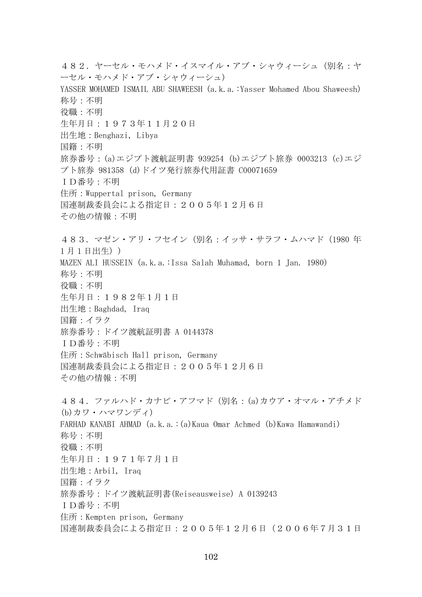482. ヤーセル・モハメド・イスマイル・アブ・シャウィーシュ(別名:ヤ ーセル・モハメド・アブ・シャウィーシュ) YASSER MOHAMED ISMAIL ABU SHAWEESH (a.k.a.: Yasser Mohamed Abou Shaweesh) 称号:不明 役職:不明 生年月日:1973年11月20日 出生地:Benghazi, Libya 国籍:不明 旅券番号:(a)エジプト渡航証明書 939254 (b)エジプト旅券 0003213 (c)エジ プト旅券 981358 (d)ドイツ発行旅券代用証書 C00071659 ID番号:不明 住所:Wuppertal prison, Germany 国連制裁委員会による指定日:2005年12月6日 その他の情報:不明 483. マゼン・アリ・フセイン (別名:イッサ・サラフ・ムハマド (1980 年) 1 月 1 日出生)) MAZEN ALI HUSSEIN (a.k.a.:Issa Salah Muhamad, born 1 Jan. 1980) 称号:不明 役職:不明 生年月日:1982年1月1日 出生地:Baghdad, Iraq 国籍:イラク 旅券番号:ドイツ渡航証明書 A 0144378 ID番号:不明 住所:Schwäbisch Hall prison, Germany 国連制裁委員会による指定日:2005年12月6日 その他の情報:不明 484.ファルハド・カナビ・アフマド(別名:(a)カウア・オマル・アチメド (b)カワ・ハマワンディ) FARHAD KANABI AHMAD (a.k.a.:(a)Kaua Omar Achmed (b)Kawa Hamawandi) 称号:不明 役職:不明 生年月日:1971年7月1日 出生地:Arbil, Iraq 国籍:イラク 旅券番号:ドイツ渡航証明書(Reiseausweise) A 0139243 ID番号:不明 住所:Kempten prison, Germany 国連制裁委員会による指定日:2005年12月6日(2006年7月31日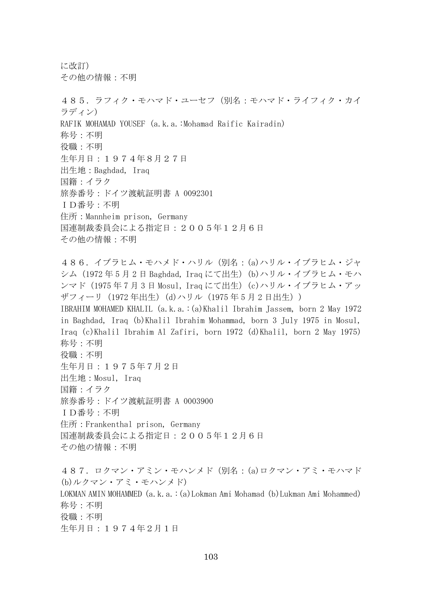に改訂) その他の情報:不明

485. ラフィク・モハマド・ユーセフ (別名:モハマド・ライフィク・カイ ラディン) RAFIK MOHAMAD YOUSEF (a.k.a.:Mohamad Raific Kairadin) 称号:不明 役職:不明 生年月日:1974年8月27日 出生地:Baghdad, Iraq 国籍:イラク 旅券番号:ドイツ渡航証明書 A 0092301 ID番号:不明 住所:Mannheim prison, Germany 国連制裁委員会による指定日:2005年12月6日 その他の情報:不明 486.イブラヒム・モハメド・ハリル(別名:(a)ハリル・イブラヒム・ジャ シム(1972年5月2日 Baghdad, Iraq にて出生)(b)ハリル・イブラヒム・モハ ンマド(1975年7月3日 Mosul, Iraq にて出生)(c)ハリル・イブラヒム・アッ ザフィーリ(1972 年出生)(d)ハリル(1975年5月2 日出生)) IBRAHIM MOHAMED KHALIL (a.k.a.:(a)Khalil Ibrahim Jassem, born 2 May 1972 in Baghdad, Iraq (b)Khalil Ibrahim Mohammad, born 3 July 1975 in Mosul, Iraq (c)Khalil Ibrahim Al Zafiri, born 1972 (d)Khalil, born 2 May 1975) 称号:不明 役職:不明 生年月日:1975年7月2日 出生地:Mosul, Iraq 国籍:イラク 旅券番号:ドイツ渡航証明書 A 0003900 ID番号:不明 住所:Frankenthal prison, Germany 国連制裁委員会による指定日:2005年12月6日 その他の情報:不明 487. ロクマン・アミン・モハンメド (別名: (a)ロクマン・アミ・モハマド (b)ルクマン・アミ・モハンメド) LOKMAN AMIN MOHAMMED (a.k.a.:(a)Lokman Ami Mohamad (b)Lukman Ami Mohammed) 称号:不明 役職:不明

生年月日:1974年2月1日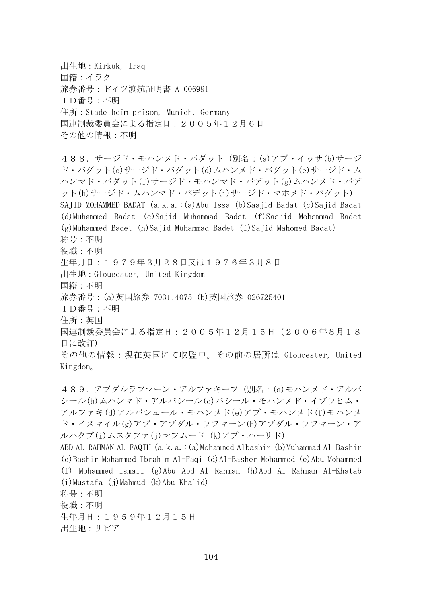出生地:Kirkuk, Iraq 国籍:イラク 旅券番号:ドイツ渡航証明書 A 006991 ID番号:不明 住所:Stadelheim prison, Munich, Germany 国連制裁委員会による指定日:2005年12月6日 その他の情報:不明

488.サージド・モハンメド・バダット(別名:(a)アブ・イッサ(b)サージ ド・バダット(c)サージド・バダット(d)ムハンメド・バダット(e)サージド・ム ハンマド・バダット(f)サージド・モハンマド・バデット(g)ムハンメド・バデ ット(h)サージド・ムハンマド・バデット(i)サージド・マホメド・バダット) SAJID MOHAMMED BADAT (a.k.a.:(a)Abu Issa (b)Saajid Badat (c)Sajid Badat (d)Muhammed Badat (e)Sajid Muhammad Badat (f)Saajid Mohammad Badet (g)Muhammed Badet (h)Sajid Muhammad Badet (i)Sajid Mahomed Badat) 称号:不明 役職:不明 生年月日:1979年3月28日又は1976年3月8日 出生地:Gloucester, United Kingdom 国籍:不明 旅券番号:(a)英国旅券 703114075 (b)英国旅券 026725401 ID番号:不明 住所:英国 国連制裁委員会による指定日:2005年12月15日(2006年8月18 日に改訂) その他の情報:現在英国にて収監中。その前の居所は Gloucester, United Kingdom。

489.アブダルラフマーン・アルファキーフ(別名:(a)モハンメド・アルバ シール(b)ムハンマド・アルバシール(c)バシール・モハンメド・イブラヒム・ アルファキ(d)アルバシェール・モハンメド(e)アブ・モハンメド(f)モハンメ ド・イスマイル(g)アブ・アブダル・ラフマーン(h)アブダル・ラフマーン・ア ルハタブ(i)ムスタファ(j)マフムード (k)アブ・ハーリド)

ABD AL-RAHMAN AL-FAQIH (a.k.a.:(a)Mohammed Albashir (b)Muhammad Al-Bashir (c)Bashir Mohammed Ibrahim Al-Faqi (d)Al-Basher Mohammed (e)Abu Mohammed (f) Mohammed Ismail (g)Abu Abd Al Rahman (h)Abd Al Rahman Al-Khatab (i)Mustafa (j)Mahmud (k)Abu Khalid) 称号:不明 役職:不明 生年月日:1959年12月15日

出生地:リビア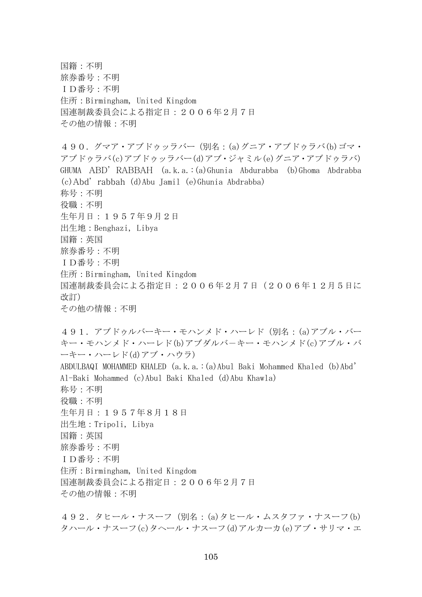国籍:不明 旅券番号:不明 ID番号:不明 住所:Birmingham, United Kingdom 国連制裁委員会による指定日:2006年2月7日 その他の情報:不明 490.グマア・アブドゥッラバー(別名:(a)グニア・アブドゥラバ(b)ゴマ・ アブドゥラバ(c)アブドゥッラバー(d)アブ・ジャミル(e)グニア・アブドゥラバ) GHUMA ABD' RABBAH (a.k.a.:(a)Ghunia Abdurabba (b)Ghoma Abdrabba (c)Abd' rabbah (d)Abu Jamil (e)Ghunia Abdrabba) 称号:不明 役職:不明 生年月日:1957年9月2日 出生地:Benghazi, Libya 国籍:英国 旅券番号:不明 ID番号:不明 住所:Birmingham, United Kingdom 国連制裁委員会による指定日:2006年2月7日(2006年12月5日に 改訂) その他の情報:不明 491.アブドゥルバーキー・モハンメド・ハーレド(別名:(a)アブル・バー キー・モハンメド・ハーレド(b)アブダルバ-キー・モハンメド(c)アブル・バ ーキー・ハーレド(d)アブ・ハウラ) ABDULBAQI MOHAMMED KHALED (a.k.a.:(a)Abul Baki Mohammed Khaled (b)Abd' Al-Baki Mohammed (c)Abul Baki Khaled (d)Abu Khawla) 称号:不明 役職:不明 生年月日:1957年8月18日 出生地:Tripoli, Libya 国籍:英国 旅券番号:不明 ID番号:不明 住所:Birmingham, United Kingdom 国連制裁委員会による指定日:2006年2月7日 その他の情報:不明

492.タヒール・ナスーフ(別名:(a)タヒール・ムスタファ・ナスーフ(b) タハール・ナスーフ(c)タヘール・ナスーフ(d)アルカーカ(e)アブ・サリマ・エ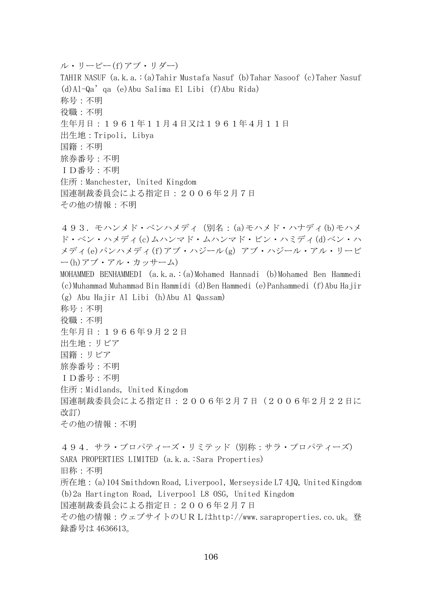ル・リービー(f)アブ・リダー) TAHIR NASUF (a.k.a.:(a)Tahir Mustafa Nasuf (b)Tahar Nasoof (c)Taher Nasuf (d)Al-Qa'qa (e)Abu Salima El Libi (f)Abu Rida) 称号:不明 役職:不明 生年月日:1961年11月4日又は1961年4月11日 出生地:Tripoli, Libya 国籍:不明 旅券番号:不明 ID番号:不明 住所:Manchester, United Kingdom 国連制裁委員会による指定日:2006年2月7日 その他の情報:不明 493.モハンメド・ベンハメディ(別名:(a)モハメド・ハナディ(b)モハメ ド・ベン・ハメディ(c)ムハンマド・ムハンマド・ビン・ハミディ(d)ベン・ハ メディ(e)パンハメディ(f)アブ・ハジール(g) アブ・ハジール・アル・リービ ー(h)アブ・アル・カッサーム) MOHAMMED BENHAMMEDI (a.k.a.:(a)Mohamed Hannadi (b)Mohamed Ben Hammedi (c)Muhammad Muhammad Bin Hammidi (d)Ben Hammedi (e)Panhammedi (f)Abu Hajir (g) Abu Hajir Al Libi (h)Abu Al Qassam) 称号:不明 役職:不明 生年月日:1966年9月22日 出生地:リビア 国籍:リビア 旅券番号:不明 ID番号:不明 住所:Midlands, United Kingdom 国連制裁委員会による指定日:2006年2月7日(2006年2月22日に 改訂) その他の情報:不明 494.サラ・プロパティーズ・リミテッド(別称:サラ・プロパティーズ) SARA PROPERTIES LIMITED (a.k.a.: Sara Properties) 旧称:不明

所在地:(a)104 Smithdown Road, Liverpool, Merseyside L7 4JQ, United Kingdom (b)2a Hartington Road, Liverpool L8 OSG, United Kingdom 国連制裁委員会による指定日:2006年2月7日 その他の情報:ウェブサイトのURLはhttp://www.saraproperties.co.uk。登

録番号は 4636613。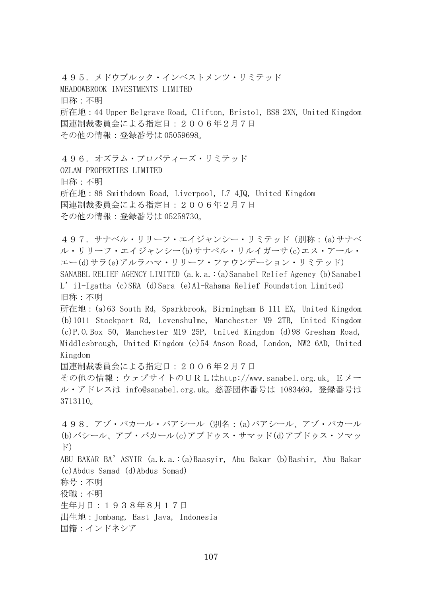495.メドウブルック・インベストメンツ・リミテッド MEADOWBROOK INVESTMENTS LIMITED 旧称:不明 所在地:44 Upper Belgrave Road, Clifton, Bristol, BS8 2XN, United Kingdom 国連制裁委員会による指定日:2006年2月7日 その他の情報:登録番号は 05059698。

496. オズラム・プロパティーズ・リミテッド OZLAM PROPERTIES LIMITED 旧称:不明 所在地:88 Smithdown Road, Liverpool, L7 4JQ, United Kingdom 国連制裁委員会による指定日:2006年2月7日 その他の情報:登録番号は 05258730。

497.サナベル・リリーフ・エイジャンシー・リミテッド(別称:(a)サナベ ル・リリーフ・エイジャンシー(b)サナベル・リルイガーサ(c)エス・アール・ エー(d)サラ(e)アルラハマ・リリーフ・ファウンデーション・リミテッド) SANABEL RELIEF AGENCY LIMITED (a.k.a.: (a) Sanabel Relief Agency (b) Sanabel L'il-Igatha (c)SRA (d)Sara (e)Al-Rahama Relief Foundation Limited) 旧称:不明 所在地:(a)63 South Rd, Sparkbrook, Birmingham B 111 EX, United Kingdom

(b)1011 Stockport Rd, Levenshulme, Manchester M9 2TB, United Kingdom (c)P.O.Box 50, Manchester M19 25P, United Kingdom (d)98 Gresham Road, Middlesbrough, United Kingdom (e)54 Anson Road, London, NW2 6AD, United Kingdom

国連制裁委員会による指定日:2006年2月7日

その他の情報:ウェブサイトのURLはhttp://www.sanabel.org.uk。Eメー ル・アドレスは info@sanabel.org.uk。慈善団体番号は 1083469。登録番号は 3713110。

498.アブ・バカール・バアシール(別名:(a)バアシール、アブ・バカール (b)バシール、アブ・バカール(c)アブドゥス・サマッド(d)アブドゥス・ソマッ ド) ABU BAKAR BA'ASYIR (a.k.a.:(a)Baasyir, Abu Bakar (b)Bashir, Abu Bakar (c)Abdus Samad (d)Abdus Somad) 称号:不明 役職:不明 生年月日:1938年8月17日 出生地:Jombang, East Java, Indonesia 国籍:インドネシア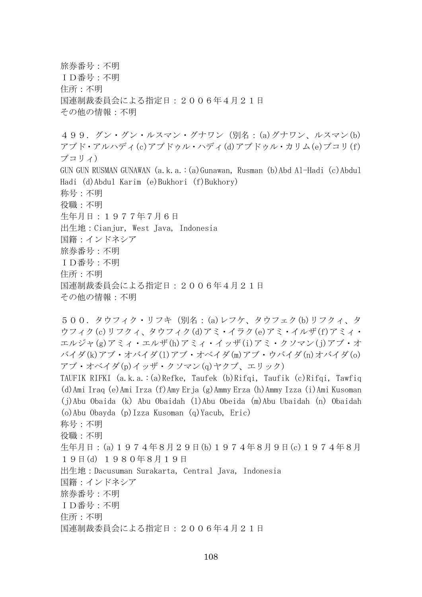旅券番号:不明 ID番号:不明 住所:不明 国連制裁委員会による指定日:2006年4月21日 その他の情報:不明 499. グン・グン・ルスマン・グナワン (別名: (a)グナワン、ルスマン(b) アブド・アルハディ(c)アブドゥル・ハディ(d)アブドゥル・カリム(e)ブコリ(f) ブコリィ) GUN GUN RUSMAN GUNAWAN (a.k.a.:(a)Gunawan, Rusman (b)Abd Al-Hadi (c)Abdul Hadi (d)Abdul Karim (e)Bukhori (f)Bukhory) 称号:不明 役職:不明 生年月日:1977年7月6日 出生地:Cianjur, West Java, Indonesia 国籍:インドネシア 旅券番号:不明 ID番号:不明 住所:不明 国連制裁委員会による指定日:2006年4月21日 その他の情報:不明 500.タウフィク・リフキ(別名:(a)レフケ、タウフェク(b)リフクィ、タ ウフィク(c)リフクィ、タウフィク(d)アミ・イラク(e)アミ・イルザ(f)アミィ・ エルジャ(g)アミィ・エルザ(h)アミィ・イッザ(i)アミ・クソマン(j)アブ・オ バイダ(k)アブ・オバイダ(l)アブ・オベイダ(m)アブ・ウバイダ(n)オバイダ(o) アブ・オベイダ(p)イッザ・クソマン(q)ヤクブ、エリック) TAUFIK RIFKI (a.k.a.:(a)Refke, Taufek (b)Rifqi, Taufik (c)Rifqi, Tawfiq (d)Ami Iraq (e)Ami Irza (f)Amy Erja (g)Ammy Erza (h)Ammy Izza (i)Ami Kusoman (j)Abu Obaida (k) Abu Obaidah (l)Abu Obeida (m)Abu Ubaidah (n) Obaidah (o)Abu Obayda (p)Izza Kusoman (q)Yacub, Eric) 称号:不明 役職:不明 生年月日:(a)1974年8月29日(b)1974年8月9日(c)1974年8月

19日(d) 1980年8月19日

出生地:Dacusuman Surakarta, Central Java, Indonesia

国籍:インドネシア

旅券番号:不明

ID番号:不明

住所:不明

国連制裁委員会による指定日:2006年4月21日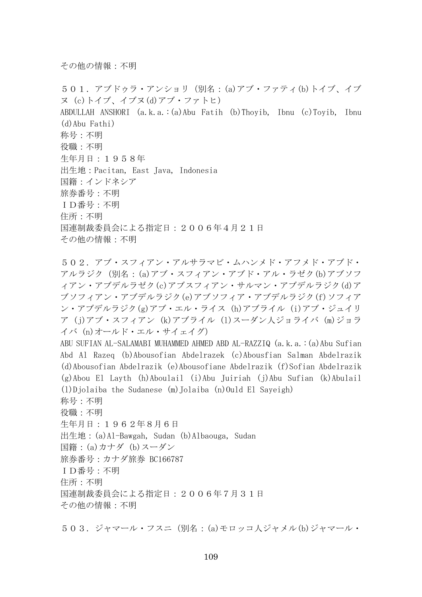501.アブドゥラ・アンショリ(別名:(a)アブ・ファティ(b)トイブ、イブ ヌ (c)トイブ、イブヌ(d)アブ・ファトヒ) ABDULLAH ANSHORI (a.k.a.:(a)Abu Fatih (b)Thoyib, Ibnu (c)Toyib, Ibnu (d)Abu Fathi) 称号:不明 役職:不明 生年月日:1958年 出生地:Pacitan, East Java, Indonesia 国籍:インドネシア 旅券番号:不明 ID番号:不明 住所:不明 国連制裁委員会による指定日:2006年4月21日 その他の情報:不明

502.アブ・スフィアン・アルサラマビ・ムハンメド・アフメド・アブド・ アルラジク(別名:(a)アブ・スフィアン・アブド・アル・ラゼク(b)アブソフ ィアン・アブデルラゼク(c)アブスフィアン・サルマン・アブデルラジク(d)ア ブソフィアン・アブデルラジク(e)アブソフィア・アブデルラジク(f)ソフィア ン・アブデルラジク(g)アブ・エル・ライス (h)アブライル (i)アブ・ジュイリ ア (j)アブ・スフィアン (k)アブライル (l)スーダン人ジョライバ (m)ジョラ イバ (n)オールド・エル・サイェイグ) ABU SUFIAN AL-SALAMABI MUHAMMED AHMED ABD AL-RAZZIQ (a.k.a.:(a)Abu Sufian

Abd Al Razeq (b)Abousofian Abdelrazek (c)Abousfian Salman Abdelrazik (d)Abousofian Abdelrazik (e)Abousofiane Abdelrazik (f)Sofian Abdelrazik (g)Abou El Layth (h)Aboulail (i)Abu Juiriah (j)Abu Sufian (k)Abulail  $(1)$ Djolaiba the Sudanese  $(m)$ Jolaiba  $(n)$ Ould El Sayeigh) 称号:不明

役職:不明 生年月日:1962年8月6日 出生地:(a)Al-Bawgah, Sudan (b)Albaouga, Sudan 国籍:(a)カナダ (b)スーダン 旅券番号:カナダ旅券 BC166787 ID番号:不明 住所:不明 国連制裁委員会による指定日:2006年7月31日 その他の情報:不明

503.ジャマール・フスニ(別名:(a)モロッコ人ジャメル(b)ジャマール・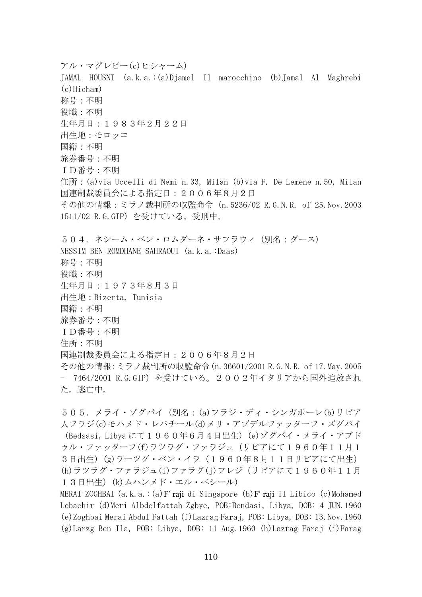アル・マグレビー(c)ヒシャーム) JAMAL HOUSNI (a.k.a.:(a)Djamel Il marocchino (b)Jamal Al Maghrebi (c)Hicham) 称号:不明 役職:不明 生年月日:1983年2月22日 出生地:モロッコ 国籍:不明 旅券番号:不明 ID番号:不明 住所: (a)via Uccelli di Nemi n.33, Milan (b)via F. De Lemene n.50, Milan 国連制裁委員会による指定日:2006年8月2日 その他の情報:ミラノ裁判所の収監命令(n.5236/02 R.G.N.R. of 25.Nov.2003 1511/02 R.G.GIP)を受けている。受刑中。 504.ネシーム・ベン・ロムダーネ・サフラウィ(別名:ダース) NESSIM BEN ROMDHANE SAHRAOUI (a.k.a.:Daas) 称号:不明 役職:不明 生年月日:1973年8月3日 出生地:Bizerta, Tunisia 国籍:不明 旅券番号:不明 ID番号:不明 住所:不明 国連制裁委員会による指定日:2006年8月2日 その他の情報:ミラノ裁判所の収監命令(n.36601/2001 R.G.N.R. of 17.May.2005 - 7464/2001 R.G.GIP)を受けている。2002年イタリアから国外追放され た。逃亡中。

505.メライ・ゾグバイ(別名:(a)フラジ・ディ・シンガポーレ(b)リビア 人フラジ(c)モハメド・レバチール(d)メリ・アブデルファッターフ・ズグバイ (Bedsasi, Libya にて1960年6月4日出生)(e)ゾグバイ・メライ・アブド ゥル・ファッターフ(f)ラツラグ・ファラジュ(リビアにて1960年11月1 3日出生)(g)ラーツグ・ベン・イラ(1960年8月11日リビアにて出生) (h)ラツラグ・ファラジュ(i)ファラグ(j)フレジ(リビアにて1960年11月 13日出生) (k) ムハンメド・エル・ベシール)

MERAI ZOGHBAI (a.k.a.:(a)F' raji di Singapore (b)F' raji il Libico (c)Mohamed Lebachir (d)Meri Albdelfattah Zgbye, POB:Bendasi, Libya, DOB: 4 JUN.1960 (e)Zoghbai Merai Abdul Fattah (f)Lazrag Faraj, POB: Libya, DOB: 13.Nov.1960 (g)Larzg Ben Ila, POB: Libya, DOB: 11 Aug.1960 (h)Lazrag Faraj (i)Farag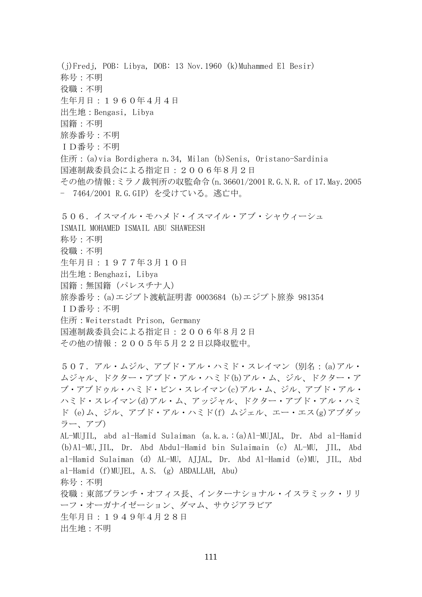(j)Fredj, POB: Libya, DOB: 13 Nov.1960 (k)Muhammed El Besir) 称号:不明 役職:不明 生年月日:1960年4月4日 出生地:Bengasi, Libya 国籍:不明 旅券番号:不明 ID番号:不明 住所:(a)via Bordighera n.34, Milan (b)Senis, Oristano-Sardinia 国連制裁委員会による指定日:2006年8月2日 その他の情報:ミラノ裁判所の収監命令(n.36601/2001 R.G.N.R. of 17.May.2005 - 7464/2001 R.G.GIP)を受けている。逃亡中。 506.イスマイル・モハメド・イスマイル・アブ・シャウィーシュ ISMAIL MOHAMED ISMAIL ABU SHAWEESH 称号:不明 役職:不明 生年月日:1977年3月10日 出生地:Benghazi, Libya 国籍:無国籍(パレスチナ人) 旅券番号:(a)エジプト渡航証明書 0003684 (b)エジプト旅券 981354 ID番号:不明 住所:Weiterstadt Prison, Germany 国連制裁委員会による指定日:2006年8月2日 その他の情報:2005年5月22日以降収監中。 507.アル・ムジル、アブド・アル・ハミド・スレイマン(別名:(a)アル・ ムジャル、ドクター・アブド・アル・ハミド(b)アル・ム、ジル、ドクター・ア ブ・アブドゥル・ハミド・ビン・スレイマン(c)アル・ム、ジル、アブド・アル・ ハミド・スレイマン(d)アル・ム、アッジャル、ドクター・アブド・アル・ハミ ド (e)ム、ジル、アブド・アル・ハミド(f) ムジェル、エー・エス(g)アブダッ ラー、アブ) AL-MUJIL, abd al-Hamid Sulaiman (a.k.a.:(a)Al-MUJAL, Dr. Abd al-Hamid (b)Al-MU,JIL, Dr. Abd Abdul-Hamid bin Sulaimain (c) AL-MU, JIL, Abd al-Hamid Sulaiman (d) AL-MU, AJJAL, Dr. Abd Al-Hamid (e)MU, JIL, Abd al-Hamid (f)MUJEL, A.S. (g) ABDALLAH, Abu) 称号:不明 役職:東部ブランチ・オフィス長、インターナショナル・イスラミック・リリ ーフ・オーガナイゼーション、ダマム、サウジアラビア 生年月日:1949年4月28日 出生地:不明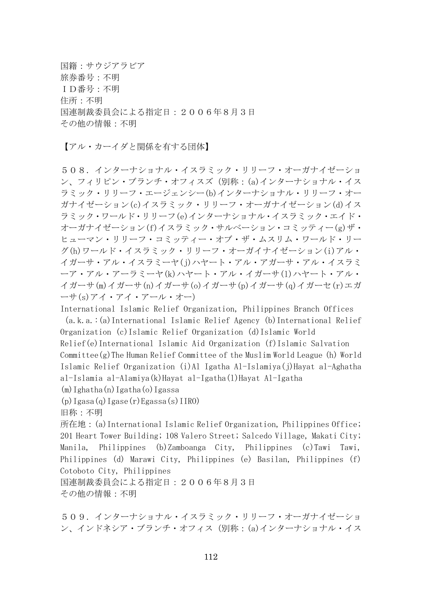国籍:サウジアラビア 旅券番号:不明 ID番号:不明 住所:不明 国連制裁委員会による指定日:2006年8月3日 その他の情報:不明

【アル・カーイダと関係を有する団体】

508.インターナショナル・イスラミック・リリーフ・オーガナイゼーショ ン、フィリピン・ブランチ・オフィスズ(別称:(a)インターナショナル・イス ラミック・リリーフ・エージェンシー(b)インターナショナル・リリーフ・オー ガナイゼーション(c)イスラミック・リリーフ・オーガナイゼーション(d)イス ラミック・ワールド・リリーフ(e)インターナショナル・イスラミック・エイド・ オーガナイゼーション(f)イスラミック・サルベーション・コミッティー(g)ザ・ ヒューマン・リリーフ・コミッティー・オブ・ザ・ムスリム・ワールド・リー グ(h)ワールド・イスラミック・リリーフ・オーガイナイゼーション(i)アル・ イガーサ・アル・イスラミーヤ(j)ハヤート・アル・アガーサ・アル・イスラミ ーア・アル・アーラミーヤ(k)ハヤート・アル・イガーサ(l)ハヤート・アル・ イガーサ(m)イガーサ(n)イガーサ(o)イガーサ(p)イガーサ(q)イガーセ(r)エガ ーサ(s)アイ・アイ・アール・オー)

International Islamic Relief Organization, Philippines Branch Offices (a.k.a.:(a)International Islamic Relief Agency (b)International Relief Organization (c)Islamic Relief Organization (d)Islamic World Relief(e)International Islamic Aid Organization (f)Islamic Salvation Committee(g)The Human Relief Committee of the Muslim World League (h) World Islamic Relief Organization (i)Al Igatha Al-Islamiya(j)Hayat al-Aghatha al-Islamia al-Alamiya(k)Hayat al-Igatha(l)Hayat Al-Igatha

(m)Ighatha(n)Igatha(o)Igassa

 $(p)$ Igasa(q)Igase(r)Egassa(s)IIRO)

旧称:不明

所在地:(a)International Islamic Relief Organization, Philippines Office; 201 Heart Tower Building; 108 Valero Street; Salcedo Village, Makati City; Manila, Philippines (b)Zamboanga City, Philippines (c)Tawi Tawi, Philippines (d) Marawi City, Philippines (e) Basilan, Philippines (f) Cotoboto City, Philippines

国連制裁委員会による指定日:2006年8月3日 その他の情報:不明

509.インターナショナル・イスラミック・リリーフ・オーガナイゼーショ ン、インドネシア・ブランチ・オフィス(別称:(a)インターナショナル・イス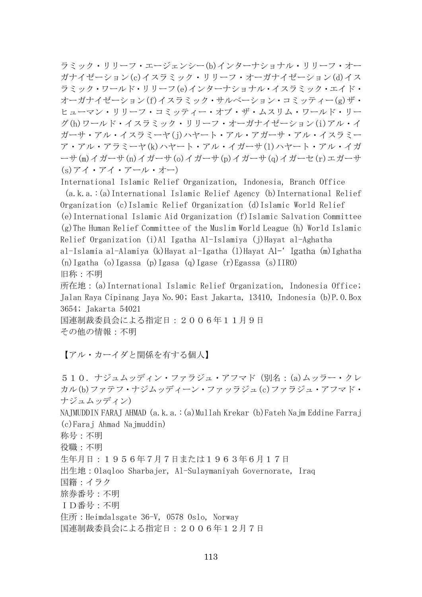ラミック・リリーフ・エージェンシー(b)インターナショナル・リリーフ・オー ガナイゼーション(c)イスラミック・リリーフ・オーガナイゼーション(d)イス ラミック・ワールド・リリーフ(e)インターナショナル・イスラミック・エイド・ オーガナイゼーション(f)イスラミック・サルベーション・コミッティー(g)ザ・ ヒューマン・リリーフ・コミッティー・オブ・ザ・ムスリム・ワールド・リー グ(h)ワールド・イスラミック・リリーフ・オーガナイゼーション(i)アル・イ ガーサ・アル・イスラミーヤ(j)ハヤート・アル・アガーサ・アル・イスラミー ア・アル・アラミーヤ(k)ハヤート・アル・イガーサ(l)ハヤート・アル・イガ ーサ(m)イガーサ(n)イガーサ(o)イガーサ(p)イガーサ(q)イガーセ(r)エガーサ (s)アイ・アイ・アール・オー)

International Islamic Relief Organization, Indonesia, Branch Office (a.k.a.:(a)International Islamic Relief Agency (b)International Relief Organization (c)Islamic Relief Organization (d)Islamic World Relief (e)International Islamic Aid Organization (f)Islamic Salvation Committee (g)The Human Relief Committee of the Muslim World League (h) World Islamic Relief Organization (i)Al Igatha Al-Islamiya (j)Hayat al-Aghatha al-Islamia al-Alamiya (k)Hayat al-Igatha (l)Hayat Al-' Igatha (m)Ighatha (n)Igatha (o)Igassa (p)Igasa (q)Igase (r)Egassa (s)IIRO) 旧称:不明

所在地:(a)International Islamic Relief Organization, Indonesia Office; Jalan Raya Cipinang Jaya No.90; East Jakarta, 13410, Indonesia (b)P.O.Box 3654; Jakarta 54021

国連制裁委員会による指定日:2006年11月9日 その他の情報:不明

【アル・カーイダと関係を有する個人】

510.ナジュムッディン・ファラジュ・アフマド(別名:(a)ムッラー・クレ カル(b)ファテフ・ナジムッディーン・ファッラジュ(c)ファラジュ・アフマド・ ナジュムッディン)

NAJMUDDIN FARAJ AHMAD (a.k.a.:(a)Mullah Krekar (b)Fateh Najm Eddine Farraj (c)Faraj Ahmad Najmuddin)

称号:不明

役職:不明

生年月日:1956年7月7日または1963年6月17日

出生地:Olaqloo Sharbajer, Al-Sulaymaniyah Governorate, Iraq

国籍:イラク

旅券番号:不明

ID番号:不明

住所:Heimdalsgate 36-V, 0578 Oslo, Norway

国連制裁委員会による指定日:2006年12月7日